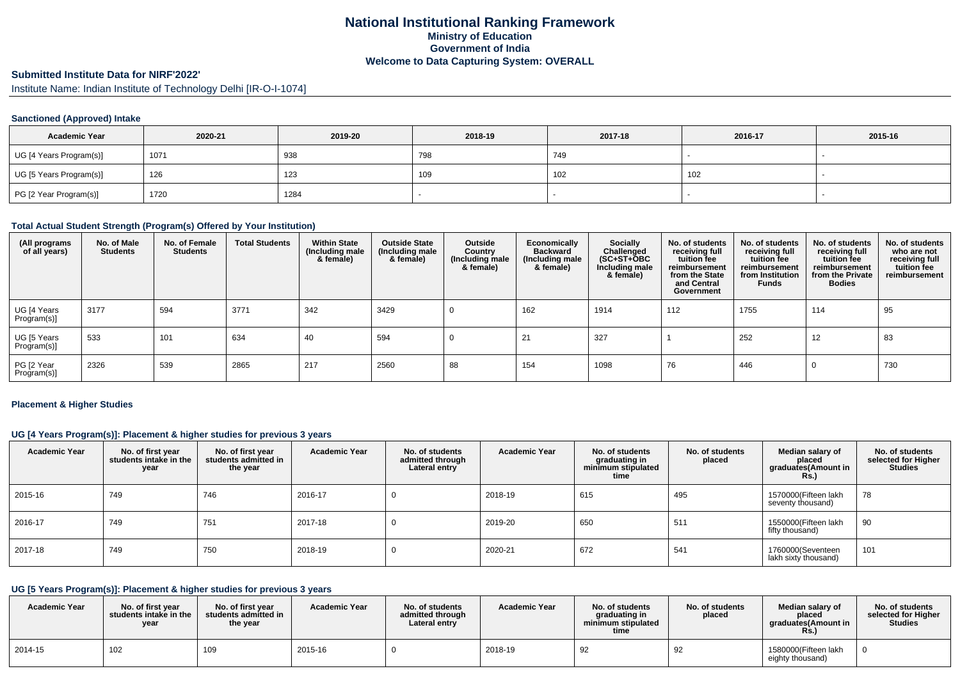# **National Institutional Ranking FrameworkMinistry of Education Government of IndiaWelcome to Data Capturing System: OVERALL**

# **Submitted Institute Data for NIRF'2022'**

Institute Name: Indian Institute of Technology Delhi [IR-O-I-1074]

### **Sanctioned (Approved) Intake**

| <b>Academic Year</b>    | 2020-21 | 2019-20 | 2018-19 | 2017-18 | 2016-17 | 2015-16 |
|-------------------------|---------|---------|---------|---------|---------|---------|
| UG [4 Years Program(s)] | 1071    | 938     | 798     | 749     |         |         |
| UG [5 Years Program(s)] | 126     | 123     | I ບອ    | 102     | 102     |         |
| PG [2 Year Program(s)]  | 1720    | 1284    |         |         |         |         |

### **Total Actual Student Strength (Program(s) Offered by Your Institution)**

| (All programs<br>of all years) | No. of Male<br><b>Students</b> | No. of Female<br><b>Students</b> | <b>Total Students</b> | <b>Within State</b><br>(Including male<br>& female) | <b>Outside State</b><br>(Including male<br>& female) | Outside<br>Country<br>(Including male<br>& female) | Economically<br><b>Backward</b><br>(Including male<br>& female) | <b>Socially</b><br>Challenged<br>$(SC+ST+\text{O}BC)$<br>Including male<br>& female) | No. of students<br>receiving full<br>tuition fee<br>reimbursement<br>from the State<br>and Central<br>Government | No. of students<br>receiving full<br>tuition fee<br>reimbursement<br>from Institution<br><b>Funds</b> | No. of students<br>receiving full<br>tuition fee<br>reimbursement<br>from the Private<br><b>Bodies</b> | No. of students<br>who are not<br>receiving full<br>tuition fee<br>reimbursement |
|--------------------------------|--------------------------------|----------------------------------|-----------------------|-----------------------------------------------------|------------------------------------------------------|----------------------------------------------------|-----------------------------------------------------------------|--------------------------------------------------------------------------------------|------------------------------------------------------------------------------------------------------------------|-------------------------------------------------------------------------------------------------------|--------------------------------------------------------------------------------------------------------|----------------------------------------------------------------------------------|
| UG [4 Years<br>Program(s)]     | 3177                           | 594                              | 3771                  | 342                                                 | 3429                                                 |                                                    | 162                                                             | 1914                                                                                 | 112                                                                                                              | 1755                                                                                                  | 114                                                                                                    | 95                                                                               |
| UG [5 Years<br>Program(s)]     | 533                            | 101                              | 634                   | 40                                                  | 594                                                  |                                                    | 21                                                              | 327                                                                                  |                                                                                                                  | 252                                                                                                   | 12                                                                                                     | 83                                                                               |
| PG [2 Year<br>Program(s)]      | 2326                           | 539                              | 2865                  | 217                                                 | 2560                                                 | 88                                                 | 154                                                             | 1098                                                                                 | 76                                                                                                               | 446                                                                                                   | 0                                                                                                      | 730                                                                              |

#### **Placement & Higher Studies**

# **UG [4 Years Program(s)]: Placement & higher studies for previous 3 years**

| <b>Academic Year</b> | No. of first year<br>students intake in the<br>year | No. of first year<br>students admitted in<br>the year | <b>Academic Year</b> | No. of students<br>admitted through<br>Lateral entry | <b>Academic Year</b> | No. of students<br>graduating in<br>minimum stipulated<br>time | No. of students<br>placed | Median salary of<br>placed<br>graduates(Amount in<br><b>Rs.)</b> | No. of students<br>selected for Higher<br><b>Studies</b> |
|----------------------|-----------------------------------------------------|-------------------------------------------------------|----------------------|------------------------------------------------------|----------------------|----------------------------------------------------------------|---------------------------|------------------------------------------------------------------|----------------------------------------------------------|
| 2015-16              | 749                                                 | 746                                                   | 2016-17              |                                                      | 2018-19              | 615                                                            | 495                       | 1570000(Fifteen lakh<br>seventy thousand)                        | 78                                                       |
| 2016-17              | 749                                                 | 751                                                   | 2017-18              |                                                      | 2019-20              | 650                                                            | 511                       | 1550000(Fifteen lakh<br>fifty thousand)                          | 90                                                       |
| 2017-18              | 749                                                 | 750                                                   | 2018-19              |                                                      | 2020-21              | 672                                                            | 541                       | 1760000(Seventeen<br>lakh sixty thousand)                        | 101                                                      |

# **UG [5 Years Program(s)]: Placement & higher studies for previous 3 years**

| <b>Academic Year</b> | No. of first vear<br>students intake in the<br>year | No. of first year<br>students admitted in<br>the year | <b>Academic Year</b> | No. of students<br>admitted through<br>Lateral entry | <b>Academic Year</b> | No. of students<br>graduating in<br>minimum stipulated<br>time | No. of students<br>placed | Median salary of<br>placed<br>araduates(Amount in<br>Rs. | No. of students<br>selected for Higher<br>Studies |
|----------------------|-----------------------------------------------------|-------------------------------------------------------|----------------------|------------------------------------------------------|----------------------|----------------------------------------------------------------|---------------------------|----------------------------------------------------------|---------------------------------------------------|
| 2014-15              | 102                                                 | 109                                                   | 2015-16              |                                                      | 2018-19              | 92                                                             | 92                        | 1580000(Fifteen lakh<br>eighty thousand)                 | -0                                                |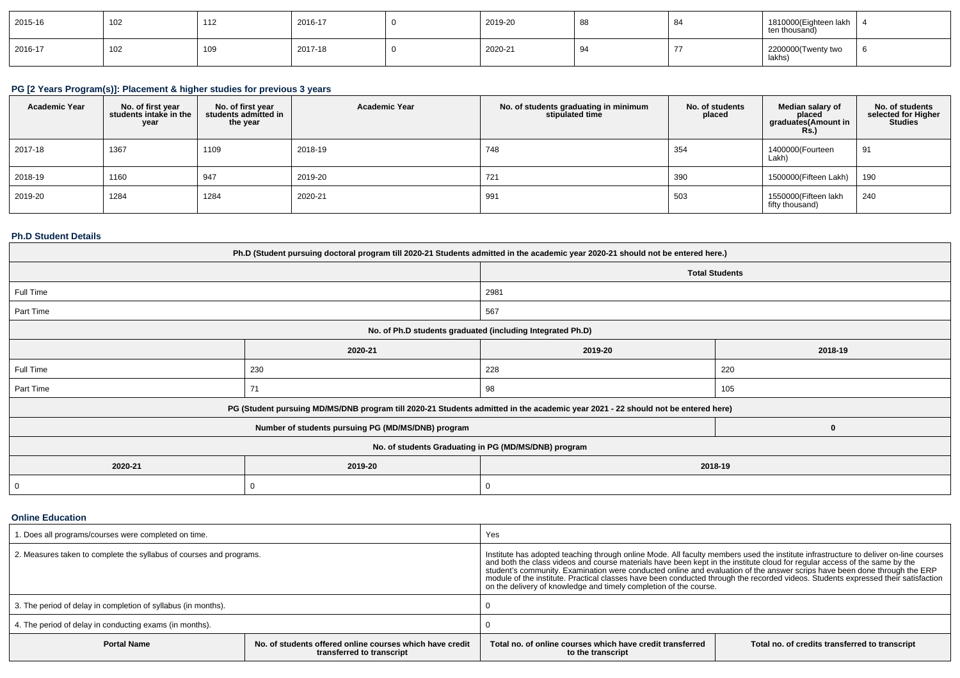| 2015-16 | 102 | 110<br>$\sqrt{2}$      | 2016-17 | 2019-20 | 88 | 84     | 1810000 (Eighteen lakh<br>ten thousand) |  |
|---------|-----|------------------------|---------|---------|----|--------|-----------------------------------------|--|
| 2016-17 | 102 | 10 <sup>c</sup><br>າບວ | 2017-18 | 2020-21 |    | $\sim$ | 2200000(Twenty two<br>  lakhs)          |  |

# **PG [2 Years Program(s)]: Placement & higher studies for previous 3 years**

| <b>Academic Year</b> | No. of first year<br>students intake in the<br>year | No. of first year<br>students admitted in<br>the year | <b>Academic Year</b> | No. of students graduating in minimum<br>stipulated time | No. of students<br>placed | Median salary of<br>placed<br>graduates(Amount in<br>Rs. | No. of students<br>selected for Higher<br>Studies |
|----------------------|-----------------------------------------------------|-------------------------------------------------------|----------------------|----------------------------------------------------------|---------------------------|----------------------------------------------------------|---------------------------------------------------|
| 2017-18              | 1367                                                | 1109                                                  | 2018-19              | 748                                                      | 354                       | 1400000(Fourteen<br>Lakh)                                | 91                                                |
| 2018-19              | 1160                                                | 947                                                   | 2019-20              | 721                                                      | 390                       | 1500000(Fifteen Lakh)                                    | 190                                               |
| 2019-20              | 1284                                                | 1284                                                  | 2020-21              | 991                                                      | 503                       | 1550000(Fifteen lakh<br>fifty thousand)                  | 240                                               |

### **Ph.D Student Details**

| Ph.D (Student pursuing doctoral program till 2020-21 Students admitted in the academic year 2020-21 should not be entered here.) |                                                                                                                                  |                       |         |  |  |  |
|----------------------------------------------------------------------------------------------------------------------------------|----------------------------------------------------------------------------------------------------------------------------------|-----------------------|---------|--|--|--|
|                                                                                                                                  |                                                                                                                                  | <b>Total Students</b> |         |  |  |  |
| Full Time                                                                                                                        |                                                                                                                                  | 2981                  |         |  |  |  |
| Part Time                                                                                                                        |                                                                                                                                  | 567                   |         |  |  |  |
| No. of Ph.D students graduated (including Integrated Ph.D)                                                                       |                                                                                                                                  |                       |         |  |  |  |
|                                                                                                                                  | 2020-21                                                                                                                          | 2019-20               | 2018-19 |  |  |  |
| Full Time                                                                                                                        | 230                                                                                                                              | 228                   | 220     |  |  |  |
| Part Time                                                                                                                        | 71                                                                                                                               | 98                    | 105     |  |  |  |
|                                                                                                                                  | PG (Student pursuing MD/MS/DNB program till 2020-21 Students admitted in the academic year 2021 - 22 should not be entered here) |                       |         |  |  |  |
|                                                                                                                                  | Number of students pursuing PG (MD/MS/DNB) program                                                                               |                       | 0       |  |  |  |
|                                                                                                                                  | No. of students Graduating in PG (MD/MS/DNB) program                                                                             |                       |         |  |  |  |
| 2020-21<br>2019-20<br>2018-19                                                                                                    |                                                                                                                                  |                       |         |  |  |  |
| 0                                                                                                                                |                                                                                                                                  | 0                     |         |  |  |  |

## **Online Education**

| . Does all programs/courses were completed on time.                                                         |  | Yes                                                                                                                                                                                                                                                                                                                                                                                                                                                                                                                                                                                                       |                                                |  |  |
|-------------------------------------------------------------------------------------------------------------|--|-----------------------------------------------------------------------------------------------------------------------------------------------------------------------------------------------------------------------------------------------------------------------------------------------------------------------------------------------------------------------------------------------------------------------------------------------------------------------------------------------------------------------------------------------------------------------------------------------------------|------------------------------------------------|--|--|
| 2. Measures taken to complete the syllabus of courses and programs.                                         |  | Institute has adopted teaching through online Mode. All faculty members used the institute infrastructure to deliver on-line courses<br>and both the class videos and course materials have been kept in the institute cloud for regular access of the same by the<br>student's community. Examination were conducted online and evaluation of the answer scrips have been done through the ERP<br>module of the institute. Practical classes have been conducted through the recorded videos. Students expressed their satisfaction<br>on the delivery of knowledge and timely completion of the course. |                                                |  |  |
| 3. The period of delay in completion of syllabus (in months).                                               |  |                                                                                                                                                                                                                                                                                                                                                                                                                                                                                                                                                                                                           |                                                |  |  |
| 4. The period of delay in conducting exams (in months).                                                     |  |                                                                                                                                                                                                                                                                                                                                                                                                                                                                                                                                                                                                           |                                                |  |  |
| No. of students offered online courses which have credit<br><b>Portal Name</b><br>transferred to transcript |  | Total no, of online courses which have credit transferred<br>to the transcript                                                                                                                                                                                                                                                                                                                                                                                                                                                                                                                            | Total no. of credits transferred to transcript |  |  |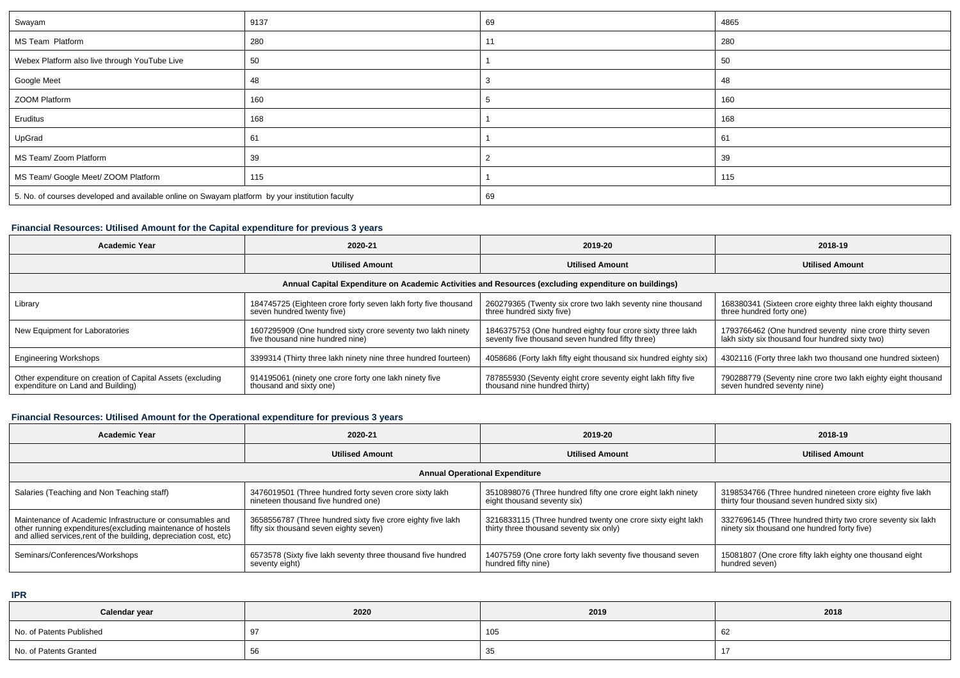| Swayam                                                                                          | 9137 | 69 | 4865 |  |
|-------------------------------------------------------------------------------------------------|------|----|------|--|
| MS Team Platform                                                                                | 280  |    | 280  |  |
| Webex Platform also live through YouTube Live                                                   | 50   |    | 50   |  |
| Google Meet                                                                                     | 48   |    | 48   |  |
| ZOOM Platform                                                                                   | 160  |    | 160  |  |
| Eruditus                                                                                        | 168  |    | 168  |  |
| UpGrad                                                                                          | 61   |    | 61   |  |
| MS Team/ Zoom Platform                                                                          | 39   |    | 39   |  |
| MS Team/ Google Meet/ ZOOM Platform                                                             | 115  |    | 115  |  |
| 5. No. of courses developed and available online on Swayam platform by your institution faculty |      | 69 |      |  |

### **Financial Resources: Utilised Amount for the Capital expenditure for previous 3 years**

| <b>Academic Year</b>                                                                                 | 2020-21                                                                                         | 2019-20                                                                                                        | 2018-19                                                                                                    |  |  |  |  |  |
|------------------------------------------------------------------------------------------------------|-------------------------------------------------------------------------------------------------|----------------------------------------------------------------------------------------------------------------|------------------------------------------------------------------------------------------------------------|--|--|--|--|--|
|                                                                                                      | <b>Utilised Amount</b>                                                                          | <b>Utilised Amount</b>                                                                                         | <b>Utilised Amount</b>                                                                                     |  |  |  |  |  |
| Annual Capital Expenditure on Academic Activities and Resources (excluding expenditure on buildings) |                                                                                                 |                                                                                                                |                                                                                                            |  |  |  |  |  |
| Library                                                                                              | 184745725 (Eighteen crore forty seven lakh forty five thousand<br>seven hundred twenty five)    | 260279365 (Twenty six crore two lakh seventy nine thousand<br>three hundred sixty five)                        | 168380341 (Sixteen crore eighty three lakh eighty thousand<br>three hundred forty one)                     |  |  |  |  |  |
| New Equipment for Laboratories                                                                       | 1607295909 (One hundred sixty crore seventy two lakh ninety<br>five thousand nine hundred nine) | 1846375753 (One hundred eighty four crore sixty three lakh<br>seventy five thousand seven hundred fifty three) | 1793766462 (One hundred seventy nine crore thirty seven<br>lakh sixty six thousand four hundred sixty two) |  |  |  |  |  |
| <b>Engineering Workshops</b>                                                                         | 3399314 (Thirty three lakh ninety nine three hundred fourteen)                                  | 4058686 (Forty lakh fifty eight thousand six hundred eighty six)                                               | 4302116 (Forty three lakh two thousand one hundred sixteen)                                                |  |  |  |  |  |
| Other expenditure on creation of Capital Assets (excluding<br>expenditure on Land and Building)      | 914195061 (ninety one crore forty one lakh ninety five<br>thousand and sixty one)               | 787855930 (Seventy eight crore seventy eight lakh fifty five<br>thousand nine hundred thirty)                  | 790288779 (Seventy nine crore two lakh eighty eight thousand<br>seven hundred seventy nine)                |  |  |  |  |  |

# **Financial Resources: Utilised Amount for the Operational expenditure for previous 3 years**

| <b>Academic Year</b>                                                                                                                                                                           | 2020-21                                                                                               | 2019-20                                                                                                | 2018-19                                                                                                    |  |  |  |  |  |
|------------------------------------------------------------------------------------------------------------------------------------------------------------------------------------------------|-------------------------------------------------------------------------------------------------------|--------------------------------------------------------------------------------------------------------|------------------------------------------------------------------------------------------------------------|--|--|--|--|--|
|                                                                                                                                                                                                | <b>Utilised Amount</b>                                                                                | <b>Utilised Amount</b>                                                                                 | <b>Utilised Amount</b>                                                                                     |  |  |  |  |  |
| <b>Annual Operational Expenditure</b>                                                                                                                                                          |                                                                                                       |                                                                                                        |                                                                                                            |  |  |  |  |  |
| Salaries (Teaching and Non Teaching staff)                                                                                                                                                     | 3476019501 (Three hundred forty seven crore sixty lakh<br>nineteen thousand five hundred one)         | 3510898076 (Three hundred fifty one crore eight lakh ninety<br>eight thousand seventy six)             | 3198534766 (Three hundred nineteen crore eighty five lakh<br>thirty four thousand seven hundred sixty six) |  |  |  |  |  |
| Maintenance of Academic Infrastructure or consumables and<br>other running expenditures(excluding maintenance of hostels<br>and allied services, rent of the building, depreciation cost, etc) | 3658556787 (Three hundred sixty five crore eighty five lakh<br>fifty six thousand seven eighty seven) | 3216833115 (Three hundred twenty one crore sixty eight lakh<br>thirty three thousand seventy six only) | 3327696145 (Three hundred thirty two crore seventy six lakh<br>ninety six thousand one hundred forty five) |  |  |  |  |  |
| Seminars/Conferences/Workshops                                                                                                                                                                 | 6573578 (Sixty five lakh seventy three thousand five hundred<br>seventy eight)                        | 14075759 (One crore forty lakh seventy five thousand seven<br>hundred fifty nine)                      | 15081807 (One crore fifty lakh eighty one thousand eight<br>hundred seven)                                 |  |  |  |  |  |

**IPR**

| Calendar year            | 2020 | 2019 | 2018 |
|--------------------------|------|------|------|
| No. of Patents Published |      | 105  | ৩∠   |
| No. of Patents Granted   |      | ູບ   |      |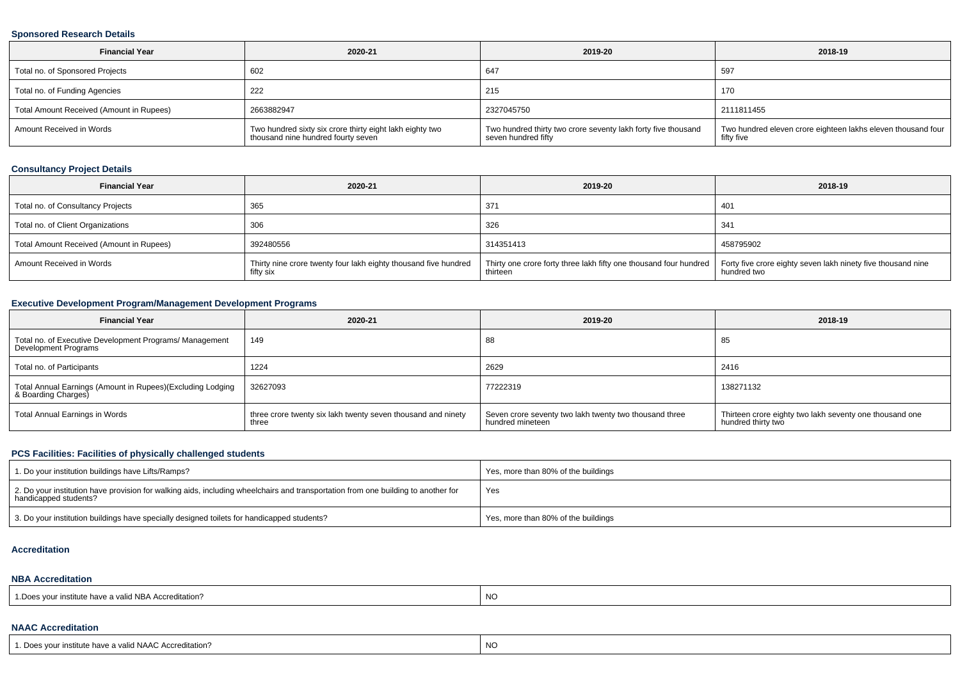#### **Sponsored Research Details**

| <b>Financial Year</b>                    | 2020-21                                                                                        | 2019-20                                                                              | 2018-19                                                                    |
|------------------------------------------|------------------------------------------------------------------------------------------------|--------------------------------------------------------------------------------------|----------------------------------------------------------------------------|
| Total no. of Sponsored Projects          | 602                                                                                            | 647                                                                                  | 597                                                                        |
| Total no. of Funding Agencies            | 222                                                                                            | 215                                                                                  | 170                                                                        |
| Total Amount Received (Amount in Rupees) | 2663882947                                                                                     | 2327045750                                                                           | 2111811455                                                                 |
| Amount Received in Words                 | Two hundred sixty six crore thirty eight lakh eighty two<br>thousand nine hundred fourty seven | Two hundred thirty two crore seventy lakh forty five thousand<br>seven hundred fifty | Two hundred eleven crore eighteen lakhs eleven thousand four<br>fifty five |

# **Consultancy Project Details**

| <b>Financial Year</b>                    | 2020-21                                                                      | 2019-20                                                                                                                                      | 2018-19     |
|------------------------------------------|------------------------------------------------------------------------------|----------------------------------------------------------------------------------------------------------------------------------------------|-------------|
| Total no. of Consultancy Projects        | 365                                                                          | 371                                                                                                                                          | 401         |
| Total no. of Client Organizations        | 306                                                                          | 326                                                                                                                                          | 341         |
| Total Amount Received (Amount in Rupees) | 392480556                                                                    | 314351413                                                                                                                                    | 458795902   |
| Amount Received in Words                 | Thirty nine crore twenty four lakh eighty thousand five hundred<br>fifty six | Thirty one crore forty three lakh fifty one thousand four hundred   Forty five crore eighty seven lakh ninety five thousand nine<br>thirteen | hundred two |

# **Executive Development Program/Management Development Programs**

| <b>Financial Year</b>                                                             | 2020-21                                                               | 2019-20                                                                    | 2018-19                                                                       |
|-----------------------------------------------------------------------------------|-----------------------------------------------------------------------|----------------------------------------------------------------------------|-------------------------------------------------------------------------------|
| Total no. of Executive Development Programs/ Management<br>Development Programs   | 149                                                                   | 88                                                                         | 85                                                                            |
| Total no. of Participants                                                         | 1224                                                                  | 2629                                                                       | 2416                                                                          |
| Total Annual Earnings (Amount in Rupees)(Excluding Lodging<br>& Boarding Charges) | 32627093                                                              | 77222319                                                                   | 138271132                                                                     |
| Total Annual Earnings in Words                                                    | three crore twenty six lakh twenty seven thousand and ninety<br>three | Seven crore seventy two lakh twenty two thousand three<br>hundred mineteen | Thirteen crore eighty two lakh seventy one thousand one<br>hundred thirty two |

# **PCS Facilities: Facilities of physically challenged students**

| 1. Do your institution buildings have Lifts/Ramps?                                                                                                         | Yes, more than 80% of the buildings |
|------------------------------------------------------------------------------------------------------------------------------------------------------------|-------------------------------------|
| 2. Do your institution have provision for walking aids, including wheelchairs and transportation from one building to another for<br>handicapped students? | Yes                                 |
| 3. Do your institution buildings have specially designed toilets for handicapped students?                                                                 | Yes, more than 80% of the buildings |

#### **Accreditation**

#### **NBA Accreditation**

| NC<br>a valid NBA Accreditation :<br>. Does<br>י <i>ח</i> וור ≫י<br>' Institute nave a ' |  |
|------------------------------------------------------------------------------------------|--|
|------------------------------------------------------------------------------------------|--|

#### **NAAC Accreditation**

| 1. Does your institute have a valid NAAC Accreditation? | <b>NO</b> |
|---------------------------------------------------------|-----------|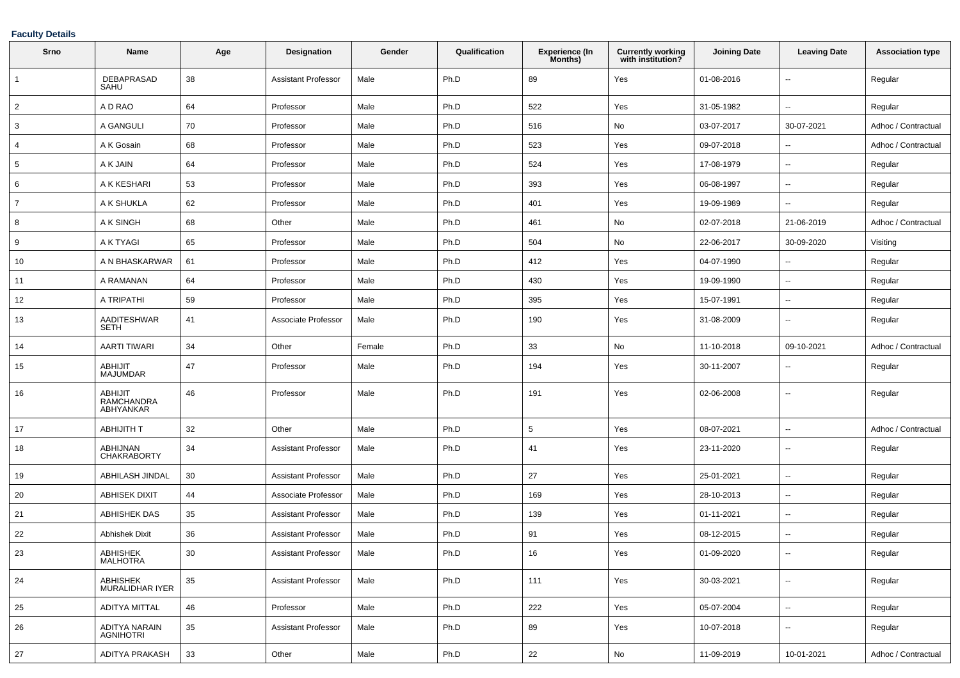## **Faculty Details**

| Srno           | Name                                             | Age | Designation                | Gender | Qualification | <b>Experience (In</b><br>Months) | <b>Currently working</b><br>with institution? | <b>Joining Date</b> | <b>Leaving Date</b>      | <b>Association type</b> |
|----------------|--------------------------------------------------|-----|----------------------------|--------|---------------|----------------------------------|-----------------------------------------------|---------------------|--------------------------|-------------------------|
| 1              | <b>DEBAPRASAD</b><br>SAHU                        | 38  | Assistant Professor        | Male   | Ph.D          | 89                               | Yes                                           | 01-08-2016          | $\overline{\phantom{a}}$ | Regular                 |
| $\overline{2}$ | A D RAO                                          | 64  | Professor                  | Male   | Ph.D          | 522                              | Yes                                           | 31-05-1982          | $\mathbf{u}$             | Regular                 |
| 3              | A GANGULI                                        | 70  | Professor                  | Male   | Ph.D          | 516                              | No                                            | 03-07-2017          | 30-07-2021               | Adhoc / Contractual     |
| 4              | A K Gosain                                       | 68  | Professor                  | Male   | Ph.D          | 523                              | Yes                                           | 09-07-2018          | $\overline{\phantom{a}}$ | Adhoc / Contractual     |
| 5              | A K JAIN                                         | 64  | Professor                  | Male   | Ph.D          | 524                              | Yes                                           | 17-08-1979          | $\sim$                   | Regular                 |
| 6              | A K KESHARI                                      | 53  | Professor                  | Male   | Ph.D          | 393                              | Yes                                           | 06-08-1997          | $\sim$                   | Regular                 |
| $\overline{7}$ | A K SHUKLA                                       | 62  | Professor                  | Male   | Ph.D          | 401                              | Yes                                           | 19-09-1989          | $\sim$                   | Regular                 |
| 8              | A K SINGH                                        | 68  | Other                      | Male   | Ph.D          | 461                              | No                                            | 02-07-2018          | 21-06-2019               | Adhoc / Contractual     |
| 9              | A K TYAGI                                        | 65  | Professor                  | Male   | Ph.D          | 504                              | No                                            | 22-06-2017          | 30-09-2020               | Visiting                |
| 10             | A N BHASKARWAR                                   | 61  | Professor                  | Male   | Ph.D          | 412                              | Yes                                           | 04-07-1990          | $\sim$                   | Regular                 |
| 11             | A RAMANAN                                        | 64  | Professor                  | Male   | Ph.D          | 430                              | Yes                                           | 19-09-1990          | $\sim$                   | Regular                 |
| 12             | A TRIPATHI                                       | 59  | Professor                  | Male   | Ph.D          | 395                              | Yes                                           | 15-07-1991          | $\sim$                   | Regular                 |
| 13             | AADITESHWAR<br><b>SETH</b>                       | 41  | Associate Professor        | Male   | Ph.D          | 190                              | Yes                                           | 31-08-2009          | $\overline{\phantom{a}}$ | Regular                 |
| 14             | <b>AARTI TIWARI</b>                              | 34  | Other                      | Female | Ph.D          | 33                               | No                                            | 11-10-2018          | 09-10-2021               | Adhoc / Contractual     |
| 15             | <b>ABHIJIT</b><br><b>MAJUMDAR</b>                | 47  | Professor                  | Male   | Ph.D          | 194                              | Yes                                           | 30-11-2007          | $\overline{\phantom{a}}$ | Regular                 |
| 16             | <b>ABHIJIT</b><br><b>RAMCHANDRA</b><br>ABHYANKAR | 46  | Professor                  | Male   | Ph.D          | 191                              | Yes                                           | 02-06-2008          | $\sim$                   | Regular                 |
| 17             | <b>ABHIJITH T</b>                                | 32  | Other                      | Male   | Ph.D          | 5                                | Yes                                           | 08-07-2021          | $\sim$                   | Adhoc / Contractual     |
| 18             | ABHIJNAN<br>CHAKRABORTY                          | 34  | Assistant Professor        | Male   | Ph.D          | 41                               | Yes                                           | 23-11-2020          | $\sim$                   | Regular                 |
| 19             | ABHILASH JINDAL                                  | 30  | Assistant Professor        | Male   | Ph.D          | 27                               | Yes                                           | 25-01-2021          | $\sim$                   | Regular                 |
| 20             | <b>ABHISEK DIXIT</b>                             | 44  | Associate Professor        | Male   | Ph.D          | 169                              | Yes                                           | 28-10-2013          | $\sim$                   | Regular                 |
| 21             | <b>ABHISHEK DAS</b>                              | 35  | <b>Assistant Professor</b> | Male   | Ph.D          | 139                              | Yes                                           | 01-11-2021          | $\sim$                   | Regular                 |
| 22             | <b>Abhishek Dixit</b>                            | 36  | <b>Assistant Professor</b> | Male   | Ph.D          | 91                               | Yes                                           | 08-12-2015          | $\overline{\phantom{a}}$ | Regular                 |
| 23             | ABHISHEK<br>MALHOTRA                             | 30  | <b>Assistant Professor</b> | Male   | Ph.D          | 16                               | Yes                                           | 01-09-2020          |                          | Regular                 |
| 24             | ABHISHEK<br>MURALIDHAR IYER                      | 35  | <b>Assistant Professor</b> | Male   | Ph.D          | 111                              | Yes                                           | 30-03-2021          | $\sim$                   | Regular                 |
| 25             | ADITYA MITTAL                                    | 46  | Professor                  | Male   | Ph.D          | 222                              | Yes                                           | 05-07-2004          | $\sim$                   | Regular                 |
| 26             | ADITYA NARAIN<br><b>AGNIHOTRI</b>                | 35  | <b>Assistant Professor</b> | Male   | Ph.D          | 89                               | Yes                                           | 10-07-2018          | $\sim$                   | Regular                 |
| 27             | ADITYA PRAKASH                                   | 33  | Other                      | Male   | Ph.D          | 22                               | $\mathsf{No}$                                 | 11-09-2019          | 10-01-2021               | Adhoc / Contractual     |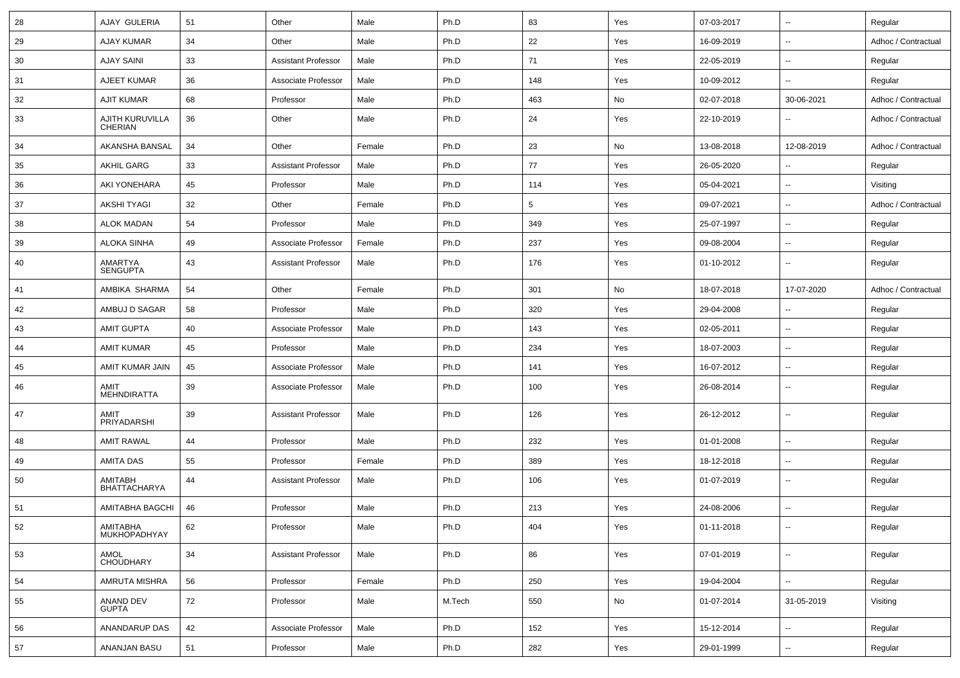| 28 | AJAY GULERIA                      | 51 | Other                      | Male   | Ph.D   | 83              | Yes | 07-03-2017 | $\overline{\phantom{a}}$ | Regular             |
|----|-----------------------------------|----|----------------------------|--------|--------|-----------------|-----|------------|--------------------------|---------------------|
| 29 | <b>AJAY KUMAR</b>                 | 34 | Other                      | Male   | Ph.D   | 22              | Yes | 16-09-2019 | $\sim$                   | Adhoc / Contractual |
| 30 | <b>AJAY SAINI</b>                 | 33 | <b>Assistant Professor</b> | Male   | Ph.D   | 71              | Yes | 22-05-2019 | $\overline{\phantom{a}}$ | Regular             |
| 31 | AJEET KUMAR                       | 36 | Associate Professor        | Male   | Ph.D   | 148             | Yes | 10-09-2012 | $\sim$                   | Regular             |
| 32 | <b>AJIT KUMAR</b>                 | 68 | Professor                  | Male   | Ph.D   | 463             | No  | 02-07-2018 | 30-06-2021               | Adhoc / Contractual |
| 33 | AJITH KURUVILLA<br><b>CHERIAN</b> | 36 | Other                      | Male   | Ph.D   | 24              | Yes | 22-10-2019 |                          | Adhoc / Contractual |
| 34 | AKANSHA BANSAL                    | 34 | Other                      | Female | Ph.D   | 23              | No  | 13-08-2018 | 12-08-2019               | Adhoc / Contractual |
| 35 | <b>AKHIL GARG</b>                 | 33 | <b>Assistant Professor</b> | Male   | Ph.D   | 77              | Yes | 26-05-2020 | $\sim$                   | Regular             |
| 36 | AKI YONEHARA                      | 45 | Professor                  | Male   | Ph.D   | 114             | Yes | 05-04-2021 | $\sim$                   | Visiting            |
| 37 | <b>AKSHI TYAGI</b>                | 32 | Other                      | Female | Ph.D   | $5\phantom{.0}$ | Yes | 09-07-2021 | $\sim$                   | Adhoc / Contractual |
| 38 | ALOK MADAN                        | 54 | Professor                  | Male   | Ph.D   | 349             | Yes | 25-07-1997 | $\sim$                   | Regular             |
| 39 | <b>ALOKA SINHA</b>                | 49 | Associate Professor        | Female | Ph.D   | 237             | Yes | 09-08-2004 | $\overline{\phantom{a}}$ | Regular             |
| 40 | <b>AMARTYA</b><br><b>SENGUPTA</b> | 43 | <b>Assistant Professor</b> | Male   | Ph.D   | 176             | Yes | 01-10-2012 | $\overline{\phantom{a}}$ | Regular             |
| 41 | AMBIKA SHARMA                     | 54 | Other                      | Female | Ph.D   | 301             | No  | 18-07-2018 | 17-07-2020               | Adhoc / Contractual |
| 42 | AMBUJ D SAGAR                     | 58 | Professor                  | Male   | Ph.D   | 320             | Yes | 29-04-2008 | $\sim$                   | Regular             |
| 43 | <b>AMIT GUPTA</b>                 | 40 | Associate Professor        | Male   | Ph.D   | 143             | Yes | 02-05-2011 | $\sim$                   | Regular             |
| 44 | <b>AMIT KUMAR</b>                 | 45 | Professor                  | Male   | Ph.D   | 234             | Yes | 18-07-2003 | $\sim$                   | Regular             |
| 45 | AMIT KUMAR JAIN                   | 45 | Associate Professor        | Male   | Ph.D   | 141             | Yes | 16-07-2012 | $\sim$                   | Regular             |
| 46 | AMIT<br><b>MEHNDIRATTA</b>        | 39 | Associate Professor        | Male   | Ph.D   | 100             | Yes | 26-08-2014 | $\overline{\phantom{a}}$ | Regular             |
| 47 | AMIT<br>PRIYADARSHI               | 39 | <b>Assistant Professor</b> | Male   | Ph.D   | 126             | Yes | 26-12-2012 | $\sim$                   | Regular             |
| 48 | <b>AMIT RAWAL</b>                 | 44 | Professor                  | Male   | Ph.D   | 232             | Yes | 01-01-2008 | $\overline{\phantom{a}}$ | Regular             |
| 49 | AMITA DAS                         | 55 | Professor                  | Female | Ph.D   | 389             | Yes | 18-12-2018 | $\sim$                   | Regular             |
| 50 | AMITABH<br><b>BHATTACHARYA</b>    | 44 | <b>Assistant Professor</b> | Male   | Ph.D   | 106             | Yes | 01-07-2019 | $\sim$                   | Regular             |
| 51 | AMITABHA BAGCHI                   | 46 | Professor                  | Male   | Ph.D   | 213             | Yes | 24-08-2006 | $\sim$                   | Regular             |
| 52 | AMITABHA<br>MUKHOPADHYAY          | 62 | Professor                  | Male   | Ph.D   | 404             | Yes | 01-11-2018 | $\sim$                   | Regular             |
| 53 | AMOL<br>CHOUDHARY                 | 34 | <b>Assistant Professor</b> | Male   | Ph.D   | 86              | Yes | 07-01-2019 | $\overline{\phantom{a}}$ | Regular             |
| 54 | AMRUTA MISHRA                     | 56 | Professor                  | Female | Ph.D   | 250             | Yes | 19-04-2004 | $\overline{\phantom{a}}$ | Regular             |
| 55 | ANAND DEV<br><b>GUPTA</b>         | 72 | Professor                  | Male   | M.Tech | 550             | No  | 01-07-2014 | 31-05-2019               | Visiting            |
| 56 | ANANDARUP DAS                     | 42 | Associate Professor        | Male   | Ph.D   | 152             | Yes | 15-12-2014 | $\sim$                   | Regular             |
| 57 | ANANJAN BASU                      | 51 | Professor                  | Male   | Ph.D   | 282             | Yes | 29-01-1999 | $\overline{\phantom{a}}$ | Regular             |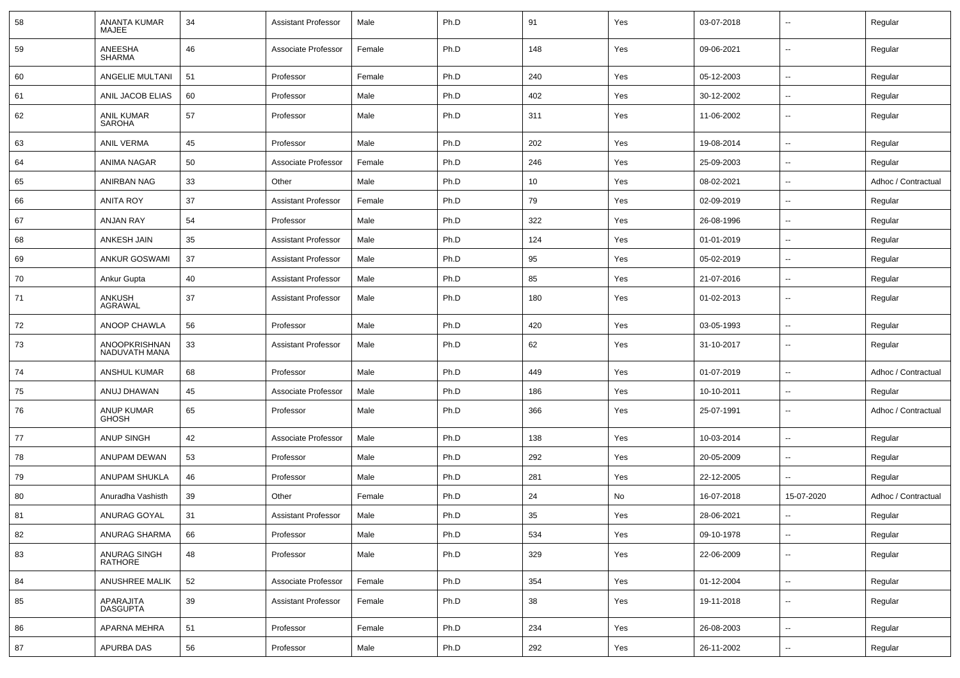| 58 | ANANTA KUMAR<br>MAJEE             | 34 | <b>Assistant Professor</b> | Male   | Ph.D | 91  | Yes | 03-07-2018 | $\overline{\phantom{a}}$ | Regular             |
|----|-----------------------------------|----|----------------------------|--------|------|-----|-----|------------|--------------------------|---------------------|
| 59 | ANEESHA<br><b>SHARMA</b>          | 46 | Associate Professor        | Female | Ph.D | 148 | Yes | 09-06-2021 | $\overline{\phantom{a}}$ | Regular             |
| 60 | ANGELIE MULTANI                   | 51 | Professor                  | Female | Ph.D | 240 | Yes | 05-12-2003 | $\overline{\phantom{a}}$ | Regular             |
| 61 | ANIL JACOB ELIAS                  | 60 | Professor                  | Male   | Ph.D | 402 | Yes | 30-12-2002 | --                       | Regular             |
| 62 | ANIL KUMAR<br><b>SAROHA</b>       | 57 | Professor                  | Male   | Ph.D | 311 | Yes | 11-06-2002 | $\overline{\phantom{a}}$ | Regular             |
| 63 | <b>ANIL VERMA</b>                 | 45 | Professor                  | Male   | Ph.D | 202 | Yes | 19-08-2014 | $\overline{\phantom{a}}$ | Regular             |
| 64 | ANIMA NAGAR                       | 50 | Associate Professor        | Female | Ph.D | 246 | Yes | 25-09-2003 | $\overline{a}$           | Regular             |
| 65 | <b>ANIRBAN NAG</b>                | 33 | Other                      | Male   | Ph.D | 10  | Yes | 08-02-2021 | --                       | Adhoc / Contractual |
| 66 | <b>ANITA ROY</b>                  | 37 | <b>Assistant Professor</b> | Female | Ph.D | 79  | Yes | 02-09-2019 | $\overline{\phantom{a}}$ | Regular             |
| 67 | <b>ANJAN RAY</b>                  | 54 | Professor                  | Male   | Ph.D | 322 | Yes | 26-08-1996 | ⊷.                       | Regular             |
| 68 | ANKESH JAIN                       | 35 | <b>Assistant Professor</b> | Male   | Ph.D | 124 | Yes | 01-01-2019 | --                       | Regular             |
| 69 | ANKUR GOSWAMI                     | 37 | <b>Assistant Professor</b> | Male   | Ph.D | 95  | Yes | 05-02-2019 | $\overline{\phantom{a}}$ | Regular             |
| 70 | Ankur Gupta                       | 40 | <b>Assistant Professor</b> | Male   | Ph.D | 85  | Yes | 21-07-2016 | --                       | Regular             |
| 71 | ANKUSH<br><b>AGRAWAL</b>          | 37 | <b>Assistant Professor</b> | Male   | Ph.D | 180 | Yes | 01-02-2013 | --                       | Regular             |
| 72 | ANOOP CHAWLA                      | 56 | Professor                  | Male   | Ph.D | 420 | Yes | 03-05-1993 | --                       | Regular             |
| 73 | ANOOPKRISHNAN<br>NADUVATH MANA    | 33 | <b>Assistant Professor</b> | Male   | Ph.D | 62  | Yes | 31-10-2017 | $\overline{\phantom{a}}$ | Regular             |
| 74 | ANSHUL KUMAR                      | 68 | Professor                  | Male   | Ph.D | 449 | Yes | 01-07-2019 | $\overline{\phantom{a}}$ | Adhoc / Contractual |
| 75 | ANUJ DHAWAN                       | 45 | Associate Professor        | Male   | Ph.D | 186 | Yes | 10-10-2011 | $\overline{\phantom{a}}$ | Regular             |
| 76 | <b>ANUP KUMAR</b><br><b>GHOSH</b> | 65 | Professor                  | Male   | Ph.D | 366 | Yes | 25-07-1991 | --                       | Adhoc / Contractual |
| 77 | <b>ANUP SINGH</b>                 | 42 | Associate Professor        | Male   | Ph.D | 138 | Yes | 10-03-2014 | $\overline{\phantom{a}}$ | Regular             |
| 78 | ANUPAM DEWAN                      | 53 | Professor                  | Male   | Ph.D | 292 | Yes | 20-05-2009 | $\overline{\phantom{a}}$ | Regular             |
| 79 | <b>ANUPAM SHUKLA</b>              | 46 | Professor                  | Male   | Ph.D | 281 | Yes | 22-12-2005 | --                       | Regular             |
| 80 | Anuradha Vashisth                 | 39 | Other                      | Female | Ph.D | 24  | No  | 16-07-2018 | 15-07-2020               | Adhoc / Contractual |
| 81 | ANURAG GOYAL                      | 31 | <b>Assistant Professor</b> | Male   | Ph.D | 35  | Yes | 28-06-2021 | --                       | Regular             |
| 82 | ANURAG SHARMA                     | 66 | Professor                  | Male   | Ph.D | 534 | Yes | 09-10-1978 | $\sim$                   | Regular             |
| 83 | ANURAG SINGH<br><b>RATHORE</b>    | 48 | Professor                  | Male   | Ph.D | 329 | Yes | 22-06-2009 | $\overline{\phantom{a}}$ | Regular             |
| 84 | ANUSHREE MALIK                    | 52 | Associate Professor        | Female | Ph.D | 354 | Yes | 01-12-2004 | $\sim$                   | Regular             |
| 85 | APARAJITA<br>DASGUPTA             | 39 | <b>Assistant Professor</b> | Female | Ph.D | 38  | Yes | 19-11-2018 | $\sim$                   | Regular             |
| 86 | APARNA MEHRA                      | 51 | Professor                  | Female | Ph.D | 234 | Yes | 26-08-2003 | Ц.                       | Regular             |
| 87 | APURBA DAS                        | 56 | Professor                  | Male   | Ph.D | 292 | Yes | 26-11-2002 | $\overline{\phantom{a}}$ | Regular             |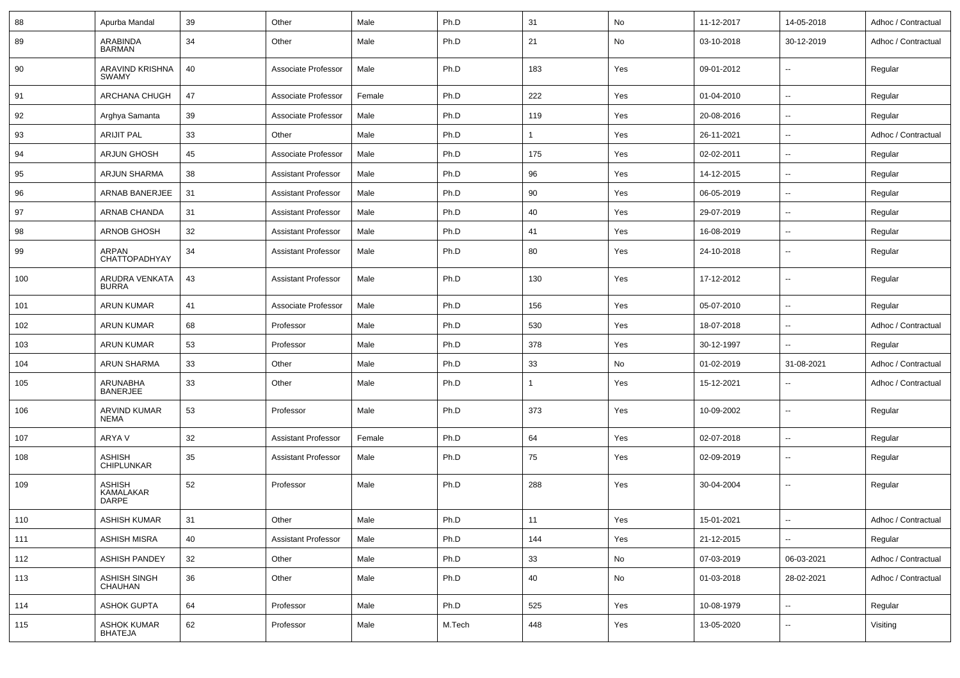| 88  | Apurba Mandal                              | 39 | Other                      | Male   | Ph.D   | 31           | No  | 11-12-2017 | 14-05-2018               | Adhoc / Contractual |
|-----|--------------------------------------------|----|----------------------------|--------|--------|--------------|-----|------------|--------------------------|---------------------|
| 89  | ARABINDA<br><b>BARMAN</b>                  | 34 | Other                      | Male   | Ph.D   | 21           | No  | 03-10-2018 | 30-12-2019               | Adhoc / Contractual |
| 90  | ARAVIND KRISHNA<br><b>SWAMY</b>            | 40 | Associate Professor        | Male   | Ph.D   | 183          | Yes | 09-01-2012 | $\sim$                   | Regular             |
| 91  | ARCHANA CHUGH                              | 47 | Associate Professor        | Female | Ph.D   | 222          | Yes | 01-04-2010 | $\overline{\phantom{a}}$ | Regular             |
| 92  | Arghya Samanta                             | 39 | Associate Professor        | Male   | Ph.D   | 119          | Yes | 20-08-2016 | $\sim$                   | Regular             |
| 93  | <b>ARIJIT PAL</b>                          | 33 | Other                      | Male   | Ph.D   | $\mathbf{1}$ | Yes | 26-11-2021 | $\sim$                   | Adhoc / Contractual |
| 94  | ARJUN GHOSH                                | 45 | Associate Professor        | Male   | Ph.D   | 175          | Yes | 02-02-2011 | $\sim$                   | Regular             |
| 95  | <b>ARJUN SHARMA</b>                        | 38 | Assistant Professor        | Male   | Ph.D   | 96           | Yes | 14-12-2015 | $\sim$                   | Regular             |
| 96  | ARNAB BANERJEE                             | 31 | Assistant Professor        | Male   | Ph.D   | 90           | Yes | 06-05-2019 | $\sim$                   | Regular             |
| 97  | ARNAB CHANDA                               | 31 | <b>Assistant Professor</b> | Male   | Ph.D   | 40           | Yes | 29-07-2019 | $\overline{\phantom{a}}$ | Regular             |
| 98  | ARNOB GHOSH                                | 32 | <b>Assistant Professor</b> | Male   | Ph.D   | 41           | Yes | 16-08-2019 | $\overline{\phantom{a}}$ | Regular             |
| 99  | ARPAN<br>CHATTOPADHYAY                     | 34 | <b>Assistant Professor</b> | Male   | Ph.D   | 80           | Yes | 24-10-2018 | $\overline{\phantom{a}}$ | Regular             |
| 100 | ARUDRA VENKATA<br><b>BURRA</b>             | 43 | <b>Assistant Professor</b> | Male   | Ph.D   | 130          | Yes | 17-12-2012 | $\sim$                   | Regular             |
| 101 | <b>ARUN KUMAR</b>                          | 41 | Associate Professor        | Male   | Ph.D   | 156          | Yes | 05-07-2010 | $\overline{\phantom{a}}$ | Regular             |
| 102 | <b>ARUN KUMAR</b>                          | 68 | Professor                  | Male   | Ph.D   | 530          | Yes | 18-07-2018 | $\sim$                   | Adhoc / Contractual |
| 103 | <b>ARUN KUMAR</b>                          | 53 | Professor                  | Male   | Ph.D   | 378          | Yes | 30-12-1997 | $\overline{\phantom{a}}$ | Regular             |
| 104 | ARUN SHARMA                                | 33 | Other                      | Male   | Ph.D   | 33           | No  | 01-02-2019 | 31-08-2021               | Adhoc / Contractual |
| 105 | ARUNABHA<br><b>BANERJEE</b>                | 33 | Other                      | Male   | Ph.D   | $\mathbf{1}$ | Yes | 15-12-2021 | $\sim$                   | Adhoc / Contractual |
| 106 | ARVIND KUMAR<br><b>NEMA</b>                | 53 | Professor                  | Male   | Ph.D   | 373          | Yes | 10-09-2002 | $\sim$                   | Regular             |
| 107 | ARYA V                                     | 32 | Assistant Professor        | Female | Ph.D   | 64           | Yes | 02-07-2018 | $\overline{\phantom{a}}$ | Regular             |
| 108 | <b>ASHISH</b><br>CHIPLUNKAR                | 35 | <b>Assistant Professor</b> | Male   | Ph.D   | 75           | Yes | 02-09-2019 | $\sim$                   | Regular             |
| 109 | <b>ASHISH</b><br>KAMALAKAR<br><b>DARPE</b> | 52 | Professor                  | Male   | Ph.D   | 288          | Yes | 30-04-2004 | $\sim$                   | Regular             |
| 110 | <b>ASHISH KUMAR</b>                        | 31 | Other                      | Male   | Ph.D   | 11           | Yes | 15-01-2021 | $\sim$                   | Adhoc / Contractual |
| 111 | <b>ASHISH MISRA</b>                        | 40 | <b>Assistant Professor</b> | Male   | Ph.D   | 144          | Yes | 21-12-2015 | $\overline{\phantom{a}}$ | Regular             |
| 112 | <b>ASHISH PANDEY</b>                       | 32 | Other                      | Male   | Ph.D   | $33\,$       | No  | 07-03-2019 | 06-03-2021               | Adhoc / Contractual |
| 113 | ASHISH SINGH<br>CHAUHAN                    | 36 | Other                      | Male   | Ph.D   | 40           | No  | 01-03-2018 | 28-02-2021               | Adhoc / Contractual |
| 114 | <b>ASHOK GUPTA</b>                         | 64 | Professor                  | Male   | Ph.D   | 525          | Yes | 10-08-1979 | $\sim$                   | Regular             |
| 115 | <b>ASHOK KUMAR</b><br><b>BHATEJA</b>       | 62 | Professor                  | Male   | M.Tech | 448          | Yes | 13-05-2020 | $\sim$                   | Visiting            |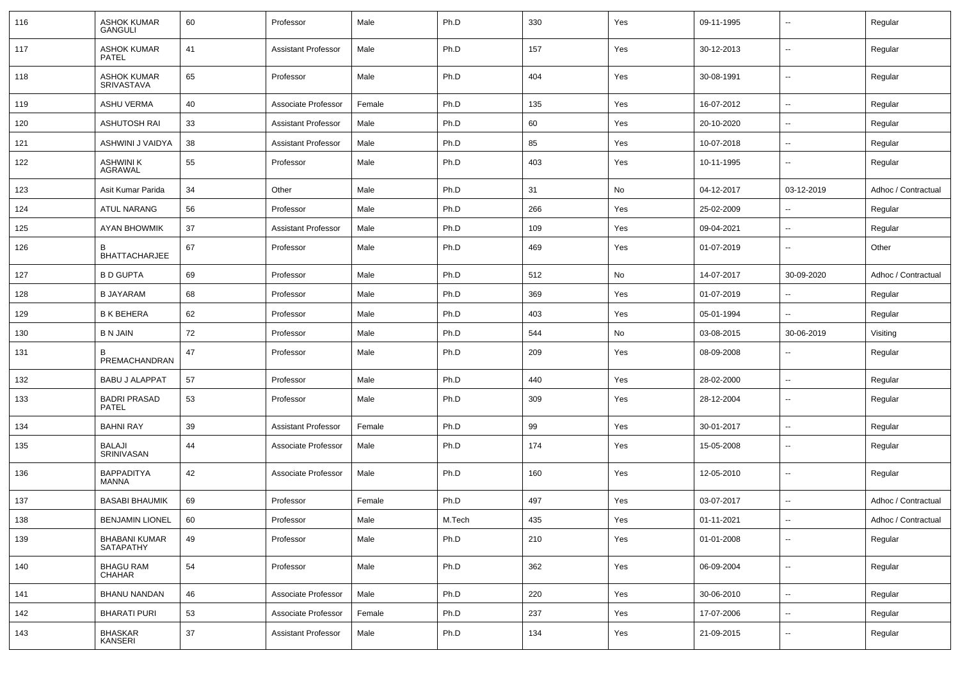| 116 | <b>ASHOK KUMAR</b><br><b>GANGULI</b>     | 60 | Professor                  | Male   | Ph.D   | 330 | Yes | 09-11-1995 | $\overline{\phantom{a}}$ | Regular             |
|-----|------------------------------------------|----|----------------------------|--------|--------|-----|-----|------------|--------------------------|---------------------|
| 117 | <b>ASHOK KUMAR</b><br><b>PATEL</b>       | 41 | <b>Assistant Professor</b> | Male   | Ph.D   | 157 | Yes | 30-12-2013 | ⊷.                       | Regular             |
| 118 | <b>ASHOK KUMAR</b><br><b>SRIVASTAVA</b>  | 65 | Professor                  | Male   | Ph.D   | 404 | Yes | 30-08-1991 | ⊷.                       | Regular             |
| 119 | <b>ASHU VERMA</b>                        | 40 | Associate Professor        | Female | Ph.D   | 135 | Yes | 16-07-2012 | н.                       | Regular             |
| 120 | <b>ASHUTOSH RAI</b>                      | 33 | <b>Assistant Professor</b> | Male   | Ph.D   | 60  | Yes | 20-10-2020 | ⊷.                       | Regular             |
| 121 | ASHWINI J VAIDYA                         | 38 | <b>Assistant Professor</b> | Male   | Ph.D   | 85  | Yes | 10-07-2018 | $\overline{\phantom{a}}$ | Regular             |
| 122 | ASHWINI K<br>AGRAWAL                     | 55 | Professor                  | Male   | Ph.D   | 403 | Yes | 10-11-1995 | $\sim$                   | Regular             |
| 123 | Asit Kumar Parida                        | 34 | Other                      | Male   | Ph.D   | 31  | No  | 04-12-2017 | 03-12-2019               | Adhoc / Contractual |
| 124 | <b>ATUL NARANG</b>                       | 56 | Professor                  | Male   | Ph.D   | 266 | Yes | 25-02-2009 | --                       | Regular             |
| 125 | AYAN BHOWMIK                             | 37 | <b>Assistant Professor</b> | Male   | Ph.D   | 109 | Yes | 09-04-2021 | $\overline{\phantom{a}}$ | Regular             |
| 126 | <b>BHATTACHARJEE</b>                     | 67 | Professor                  | Male   | Ph.D   | 469 | Yes | 01-07-2019 | $\overline{\phantom{a}}$ | Other               |
| 127 | <b>B D GUPTA</b>                         | 69 | Professor                  | Male   | Ph.D   | 512 | No  | 14-07-2017 | 30-09-2020               | Adhoc / Contractual |
| 128 | B JAYARAM                                | 68 | Professor                  | Male   | Ph.D   | 369 | Yes | 01-07-2019 | --                       | Regular             |
| 129 | <b>B K BEHERA</b>                        | 62 | Professor                  | Male   | Ph.D   | 403 | Yes | 05-01-1994 | --                       | Regular             |
| 130 | B N JAIN                                 | 72 | Professor                  | Male   | Ph.D   | 544 | No  | 03-08-2015 | 30-06-2019               | Visiting            |
| 131 | B<br>PREMACHANDRAN                       | 47 | Professor                  | Male   | Ph.D   | 209 | Yes | 08-09-2008 | $\overline{\phantom{a}}$ | Regular             |
| 132 | <b>BABU J ALAPPAT</b>                    | 57 | Professor                  | Male   | Ph.D   | 440 | Yes | 28-02-2000 | $\overline{\phantom{a}}$ | Regular             |
| 133 | <b>BADRI PRASAD</b><br><b>PATEL</b>      | 53 | Professor                  | Male   | Ph.D   | 309 | Yes | 28-12-2004 | ⊷.                       | Regular             |
| 134 | <b>BAHNI RAY</b>                         | 39 | <b>Assistant Professor</b> | Female | Ph.D   | 99  | Yes | 30-01-2017 | ⊷.                       | Regular             |
| 135 | BALAJI<br>SRINIVASAN                     | 44 | Associate Professor        | Male   | Ph.D   | 174 | Yes | 15-05-2008 | ⊷.                       | Regular             |
| 136 | <b>BAPPADITYA</b><br><b>MANNA</b>        | 42 | Associate Professor        | Male   | Ph.D   | 160 | Yes | 12-05-2010 | ⊷.                       | Regular             |
| 137 | <b>BASABI BHAUMIK</b>                    | 69 | Professor                  | Female | Ph.D   | 497 | Yes | 03-07-2017 | н.                       | Adhoc / Contractual |
| 138 | <b>BENJAMIN LIONEL</b>                   | 60 | Professor                  | Male   | M.Tech | 435 | Yes | 01-11-2021 | ⊷.                       | Adhoc / Contractual |
| 139 | <b>BHABANI KUMAR</b><br><b>SATAPATHY</b> | 49 | Professor                  | Male   | Ph.D   | 210 | Yes | 01-01-2008 | $\overline{\phantom{a}}$ | Regular             |
| 140 | <b>BHAGU RAM</b><br><b>CHAHAR</b>        | 54 | Professor                  | Male   | Ph.D   | 362 | Yes | 06-09-2004 | $\overline{\phantom{a}}$ | Regular             |
| 141 | <b>BHANU NANDAN</b>                      | 46 | Associate Professor        | Male   | Ph.D   | 220 | Yes | 30-06-2010 | $\overline{\phantom{a}}$ | Regular             |
| 142 | <b>BHARATI PURI</b>                      | 53 | Associate Professor        | Female | Ph.D   | 237 | Yes | 17-07-2006 | ⊷.                       | Regular             |
| 143 | <b>BHASKAR</b><br><b>KANSERI</b>         | 37 | <b>Assistant Professor</b> | Male   | Ph.D   | 134 | Yes | 21-09-2015 | н.                       | Regular             |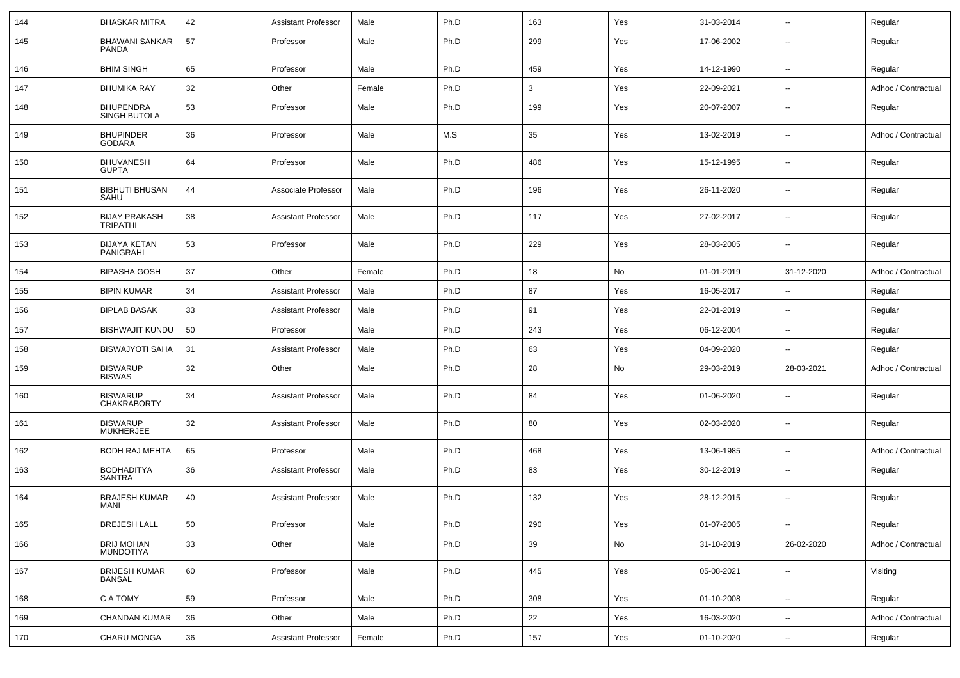| 144 | <b>BHASKAR MITRA</b>                    | 42 | <b>Assistant Professor</b> | Male   | Ph.D | 163 | Yes | 31-03-2014 | $\overline{\phantom{a}}$ | Regular             |
|-----|-----------------------------------------|----|----------------------------|--------|------|-----|-----|------------|--------------------------|---------------------|
| 145 | <b>BHAWANI SANKAR</b><br>PANDA          | 57 | Professor                  | Male   | Ph.D | 299 | Yes | 17-06-2002 | $\overline{\phantom{a}}$ | Regular             |
| 146 | <b>BHIM SINGH</b>                       | 65 | Professor                  | Male   | Ph.D | 459 | Yes | 14-12-1990 | $\overline{\phantom{a}}$ | Regular             |
| 147 | <b>BHUMIKA RAY</b>                      | 32 | Other                      | Female | Ph.D | 3   | Yes | 22-09-2021 | $\overline{\phantom{a}}$ | Adhoc / Contractual |
| 148 | <b>BHUPENDRA</b><br>SINGH BUTOLA        | 53 | Professor                  | Male   | Ph.D | 199 | Yes | 20-07-2007 | $\overline{\phantom{a}}$ | Regular             |
| 149 | <b>BHUPINDER</b><br>GODARA              | 36 | Professor                  | Male   | M.S  | 35  | Yes | 13-02-2019 | $\overline{\phantom{a}}$ | Adhoc / Contractual |
| 150 | <b>BHUVANESH</b><br><b>GUPTA</b>        | 64 | Professor                  | Male   | Ph.D | 486 | Yes | 15-12-1995 | $\overline{\phantom{a}}$ | Regular             |
| 151 | <b>BIBHUTI BHUSAN</b><br>SAHU           | 44 | Associate Professor        | Male   | Ph.D | 196 | Yes | 26-11-2020 | $\overline{\phantom{a}}$ | Regular             |
| 152 | <b>BIJAY PRAKASH</b><br><b>TRIPATHI</b> | 38 | <b>Assistant Professor</b> | Male   | Ph.D | 117 | Yes | 27-02-2017 | $\overline{\phantom{a}}$ | Regular             |
| 153 | <b>BIJAYA KETAN</b><br>PANIGRAHI        | 53 | Professor                  | Male   | Ph.D | 229 | Yes | 28-03-2005 | $\overline{\phantom{a}}$ | Regular             |
| 154 | <b>BIPASHA GOSH</b>                     | 37 | Other                      | Female | Ph.D | 18  | No  | 01-01-2019 | 31-12-2020               | Adhoc / Contractual |
| 155 | <b>BIPIN KUMAR</b>                      | 34 | <b>Assistant Professor</b> | Male   | Ph.D | 87  | Yes | 16-05-2017 | Ξ.                       | Regular             |
| 156 | <b>BIPLAB BASAK</b>                     | 33 | <b>Assistant Professor</b> | Male   | Ph.D | 91  | Yes | 22-01-2019 | $\overline{\phantom{a}}$ | Regular             |
| 157 | <b>BISHWAJIT KUNDU</b>                  | 50 | Professor                  | Male   | Ph.D | 243 | Yes | 06-12-2004 | ⊶.                       | Regular             |
| 158 | <b>BISWAJYOTI SAHA</b>                  | 31 | <b>Assistant Professor</b> | Male   | Ph.D | 63  | Yes | 04-09-2020 | $\overline{\phantom{a}}$ | Regular             |
| 159 | <b>BISWARUP</b><br><b>BISWAS</b>        | 32 | Other                      | Male   | Ph.D | 28  | No  | 29-03-2019 | 28-03-2021               | Adhoc / Contractual |
| 160 | <b>BISWARUP</b><br><b>CHAKRABORTY</b>   | 34 | <b>Assistant Professor</b> | Male   | Ph.D | 84  | Yes | 01-06-2020 | $\overline{\phantom{a}}$ | Regular             |
| 161 | <b>BISWARUP</b><br><b>MUKHERJEE</b>     | 32 | <b>Assistant Professor</b> | Male   | Ph.D | 80  | Yes | 02-03-2020 | $\overline{\phantom{a}}$ | Regular             |
| 162 | <b>BODH RAJ MEHTA</b>                   | 65 | Professor                  | Male   | Ph.D | 468 | Yes | 13-06-1985 | $\overline{\phantom{a}}$ | Adhoc / Contractual |
| 163 | <b>BODHADITYA</b><br><b>SANTRA</b>      | 36 | <b>Assistant Professor</b> | Male   | Ph.D | 83  | Yes | 30-12-2019 | $\overline{\phantom{a}}$ | Regular             |
| 164 | <b>BRAJESH KUMAR</b><br><b>MANI</b>     | 40 | <b>Assistant Professor</b> | Male   | Ph.D | 132 | Yes | 28-12-2015 | $\overline{\phantom{a}}$ | Regular             |
| 165 | <b>BREJESH LALL</b>                     | 50 | Professor                  | Male   | Ph.D | 290 | Yes | 01-07-2005 | $- -$                    | Regular             |
| 166 | <b>BRIJ MOHAN</b><br><b>MUNDOTIYA</b>   | 33 | Other                      | Male   | Ph.D | 39  | No  | 31-10-2019 | 26-02-2020               | Adhoc / Contractual |
| 167 | <b>BRIJESH KUMAR</b><br><b>BANSAL</b>   | 60 | Professor                  | Male   | Ph.D | 445 | Yes | 05-08-2021 | $\overline{\phantom{a}}$ | Visiting            |
| 168 | C A TOMY                                | 59 | Professor                  | Male   | Ph.D | 308 | Yes | 01-10-2008 | $\overline{\phantom{a}}$ | Regular             |
| 169 | CHANDAN KUMAR                           | 36 | Other                      | Male   | Ph.D | 22  | Yes | 16-03-2020 | Щ,                       | Adhoc / Contractual |
| 170 | CHARU MONGA                             | 36 | <b>Assistant Professor</b> | Female | Ph.D | 157 | Yes | 01-10-2020 | н,                       | Regular             |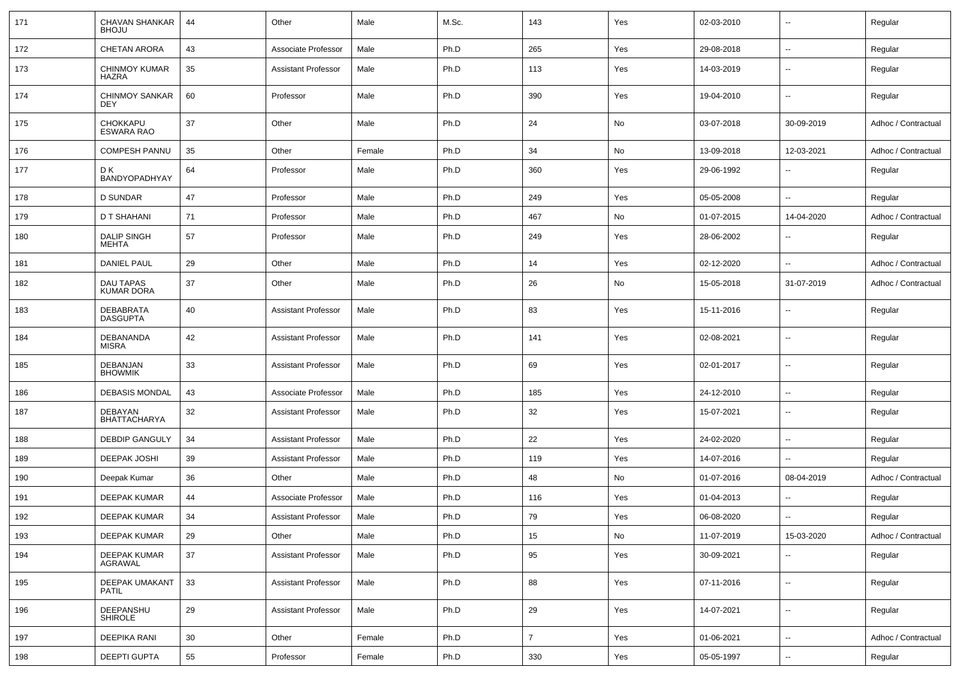| 171 | CHAVAN SHANKAR<br><b>BHOJU</b>       | 44 | Other                      | Male   | M.Sc. | 143            | Yes | 02-03-2010 | $\overline{\phantom{a}}$ | Regular             |
|-----|--------------------------------------|----|----------------------------|--------|-------|----------------|-----|------------|--------------------------|---------------------|
| 172 | <b>CHETAN ARORA</b>                  | 43 | Associate Professor        | Male   | Ph.D  | 265            | Yes | 29-08-2018 | $\overline{\phantom{a}}$ | Regular             |
| 173 | <b>CHINMOY KUMAR</b><br>HAZRA        | 35 | <b>Assistant Professor</b> | Male   | Ph.D  | 113            | Yes | 14-03-2019 | Ξ.                       | Regular             |
| 174 | <b>CHINMOY SANKAR</b><br>DEY         | 60 | Professor                  | Male   | Ph.D  | 390            | Yes | 19-04-2010 | Ξ.                       | Regular             |
| 175 | <b>CHOKKAPU</b><br><b>ESWARA RAO</b> | 37 | Other                      | Male   | Ph.D  | 24             | No  | 03-07-2018 | 30-09-2019               | Adhoc / Contractual |
| 176 | <b>COMPESH PANNU</b>                 | 35 | Other                      | Female | Ph.D  | 34             | No  | 13-09-2018 | 12-03-2021               | Adhoc / Contractual |
| 177 | D K<br>BANDYOPADHYAY                 | 64 | Professor                  | Male   | Ph.D  | 360            | Yes | 29-06-1992 | ۰.                       | Regular             |
| 178 | <b>D SUNDAR</b>                      | 47 | Professor                  | Male   | Ph.D  | 249            | Yes | 05-05-2008 | Ξ.                       | Regular             |
| 179 | D T SHAHANI                          | 71 | Professor                  | Male   | Ph.D  | 467            | No  | 01-07-2015 | 14-04-2020               | Adhoc / Contractual |
| 180 | <b>DALIP SINGH</b><br>MEHTA          | 57 | Professor                  | Male   | Ph.D  | 249            | Yes | 28-06-2002 |                          | Regular             |
| 181 | <b>DANIEL PAUL</b>                   | 29 | Other                      | Male   | Ph.D  | 14             | Yes | 02-12-2020 | $\overline{\phantom{a}}$ | Adhoc / Contractual |
| 182 | DAU TAPAS<br><b>KUMAR DORA</b>       | 37 | Other                      | Male   | Ph.D  | 26             | No  | 15-05-2018 | 31-07-2019               | Adhoc / Contractual |
| 183 | <b>DEBABRATA</b><br><b>DASGUPTA</b>  | 40 | <b>Assistant Professor</b> | Male   | Ph.D  | 83             | Yes | 15-11-2016 | $\overline{\phantom{a}}$ | Regular             |
| 184 | DEBANANDA<br><b>MISRA</b>            | 42 | <b>Assistant Professor</b> | Male   | Ph.D  | 141            | Yes | 02-08-2021 | $\overline{a}$           | Regular             |
| 185 | DEBANJAN<br><b>BHOWMIK</b>           | 33 | <b>Assistant Professor</b> | Male   | Ph.D  | 69             | Yes | 02-01-2017 | $\overline{\phantom{a}}$ | Regular             |
| 186 | <b>DEBASIS MONDAL</b>                | 43 | Associate Professor        | Male   | Ph.D  | 185            | Yes | 24-12-2010 | $\sim$                   | Regular             |
| 187 | DEBAYAN<br>BHATTACHARYA              | 32 | <b>Assistant Professor</b> | Male   | Ph.D  | 32             | Yes | 15-07-2021 | ۰.                       | Regular             |
| 188 | <b>DEBDIP GANGULY</b>                | 34 | <b>Assistant Professor</b> | Male   | Ph.D  | 22             | Yes | 24-02-2020 | $\overline{\phantom{a}}$ | Regular             |
| 189 | <b>DEEPAK JOSHI</b>                  | 39 | <b>Assistant Professor</b> | Male   | Ph.D  | 119            | Yes | 14-07-2016 | Ξ.                       | Regular             |
| 190 | Deepak Kumar                         | 36 | Other                      | Male   | Ph.D  | 48             | No  | 01-07-2016 | 08-04-2019               | Adhoc / Contractual |
| 191 | DEEPAK KUMAR                         | 44 | Associate Professor        | Male   | Ph.D  | 116            | Yes | 01-04-2013 |                          | Regular             |
| 192 | DEEPAK KUMAR                         | 34 | <b>Assistant Professor</b> | Male   | Ph.D  | 79             | Yes | 06-08-2020 | ۰.                       | Regular             |
| 193 | DEEPAK KUMAR                         | 29 | Other                      | Male   | Ph.D  | 15             | No  | 11-07-2019 | 15-03-2020               | Adhoc / Contractual |
| 194 | DEEPAK KUMAR<br>AGRAWAL              | 37 | <b>Assistant Professor</b> | Male   | Ph.D  | 95             | Yes | 30-09-2021 | Ξ.                       | Regular             |
| 195 | DEEPAK UMAKANT<br>PATIL              | 33 | <b>Assistant Professor</b> | Male   | Ph.D  | 88             | Yes | 07-11-2016 | Ξ.                       | Regular             |
| 196 | DEEPANSHU<br><b>SHIROLE</b>          | 29 | <b>Assistant Professor</b> | Male   | Ph.D  | 29             | Yes | 14-07-2021 | Ξ.                       | Regular             |
| 197 | <b>DEEPIKA RANI</b>                  | 30 | Other                      | Female | Ph.D  | $\overline{7}$ | Yes | 01-06-2021 | Ξ.                       | Adhoc / Contractual |
| 198 | DEEPTI GUPTA                         | 55 | Professor                  | Female | Ph.D  | 330            | Yes | 05-05-1997 | $\overline{\phantom{a}}$ | Regular             |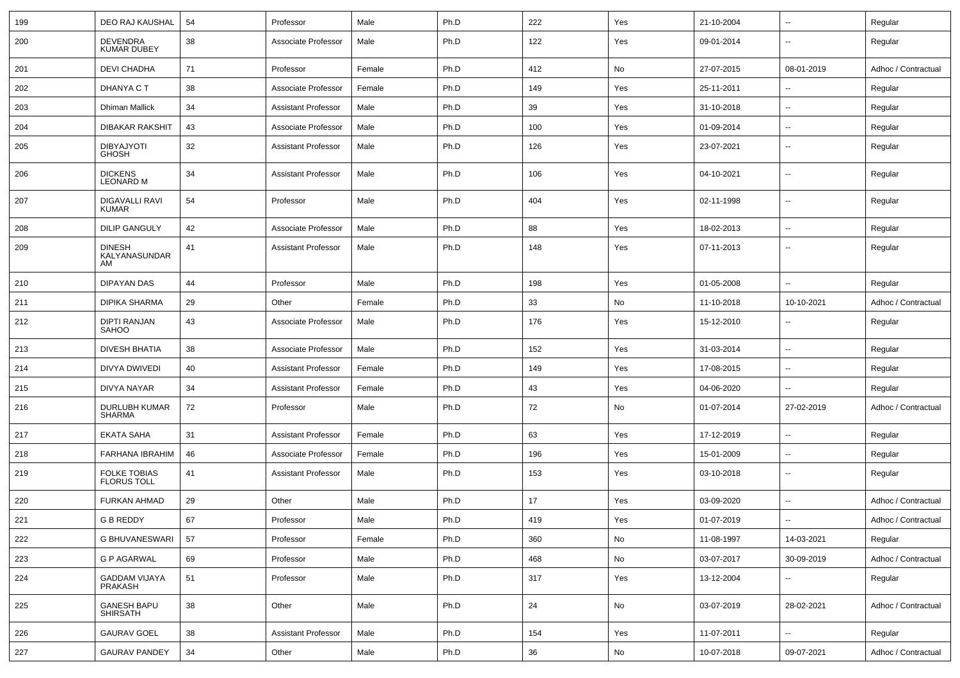| 199 | DEO RAJ KAUSHAL                        | 54 | Professor                  | Male   | Ph.D | 222 | Yes | 21-10-2004 | $\overline{\phantom{a}}$ | Regular             |
|-----|----------------------------------------|----|----------------------------|--------|------|-----|-----|------------|--------------------------|---------------------|
| 200 | <b>DEVENDRA</b><br><b>KUMAR DUBEY</b>  | 38 | Associate Professor        | Male   | Ph.D | 122 | Yes | 09-01-2014 | ۰.                       | Regular             |
| 201 | <b>DEVI CHADHA</b>                     | 71 | Professor                  | Female | Ph.D | 412 | No  | 27-07-2015 | 08-01-2019               | Adhoc / Contractual |
| 202 | DHANYA C T                             | 38 | Associate Professor        | Female | Ph.D | 149 | Yes | 25-11-2011 | $\overline{\phantom{a}}$ | Regular             |
| 203 | Dhiman Mallick                         | 34 | <b>Assistant Professor</b> | Male   | Ph.D | 39  | Yes | 31-10-2018 | ۰.                       | Regular             |
| 204 | <b>DIBAKAR RAKSHIT</b>                 | 43 | Associate Professor        | Male   | Ph.D | 100 | Yes | 01-09-2014 | ۰.                       | Regular             |
| 205 | <b>DIBYAJYOTI</b><br><b>GHOSH</b>      | 32 | <b>Assistant Professor</b> | Male   | Ph.D | 126 | Yes | 23-07-2021 | ۰.                       | Regular             |
| 206 | <b>DICKENS</b><br><b>LEONARD M</b>     | 34 | <b>Assistant Professor</b> | Male   | Ph.D | 106 | Yes | 04-10-2021 | $\overline{a}$           | Regular             |
| 207 | <b>DIGAVALLI RAVI</b><br><b>KUMAR</b>  | 54 | Professor                  | Male   | Ph.D | 404 | Yes | 02-11-1998 | $\overline{a}$           | Regular             |
| 208 | <b>DILIP GANGULY</b>                   | 42 | Associate Professor        | Male   | Ph.D | 88  | Yes | 18-02-2013 | $\overline{a}$           | Regular             |
| 209 | <b>DINESH</b><br>KALYANASUNDAR<br>AM   | 41 | <b>Assistant Professor</b> | Male   | Ph.D | 148 | Yes | 07-11-2013 | $\overline{\phantom{a}}$ | Regular             |
| 210 | <b>DIPAYAN DAS</b>                     | 44 | Professor                  | Male   | Ph.D | 198 | Yes | 01-05-2008 | u.                       | Regular             |
| 211 | <b>DIPIKA SHARMA</b>                   | 29 | Other                      | Female | Ph.D | 33  | No  | 11-10-2018 | 10-10-2021               | Adhoc / Contractual |
| 212 | <b>DIPTI RANJAN</b><br><b>SAHOO</b>    | 43 | Associate Professor        | Male   | Ph.D | 176 | Yes | 15-12-2010 | ۰.                       | Regular             |
| 213 | <b>DIVESH BHATIA</b>                   | 38 | Associate Professor        | Male   | Ph.D | 152 | Yes | 31-03-2014 | $\overline{\phantom{a}}$ | Regular             |
| 214 | DIVYA DWIVEDI                          | 40 | <b>Assistant Professor</b> | Female | Ph.D | 149 | Yes | 17-08-2015 | --                       | Regular             |
| 215 | <b>DIVYA NAYAR</b>                     | 34 | <b>Assistant Professor</b> | Female | Ph.D | 43  | Yes | 04-06-2020 | ۰.                       | Regular             |
| 216 | DURLUBH KUMAR<br><b>SHARMA</b>         | 72 | Professor                  | Male   | Ph.D | 72  | No  | 01-07-2014 | 27-02-2019               | Adhoc / Contractual |
| 217 | <b>EKATA SAHA</b>                      | 31 | <b>Assistant Professor</b> | Female | Ph.D | 63  | Yes | 17-12-2019 | ۰.                       | Regular             |
| 218 | FARHANA IBRAHIM                        | 46 | Associate Professor        | Female | Ph.D | 196 | Yes | 15-01-2009 | ۰.                       | Regular             |
| 219 | FOLKE TOBIAS<br><b>FLORUS TOLL</b>     | 41 | <b>Assistant Professor</b> | Male   | Ph.D | 153 | Yes | 03-10-2018 | $\overline{\phantom{a}}$ | Regular             |
| 220 | <b>FURKAN AHMAD</b>                    | 29 | Other                      | Male   | Ph.D | 17  | Yes | 03-09-2020 | $\overline{\phantom{a}}$ | Adhoc / Contractual |
| 221 | <b>G B REDDY</b>                       | 67 | Professor                  | Male   | Ph.D | 419 | Yes | 01-07-2019 | ⊷                        | Adhoc / Contractual |
| 222 | <b>G BHUVANESWARI</b>                  | 57 | Professor                  | Female | Ph.D | 360 | No  | 11-08-1997 | 14-03-2021               | Regular             |
| 223 | <b>G P AGARWAL</b>                     | 69 | Professor                  | Male   | Ph.D | 468 | No  | 03-07-2017 | 30-09-2019               | Adhoc / Contractual |
| 224 | <b>GADDAM VIJAYA</b><br><b>PRAKASH</b> | 51 | Professor                  | Male   | Ph.D | 317 | Yes | 13-12-2004 |                          | Regular             |
| 225 | <b>GANESH BAPU</b><br><b>SHIRSATH</b>  | 38 | Other                      | Male   | Ph.D | 24  | No  | 03-07-2019 | 28-02-2021               | Adhoc / Contractual |
| 226 | <b>GAURAV GOEL</b>                     | 38 | <b>Assistant Professor</b> | Male   | Ph.D | 154 | Yes | 11-07-2011 | $\overline{\phantom{a}}$ | Regular             |
| 227 | <b>GAURAV PANDEY</b>                   | 34 | Other                      | Male   | Ph.D | 36  | No  | 10-07-2018 | 09-07-2021               | Adhoc / Contractual |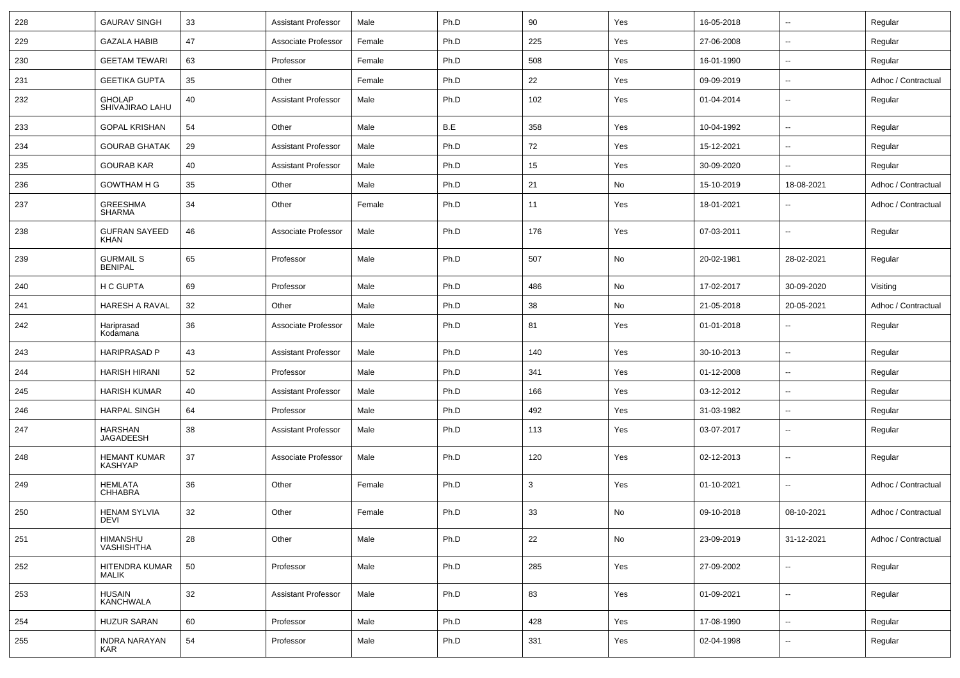| 228 | <b>GAURAV SINGH</b>                   | 33 | <b>Assistant Professor</b> | Male   | Ph.D | 90  | Yes | 16-05-2018 | $\overline{\phantom{a}}$ | Regular             |
|-----|---------------------------------------|----|----------------------------|--------|------|-----|-----|------------|--------------------------|---------------------|
| 229 | <b>GAZALA HABIB</b>                   | 47 | Associate Professor        | Female | Ph.D | 225 | Yes | 27-06-2008 | $\overline{\phantom{a}}$ | Regular             |
| 230 | <b>GEETAM TEWARI</b>                  | 63 | Professor                  | Female | Ph.D | 508 | Yes | 16-01-1990 | $\overline{\phantom{a}}$ | Regular             |
| 231 | <b>GEETIKA GUPTA</b>                  | 35 | Other                      | Female | Ph.D | 22  | Yes | 09-09-2019 | $\overline{\phantom{a}}$ | Adhoc / Contractual |
| 232 | <b>GHOLAP</b><br>SHIVAJIRAO LAHU      | 40 | <b>Assistant Professor</b> | Male   | Ph.D | 102 | Yes | 01-04-2014 | $\overline{\phantom{a}}$ | Regular             |
| 233 | <b>GOPAL KRISHAN</b>                  | 54 | Other                      | Male   | B.E  | 358 | Yes | 10-04-1992 | $\overline{\phantom{a}}$ | Regular             |
| 234 | <b>GOURAB GHATAK</b>                  | 29 | <b>Assistant Professor</b> | Male   | Ph.D | 72  | Yes | 15-12-2021 | $\overline{\phantom{a}}$ | Regular             |
| 235 | <b>GOURAB KAR</b>                     | 40 | <b>Assistant Professor</b> | Male   | Ph.D | 15  | Yes | 30-09-2020 | $\overline{\phantom{a}}$ | Regular             |
| 236 | <b>GOWTHAM H G</b>                    | 35 | Other                      | Male   | Ph.D | 21  | No  | 15-10-2019 | 18-08-2021               | Adhoc / Contractual |
| 237 | GREESHMA<br><b>SHARMA</b>             | 34 | Other                      | Female | Ph.D | 11  | Yes | 18-01-2021 | $\overline{\phantom{a}}$ | Adhoc / Contractual |
| 238 | <b>GUFRAN SAYEED</b><br><b>KHAN</b>   | 46 | Associate Professor        | Male   | Ph.D | 176 | Yes | 07-03-2011 | $\overline{\phantom{a}}$ | Regular             |
| 239 | <b>GURMAIL S</b><br><b>BENIPAL</b>    | 65 | Professor                  | Male   | Ph.D | 507 | No  | 20-02-1981 | 28-02-2021               | Regular             |
| 240 | H C GUPTA                             | 69 | Professor                  | Male   | Ph.D | 486 | No  | 17-02-2017 | 30-09-2020               | Visiting            |
| 241 | HARESH A RAVAL                        | 32 | Other                      | Male   | Ph.D | 38  | No  | 21-05-2018 | 20-05-2021               | Adhoc / Contractual |
| 242 | Hariprasad<br>Kodamana                | 36 | Associate Professor        | Male   | Ph.D | 81  | Yes | 01-01-2018 | $\overline{\phantom{a}}$ | Regular             |
| 243 | <b>HARIPRASAD P</b>                   | 43 | <b>Assistant Professor</b> | Male   | Ph.D | 140 | Yes | 30-10-2013 | $\overline{\phantom{a}}$ | Regular             |
| 244 | <b>HARISH HIRANI</b>                  | 52 | Professor                  | Male   | Ph.D | 341 | Yes | 01-12-2008 | $\overline{\phantom{a}}$ | Regular             |
| 245 | <b>HARISH KUMAR</b>                   | 40 | <b>Assistant Professor</b> | Male   | Ph.D | 166 | Yes | 03-12-2012 | $\overline{\phantom{a}}$ | Regular             |
| 246 | <b>HARPAL SINGH</b>                   | 64 | Professor                  | Male   | Ph.D | 492 | Yes | 31-03-1982 | $\overline{\phantom{a}}$ | Regular             |
| 247 | HARSHAN<br><b>JAGADEESH</b>           | 38 | <b>Assistant Professor</b> | Male   | Ph.D | 113 | Yes | 03-07-2017 | --                       | Regular             |
| 248 | <b>HEMANT KUMAR</b><br><b>KASHYAP</b> | 37 | Associate Professor        | Male   | Ph.D | 120 | Yes | 02-12-2013 | --                       | Regular             |
| 249 | <b>HEMLATA</b><br><b>CHHABRA</b>      | 36 | Other                      | Female | Ph.D | 3   | Yes | 01-10-2021 | --                       | Adhoc / Contractual |
| 250 | <b>HENAM SYLVIA</b><br><b>DEVI</b>    | 32 | Other                      | Female | Ph.D | 33  | No  | 09-10-2018 | 08-10-2021               | Adhoc / Contractual |
| 251 | HIMANSHU<br>VASHISHTHA                | 28 | Other                      | Male   | Ph.D | 22  | No  | 23-09-2019 | 31-12-2021               | Adhoc / Contractual |
| 252 | HITENDRA KUMAR<br><b>MALIK</b>        | 50 | Professor                  | Male   | Ph.D | 285 | Yes | 27-09-2002 | Щ,                       | Regular             |
| 253 | HUSAIN<br>KANCHWALA                   | 32 | <b>Assistant Professor</b> | Male   | Ph.D | 83  | Yes | 01-09-2021 | $\overline{\phantom{a}}$ | Regular             |
| 254 | <b>HUZUR SARAN</b>                    | 60 | Professor                  | Male   | Ph.D | 428 | Yes | 17-08-1990 | $\overline{\phantom{a}}$ | Regular             |
| 255 | <b>INDRA NARAYAN</b><br><b>KAR</b>    | 54 | Professor                  | Male   | Ph.D | 331 | Yes | 02-04-1998 | $\overline{\phantom{a}}$ | Regular             |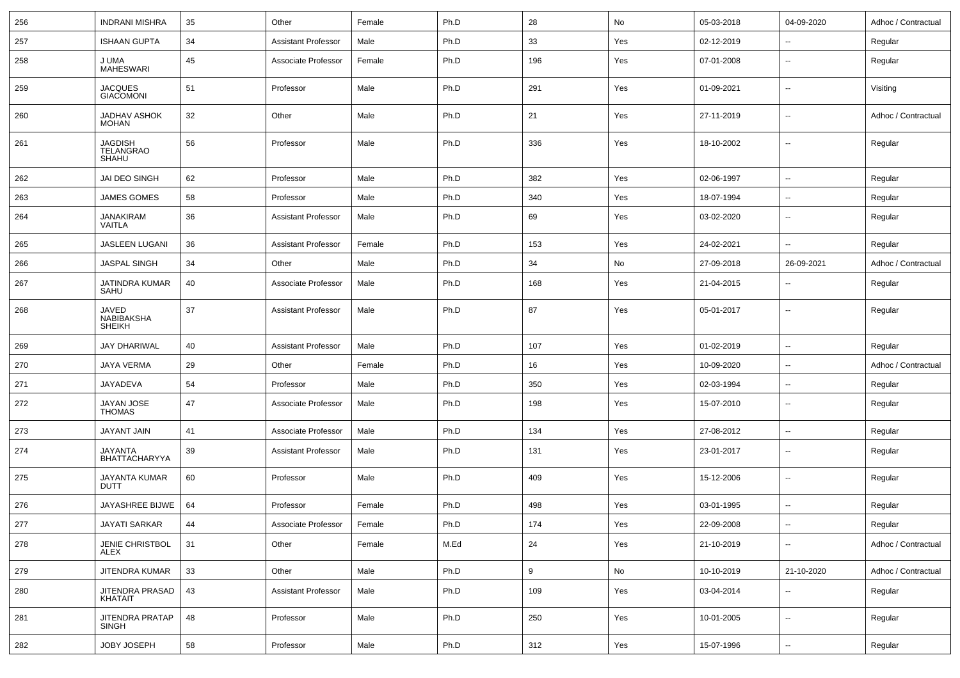| 256 | <b>INDRANI MISHRA</b>                       | 35 | Other                      | Female | Ph.D | 28  | No  | 05-03-2018 | 04-09-2020               | Adhoc / Contractual |
|-----|---------------------------------------------|----|----------------------------|--------|------|-----|-----|------------|--------------------------|---------------------|
| 257 | <b>ISHAAN GUPTA</b>                         | 34 | Assistant Professor        | Male   | Ph.D | 33  | Yes | 02-12-2019 | $\overline{\phantom{a}}$ | Regular             |
| 258 | J UMA<br><b>MAHESWARI</b>                   | 45 | Associate Professor        | Female | Ph.D | 196 | Yes | 07-01-2008 | $\overline{\phantom{a}}$ | Regular             |
| 259 | <b>JACQUES</b><br><b>GIACOMONI</b>          | 51 | Professor                  | Male   | Ph.D | 291 | Yes | 01-09-2021 | $\overline{\phantom{a}}$ | Visiting            |
| 260 | <b>JADHAV ASHOK</b><br><b>MOHAN</b>         | 32 | Other                      | Male   | Ph.D | 21  | Yes | 27-11-2019 | $\overline{\phantom{a}}$ | Adhoc / Contractual |
| 261 | <b>JAGDISH</b><br><b>TELANGRAO</b><br>SHAHU | 56 | Professor                  | Male   | Ph.D | 336 | Yes | 18-10-2002 | $\overline{\phantom{a}}$ | Regular             |
| 262 | <b>JAI DEO SINGH</b>                        | 62 | Professor                  | Male   | Ph.D | 382 | Yes | 02-06-1997 | $\overline{\phantom{a}}$ | Regular             |
| 263 | <b>JAMES GOMES</b>                          | 58 | Professor                  | Male   | Ph.D | 340 | Yes | 18-07-1994 | $\overline{\phantom{a}}$ | Regular             |
| 264 | <b>JANAKIRAM</b><br><b>VAITLA</b>           | 36 | <b>Assistant Professor</b> | Male   | Ph.D | 69  | Yes | 03-02-2020 | $\sim$                   | Regular             |
| 265 | <b>JASLEEN LUGANI</b>                       | 36 | <b>Assistant Professor</b> | Female | Ph.D | 153 | Yes | 24-02-2021 | $\overline{\phantom{a}}$ | Regular             |
| 266 | <b>JASPAL SINGH</b>                         | 34 | Other                      | Male   | Ph.D | 34  | No  | 27-09-2018 | 26-09-2021               | Adhoc / Contractual |
| 267 | JATINDRA KUMAR<br>SAHU                      | 40 | Associate Professor        | Male   | Ph.D | 168 | Yes | 21-04-2015 | $\overline{\phantom{a}}$ | Regular             |
| 268 | <b>JAVED</b><br>NABIBAKSHA<br><b>SHEIKH</b> | 37 | <b>Assistant Professor</b> | Male   | Ph.D | 87  | Yes | 05-01-2017 | $\overline{\phantom{a}}$ | Regular             |
| 269 | <b>JAY DHARIWAL</b>                         | 40 | <b>Assistant Professor</b> | Male   | Ph.D | 107 | Yes | 01-02-2019 | $\overline{\phantom{a}}$ | Regular             |
| 270 | JAYA VERMA                                  | 29 | Other                      | Female | Ph.D | 16  | Yes | 10-09-2020 | $\overline{\phantom{a}}$ | Adhoc / Contractual |
| 271 | JAYADEVA                                    | 54 | Professor                  | Male   | Ph.D | 350 | Yes | 02-03-1994 | $\overline{\phantom{a}}$ | Regular             |
| 272 | JAYAN JOSE<br><b>THOMAS</b>                 | 47 | Associate Professor        | Male   | Ph.D | 198 | Yes | 15-07-2010 | $\overline{\phantom{a}}$ | Regular             |
| 273 | JAYANT JAIN                                 | 41 | Associate Professor        | Male   | Ph.D | 134 | Yes | 27-08-2012 | $\overline{\phantom{a}}$ | Regular             |
| 274 | JAYANTA<br>BHATTACHARYYA                    | 39 | <b>Assistant Professor</b> | Male   | Ph.D | 131 | Yes | 23-01-2017 | $\sim$                   | Regular             |
| 275 | JAYANTA KUMAR<br><b>DUTT</b>                | 60 | Professor                  | Male   | Ph.D | 409 | Yes | 15-12-2006 | $\overline{\phantom{a}}$ | Regular             |
| 276 | JAYASHREE BIJWE                             | 64 | Professor                  | Female | Ph.D | 498 | Yes | 03-01-1995 | $\overline{\phantom{a}}$ | Regular             |
| 277 | <b>JAYATI SARKAR</b>                        | 44 | Associate Professor        | Female | Ph.D | 174 | Yes | 22-09-2008 | $\overline{\phantom{a}}$ | Regular             |
| 278 | JENIE CHRISTBOL<br>ALEX                     | 31 | Other                      | Female | M.Ed | 24  | Yes | 21-10-2019 | $\overline{\phantom{a}}$ | Adhoc / Contractual |
| 279 | JITENDRA KUMAR                              | 33 | Other                      | Male   | Ph.D | 9   | No  | 10-10-2019 | 21-10-2020               | Adhoc / Contractual |
| 280 | JITENDRA PRASAD<br>KHATAIT                  | 43 | <b>Assistant Professor</b> | Male   | Ph.D | 109 | Yes | 03-04-2014 | $\ddot{\phantom{a}}$     | Regular             |
| 281 | JITENDRA PRATAP<br><b>SINGH</b>             | 48 | Professor                  | Male   | Ph.D | 250 | Yes | 10-01-2005 | $\overline{\phantom{a}}$ | Regular             |
| 282 | JOBY JOSEPH                                 | 58 | Professor                  | Male   | Ph.D | 312 | Yes | 15-07-1996 | $\overline{\phantom{a}}$ | Regular             |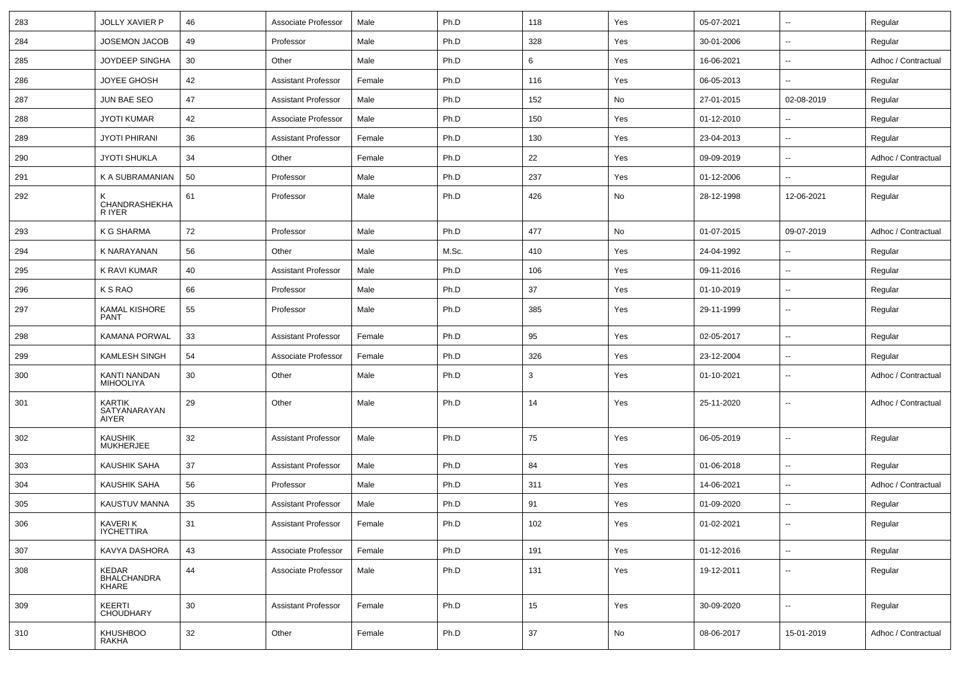| 283 | <b>JOLLY XAVIER P</b>                  | 46 | Associate Professor        | Male   | Ph.D  | 118 | Yes           | 05-07-2021 | $\overline{\phantom{a}}$ | Regular             |
|-----|----------------------------------------|----|----------------------------|--------|-------|-----|---------------|------------|--------------------------|---------------------|
| 284 | JOSEMON JACOB                          | 49 | Professor                  | Male   | Ph.D  | 328 | Yes           | 30-01-2006 | $\overline{\phantom{a}}$ | Regular             |
| 285 | JOYDEEP SINGHA                         | 30 | Other                      | Male   | Ph.D  | 6   | Yes           | 16-06-2021 | $\sim$                   | Adhoc / Contractual |
| 286 | <b>JOYEE GHOSH</b>                     | 42 | <b>Assistant Professor</b> | Female | Ph.D  | 116 | Yes           | 06-05-2013 | --                       | Regular             |
| 287 | JUN BAE SEO                            | 47 | <b>Assistant Professor</b> | Male   | Ph.D  | 152 | No            | 27-01-2015 | 02-08-2019               | Regular             |
| 288 | <b>JYOTI KUMAR</b>                     | 42 | Associate Professor        | Male   | Ph.D  | 150 | Yes           | 01-12-2010 |                          | Regular             |
| 289 | <b>JYOTI PHIRANI</b>                   | 36 | <b>Assistant Professor</b> | Female | Ph.D  | 130 | Yes           | 23-04-2013 | $\overline{\phantom{a}}$ | Regular             |
| 290 | <b>JYOTI SHUKLA</b>                    | 34 | Other                      | Female | Ph.D  | 22  | Yes           | 09-09-2019 | --                       | Adhoc / Contractual |
| 291 | K A SUBRAMANIAN                        | 50 | Professor                  | Male   | Ph.D  | 237 | Yes           | 01-12-2006 | $\overline{\phantom{a}}$ | Regular             |
| 292 | κ<br>CHANDRASHEKHA<br>R IYER           | 61 | Professor                  | Male   | Ph.D  | 426 | No            | 28-12-1998 | 12-06-2021               | Regular             |
| 293 | K G SHARMA                             | 72 | Professor                  | Male   | Ph.D  | 477 | No            | 01-07-2015 | 09-07-2019               | Adhoc / Contractual |
| 294 | K NARAYANAN                            | 56 | Other                      | Male   | M.Sc. | 410 | Yes           | 24-04-1992 |                          | Regular             |
| 295 | K RAVI KUMAR                           | 40 | <b>Assistant Professor</b> | Male   | Ph.D  | 106 | Yes           | 09-11-2016 | --                       | Regular             |
| 296 | K S RAO                                | 66 | Professor                  | Male   | Ph.D  | 37  | Yes           | 01-10-2019 | $\overline{\phantom{a}}$ | Regular             |
| 297 | KAMAL KISHORE<br><b>PANT</b>           | 55 | Professor                  | Male   | Ph.D  | 385 | Yes           | 29-11-1999 | $\sim$                   | Regular             |
| 298 | <b>KAMANA PORWAL</b>                   | 33 | <b>Assistant Professor</b> | Female | Ph.D  | 95  | Yes           | 02-05-2017 | $\overline{\phantom{a}}$ | Regular             |
| 299 | KAMLESH SINGH                          | 54 | Associate Professor        | Female | Ph.D  | 326 | Yes           | 23-12-2004 | $\overline{\phantom{a}}$ | Regular             |
| 300 | KANTI NANDAN<br><b>MIHOOLIYA</b>       | 30 | Other                      | Male   | Ph.D  | 3   | Yes           | 01-10-2021 | $\sim$                   | Adhoc / Contractual |
| 301 | <b>KARTIK</b><br>SATYANARAYAN<br>AIYER | 29 | Other                      | Male   | Ph.D  | 14  | Yes           | 25-11-2020 | $\overline{a}$           | Adhoc / Contractual |
| 302 | <b>KAUSHIK</b><br><b>MUKHERJEE</b>     | 32 | <b>Assistant Professor</b> | Male   | Ph.D  | 75  | Yes           | 06-05-2019 | $\overline{\phantom{a}}$ | Regular             |
| 303 | KAUSHIK SAHA                           | 37 | <b>Assistant Professor</b> | Male   | Ph.D  | 84  | Yes           | 01-06-2018 | Ξ.                       | Regular             |
| 304 | KAUSHIK SAHA                           | 56 | Professor                  | Male   | Ph.D  | 311 | Yes           | 14-06-2021 | $\overline{\phantom{a}}$ | Adhoc / Contractual |
| 305 | KAUSTUV MANNA                          | 35 | <b>Assistant Professor</b> | Male   | Ph.D  | 91  | Yes           | 01-09-2020 | $\overline{\phantom{a}}$ | Regular             |
| 306 | KAVERI K<br><b>IYCHETTIRA</b>          | 31 | Assistant Professor        | Female | Ph.D  | 102 | Yes           | 01-02-2021 |                          | Regular             |
| 307 | KAVYA DASHORA                          | 43 | Associate Professor        | Female | Ph.D  | 191 | Yes           | 01-12-2016 | ω.                       | Regular             |
| 308 | KEDAR<br>BHALCHANDRA<br>KHARE          | 44 | Associate Professor        | Male   | Ph.D  | 131 | Yes           | 19-12-2011 | Щ,                       | Regular             |
| 309 | KEERTI<br><b>CHOUDHARY</b>             | 30 | <b>Assistant Professor</b> | Female | Ph.D  | 15  | Yes           | 30-09-2020 | Щ,                       | Regular             |
| 310 | <b>KHUSHBOO</b><br>RAKHA               | 32 | Other                      | Female | Ph.D  | 37  | $\mathsf{No}$ | 08-06-2017 | 15-01-2019               | Adhoc / Contractual |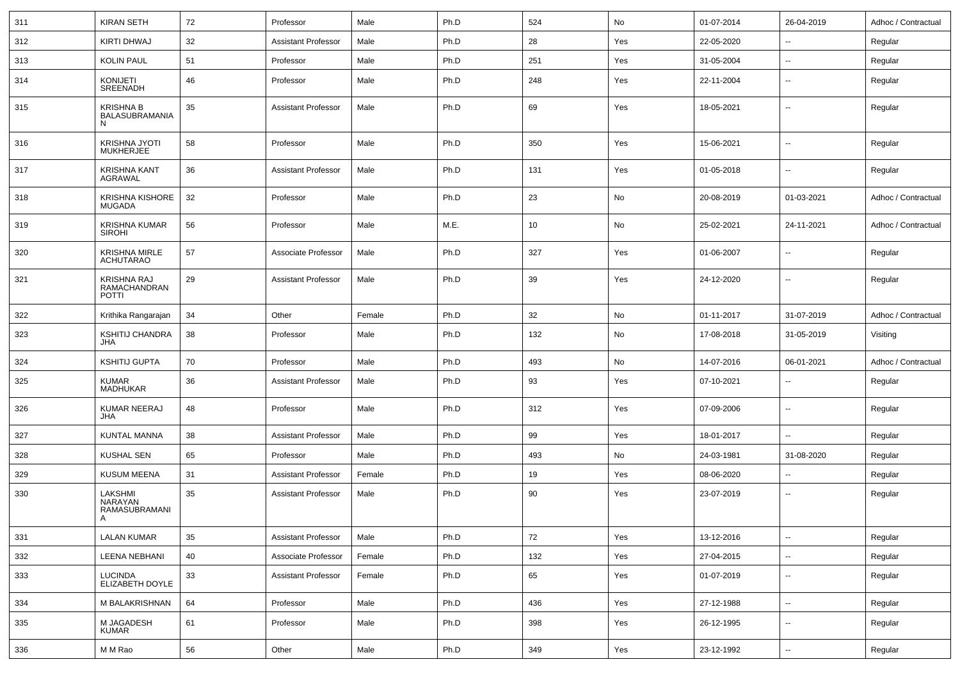| 311 | <b>KIRAN SETH</b>                           | 72 | Professor                  | Male   | Ph.D | 524 | No  | 01-07-2014 | 26-04-2019               | Adhoc / Contractual |
|-----|---------------------------------------------|----|----------------------------|--------|------|-----|-----|------------|--------------------------|---------------------|
| 312 | <b>KIRTI DHWAJ</b>                          | 32 | <b>Assistant Professor</b> | Male   | Ph.D | 28  | Yes | 22-05-2020 | Ξ.                       | Regular             |
| 313 | <b>KOLIN PAUL</b>                           | 51 | Professor                  | Male   | Ph.D | 251 | Yes | 31-05-2004 | ۰.                       | Regular             |
| 314 | <b>KONIJETI</b><br><b>SREENADH</b>          | 46 | Professor                  | Male   | Ph.D | 248 | Yes | 22-11-2004 | ۰.                       | Regular             |
| 315 | <b>KRISHNA B</b><br>BALASUBRAMANIA<br>N     | 35 | <b>Assistant Professor</b> | Male   | Ph.D | 69  | Yes | 18-05-2021 | ۰.                       | Regular             |
| 316 | KRISHNA JYOTI<br><b>MUKHERJEE</b>           | 58 | Professor                  | Male   | Ph.D | 350 | Yes | 15-06-2021 | $\sim$                   | Regular             |
| 317 | KRISHNA KANT<br><b>AGRAWAL</b>              | 36 | <b>Assistant Professor</b> | Male   | Ph.D | 131 | Yes | 01-05-2018 | $\sim$                   | Regular             |
| 318 | KRISHNA KISHORE<br><b>MUGADA</b>            | 32 | Professor                  | Male   | Ph.D | 23  | No  | 20-08-2019 | 01-03-2021               | Adhoc / Contractual |
| 319 | KRISHNA KUMAR<br><b>SIROHI</b>              | 56 | Professor                  | Male   | M.E. | 10  | No  | 25-02-2021 | 24-11-2021               | Adhoc / Contractual |
| 320 | KRISHNA MIRLE<br><b>ACHUTARAO</b>           | 57 | Associate Professor        | Male   | Ph.D | 327 | Yes | 01-06-2007 | $\sim$                   | Regular             |
| 321 | KRISHNA RAJ<br>RAMACHANDRAN<br><b>POTTI</b> | 29 | <b>Assistant Professor</b> | Male   | Ph.D | 39  | Yes | 24-12-2020 | $\sim$                   | Regular             |
| 322 | Krithika Rangarajan                         | 34 | Other                      | Female | Ph.D | 32  | No  | 01-11-2017 | 31-07-2019               | Adhoc / Contractual |
| 323 | <b>KSHITIJ CHANDRA</b><br><b>JHA</b>        | 38 | Professor                  | Male   | Ph.D | 132 | No  | 17-08-2018 | 31-05-2019               | Visiting            |
| 324 | <b>KSHITIJ GUPTA</b>                        | 70 | Professor                  | Male   | Ph.D | 493 | No  | 14-07-2016 | 06-01-2021               | Adhoc / Contractual |
| 325 | <b>KUMAR</b><br>MADHUKAR                    | 36 | <b>Assistant Professor</b> | Male   | Ph.D | 93  | Yes | 07-10-2021 | ۰.                       | Regular             |
| 326 | KUMAR NEERAJ<br>JHA                         | 48 | Professor                  | Male   | Ph.D | 312 | Yes | 07-09-2006 | --                       | Regular             |
| 327 | KUNTAL MANNA                                | 38 | <b>Assistant Professor</b> | Male   | Ph.D | 99  | Yes | 18-01-2017 | --                       | Regular             |
| 328 | <b>KUSHAL SEN</b>                           | 65 | Professor                  | Male   | Ph.D | 493 | No  | 24-03-1981 | 31-08-2020               | Regular             |
| 329 | <b>KUSUM MEENA</b>                          | 31 | Assistant Professor        | Female | Ph.D | 19  | Yes | 08-06-2020 | $- -$                    | Regular             |
| 330 | LAKSHMI<br>NARAYAN<br>RAMASUBRAMANI<br>A    | 35 | <b>Assistant Professor</b> | Male   | Ph.D | 90  | Yes | 23-07-2019 | $\overline{\phantom{a}}$ | Regular             |
| 331 | <b>LALAN KUMAR</b>                          | 35 | <b>Assistant Professor</b> | Male   | Ph.D | 72  | Yes | 13-12-2016 | Щ,                       | Regular             |
| 332 | <b>LEENA NEBHANI</b>                        | 40 | Associate Professor        | Female | Ph.D | 132 | Yes | 27-04-2015 | Ξ.                       | Regular             |
| 333 | <b>LUCINDA</b><br>ELIZABETH DOYLE           | 33 | <b>Assistant Professor</b> | Female | Ph.D | 65  | Yes | 01-07-2019 | Ξ.                       | Regular             |
| 334 | M BALAKRISHNAN                              | 64 | Professor                  | Male   | Ph.D | 436 | Yes | 27-12-1988 | $\overline{\phantom{a}}$ | Regular             |
| 335 | M JAGADESH<br><b>KUMAR</b>                  | 61 | Professor                  | Male   | Ph.D | 398 | Yes | 26-12-1995 | $\overline{\phantom{a}}$ | Regular             |
| 336 | M M Rao                                     | 56 | Other                      | Male   | Ph.D | 349 | Yes | 23-12-1992 | $\overline{\phantom{a}}$ | Regular             |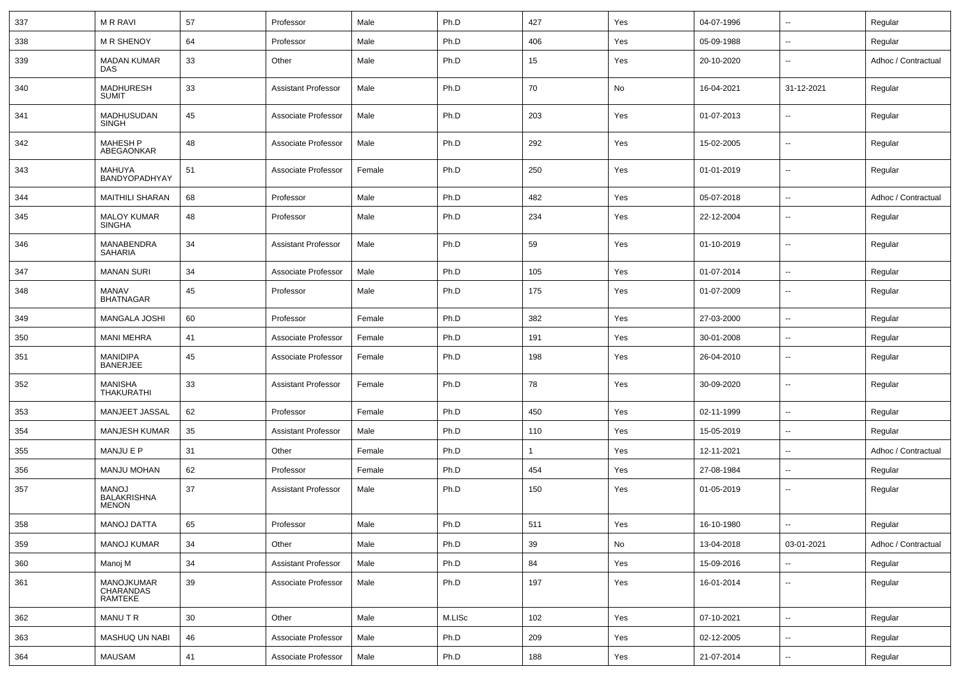| 337 | <b>MRRAVI</b>                                      | 57 | Professor                  | Male   | Ph.D   | 427 | Yes | 04-07-1996 | ⊷.                       | Regular             |
|-----|----------------------------------------------------|----|----------------------------|--------|--------|-----|-----|------------|--------------------------|---------------------|
| 338 | <b>M R SHENOY</b>                                  | 64 | Professor                  | Male   | Ph.D   | 406 | Yes | 05-09-1988 | ⊷.                       | Regular             |
| 339 | MADAN KUMAR<br>DAS                                 | 33 | Other                      | Male   | Ph.D   | 15  | Yes | 20-10-2020 | $\overline{\phantom{a}}$ | Adhoc / Contractual |
| 340 | MADHURESH<br>SUMIT                                 | 33 | <b>Assistant Professor</b> | Male   | Ph.D   | 70  | No  | 16-04-2021 | 31-12-2021               | Regular             |
| 341 | MADHUSUDAN<br>SINGH                                | 45 | Associate Professor        | Male   | Ph.D   | 203 | Yes | 01-07-2013 | $\overline{\phantom{a}}$ | Regular             |
| 342 | MAHESH P<br>ABEGAONKAR                             | 48 | Associate Professor        | Male   | Ph.D   | 292 | Yes | 15-02-2005 | ⊷.                       | Regular             |
| 343 | MAHUYA<br>BANDYOPADHYAY                            | 51 | Associate Professor        | Female | Ph.D   | 250 | Yes | 01-01-2019 | ⊷.                       | Regular             |
| 344 | <b>MAITHILI SHARAN</b>                             | 68 | Professor                  | Male   | Ph.D   | 482 | Yes | 05-07-2018 | $\overline{\phantom{a}}$ | Adhoc / Contractual |
| 345 | <b>MALOY KUMAR</b><br>SINGHA                       | 48 | Professor                  | Male   | Ph.D   | 234 | Yes | 22-12-2004 | --                       | Regular             |
| 346 | MANABENDRA<br><b>SAHARIA</b>                       | 34 | <b>Assistant Professor</b> | Male   | Ph.D   | 59  | Yes | 01-10-2019 | --                       | Regular             |
| 347 | <b>MANAN SURI</b>                                  | 34 | Associate Professor        | Male   | Ph.D   | 105 | Yes | 01-07-2014 | --                       | Regular             |
| 348 | MANAV<br><b>BHATNAGAR</b>                          | 45 | Professor                  | Male   | Ph.D   | 175 | Yes | 01-07-2009 | --                       | Regular             |
| 349 | <b>MANGALA JOSHI</b>                               | 60 | Professor                  | Female | Ph.D   | 382 | Yes | 27-03-2000 | н.                       | Regular             |
| 350 | <b>MANI MEHRA</b>                                  | 41 | Associate Professor        | Female | Ph.D   | 191 | Yes | 30-01-2008 | --                       | Regular             |
| 351 | <b>MANIDIPA</b><br><b>BANERJEE</b>                 | 45 | Associate Professor        | Female | Ph.D   | 198 | Yes | 26-04-2010 | ⊷.                       | Regular             |
| 352 | <b>MANISHA</b><br>THAKURATHI                       | 33 | <b>Assistant Professor</b> | Female | Ph.D   | 78  | Yes | 30-09-2020 | ⊷.                       | Regular             |
| 353 | MANJEET JASSAL                                     | 62 | Professor                  | Female | Ph.D   | 450 | Yes | 02-11-1999 | $\overline{\phantom{a}}$ | Regular             |
| 354 | <b>MANJESH KUMAR</b>                               | 35 | <b>Assistant Professor</b> | Male   | Ph.D   | 110 | Yes | 15-05-2019 | $\overline{\phantom{a}}$ | Regular             |
| 355 | <b>MANJU E P</b>                                   | 31 | Other                      | Female | Ph.D   | -1  | Yes | 12-11-2021 | --                       | Adhoc / Contractual |
| 356 | <b>MANJU MOHAN</b>                                 | 62 | Professor                  | Female | Ph.D   | 454 | Yes | 27-08-1984 | --                       | Regular             |
| 357 | <b>MANOJ</b><br><b>BALAKRISHNA</b><br><b>MENON</b> | 37 | <b>Assistant Professor</b> | Male   | Ph.D   | 150 | Yes | 01-05-2019 | --                       | Regular             |
| 358 | MANOJ DATTA                                        | 65 | Professor                  | Male   | Ph.D   | 511 | Yes | 16-10-1980 | −−                       | Regular             |
| 359 | <b>MANOJ KUMAR</b>                                 | 34 | Other                      | Male   | Ph.D   | 39  | No  | 13-04-2018 | 03-01-2021               | Adhoc / Contractual |
| 360 | Manoj M                                            | 34 | Assistant Professor        | Male   | Ph.D   | 84  | Yes | 15-09-2016 |                          | Regular             |
| 361 | MANOJKUMAR<br>CHARANDAS<br>RAMTEKE                 | 39 | Associate Professor        | Male   | Ph.D   | 197 | Yes | 16-01-2014 | $\overline{\phantom{a}}$ | Regular             |
| 362 | MANU T R                                           | 30 | Other                      | Male   | M.LISc | 102 | Yes | 07-10-2021 | ш.                       | Regular             |
| 363 | MASHUQ UN NABI                                     | 46 | Associate Professor        | Male   | Ph.D   | 209 | Yes | 02-12-2005 | $\overline{\phantom{a}}$ | Regular             |
| 364 | <b>MAUSAM</b>                                      | 41 | Associate Professor        | Male   | Ph.D   | 188 | Yes | 21-07-2014 | н.                       | Regular             |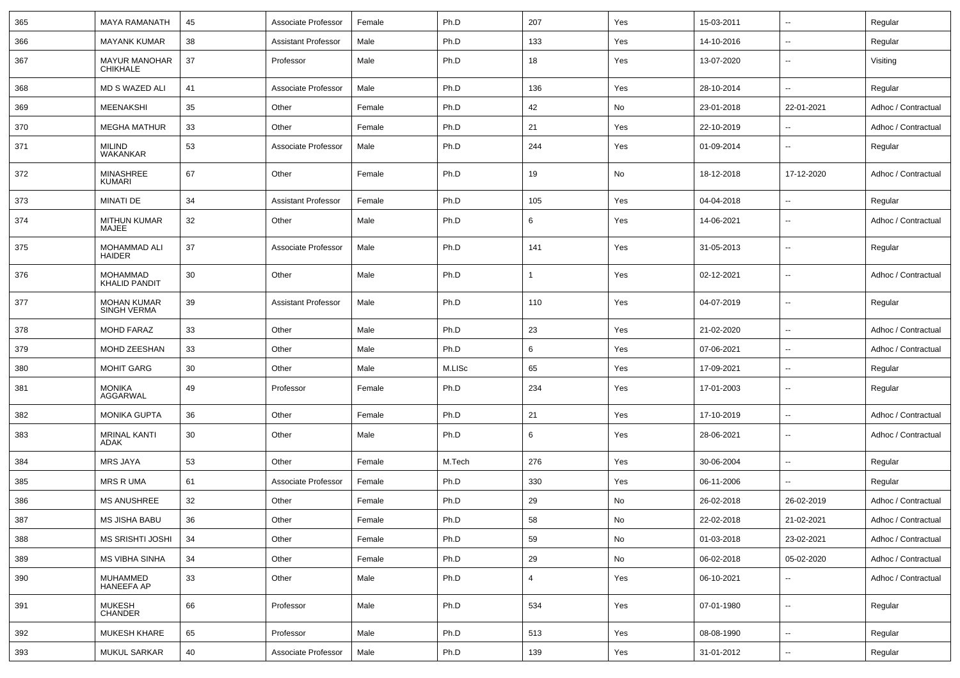| 365 | <b>MAYA RAMANATH</b>                    | 45 | Associate Professor        | Female | Ph.D   | 207            | Yes | 15-03-2011 | $\overline{\phantom{a}}$ | Regular             |
|-----|-----------------------------------------|----|----------------------------|--------|--------|----------------|-----|------------|--------------------------|---------------------|
| 366 | <b>MAYANK KUMAR</b>                     | 38 | <b>Assistant Professor</b> | Male   | Ph.D   | 133            | Yes | 14-10-2016 | $\overline{\phantom{a}}$ | Regular             |
| 367 | <b>MAYUR MANOHAR</b><br><b>CHIKHALE</b> | 37 | Professor                  | Male   | Ph.D   | 18             | Yes | 13-07-2020 | $\overline{\phantom{a}}$ | Visiting            |
| 368 | MD S WAZED ALI                          | 41 | Associate Professor        | Male   | Ph.D   | 136            | Yes | 28-10-2014 | $\sim$                   | Regular             |
| 369 | <b>MEENAKSHI</b>                        | 35 | Other                      | Female | Ph.D   | 42             | No  | 23-01-2018 | 22-01-2021               | Adhoc / Contractual |
| 370 | <b>MEGHA MATHUR</b>                     | 33 | Other                      | Female | Ph.D   | 21             | Yes | 22-10-2019 | $\overline{\phantom{a}}$ | Adhoc / Contractual |
| 371 | MILIND<br><b>WAKANKAR</b>               | 53 | Associate Professor        | Male   | Ph.D   | 244            | Yes | 01-09-2014 | $\sim$                   | Regular             |
| 372 | MINASHREE<br><b>KUMARI</b>              | 67 | Other                      | Female | Ph.D   | 19             | No  | 18-12-2018 | 17-12-2020               | Adhoc / Contractual |
| 373 | MINATI DE                               | 34 | <b>Assistant Professor</b> | Female | Ph.D   | 105            | Yes | 04-04-2018 | $\sim$                   | Regular             |
| 374 | <b>MITHUN KUMAR</b><br>MAJEE            | 32 | Other                      | Male   | Ph.D   | 6              | Yes | 14-06-2021 | $\overline{\phantom{a}}$ | Adhoc / Contractual |
| 375 | MOHAMMAD ALI<br><b>HAIDER</b>           | 37 | Associate Professor        | Male   | Ph.D   | 141            | Yes | 31-05-2013 | $\overline{\phantom{a}}$ | Regular             |
| 376 | <b>MOHAMMAD</b><br><b>KHALID PANDIT</b> | 30 | Other                      | Male   | Ph.D   | 1              | Yes | 02-12-2021 | $\overline{\phantom{a}}$ | Adhoc / Contractual |
| 377 | <b>MOHAN KUMAR</b><br>SINGH VERMA       | 39 | <b>Assistant Professor</b> | Male   | Ph.D   | 110            | Yes | 04-07-2019 | $\overline{\phantom{a}}$ | Regular             |
| 378 | <b>MOHD FARAZ</b>                       | 33 | Other                      | Male   | Ph.D   | 23             | Yes | 21-02-2020 | $\overline{\phantom{a}}$ | Adhoc / Contractual |
| 379 | MOHD ZEESHAN                            | 33 | Other                      | Male   | Ph.D   | 6              | Yes | 07-06-2021 | $\overline{\phantom{a}}$ | Adhoc / Contractual |
| 380 | <b>MOHIT GARG</b>                       | 30 | Other                      | Male   | M.LISc | 65             | Yes | 17-09-2021 | $\overline{\phantom{a}}$ | Regular             |
| 381 | <b>MONIKA</b><br>AGGARWAL               | 49 | Professor                  | Female | Ph.D   | 234            | Yes | 17-01-2003 | $\overline{\phantom{a}}$ | Regular             |
| 382 | <b>MONIKA GUPTA</b>                     | 36 | Other                      | Female | Ph.D   | 21             | Yes | 17-10-2019 | $\overline{\phantom{a}}$ | Adhoc / Contractual |
| 383 | <b>MRINAL KANTI</b><br>ADAK             | 30 | Other                      | Male   | Ph.D   | 6              | Yes | 28-06-2021 | $\overline{\phantom{a}}$ | Adhoc / Contractual |
| 384 | <b>MRS JAYA</b>                         | 53 | Other                      | Female | M.Tech | 276            | Yes | 30-06-2004 | $\overline{\phantom{a}}$ | Regular             |
| 385 | <b>MRS R UMA</b>                        | 61 | Associate Professor        | Female | Ph.D   | 330            | Yes | 06-11-2006 | $\sim$                   | Regular             |
| 386 | <b>MS ANUSHREE</b>                      | 32 | Other                      | Female | Ph.D   | 29             | No  | 26-02-2018 | 26-02-2019               | Adhoc / Contractual |
| 387 | MS JISHA BABU                           | 36 | Other                      | Female | Ph.D   | 58             | No  | 22-02-2018 | 21-02-2021               | Adhoc / Contractual |
| 388 | MS SRISHTI JOSHI                        | 34 | Other                      | Female | Ph.D   | 59             | No  | 01-03-2018 | 23-02-2021               | Adhoc / Contractual |
| 389 | MS VIBHA SINHA                          | 34 | Other                      | Female | Ph.D   | 29             | No  | 06-02-2018 | 05-02-2020               | Adhoc / Contractual |
| 390 | MUHAMMED<br><b>HANEEFA AP</b>           | 33 | Other                      | Male   | Ph.D   | $\overline{4}$ | Yes | 06-10-2021 | $\overline{\phantom{a}}$ | Adhoc / Contractual |
| 391 | <b>MUKESH</b><br><b>CHANDER</b>         | 66 | Professor                  | Male   | Ph.D   | 534            | Yes | 07-01-1980 | $\overline{\phantom{a}}$ | Regular             |
| 392 | <b>MUKESH KHARE</b>                     | 65 | Professor                  | Male   | Ph.D   | 513            | Yes | 08-08-1990 | $\overline{\phantom{a}}$ | Regular             |
| 393 | <b>MUKUL SARKAR</b>                     | 40 | Associate Professor        | Male   | Ph.D   | 139            | Yes | 31-01-2012 | ۰.                       | Regular             |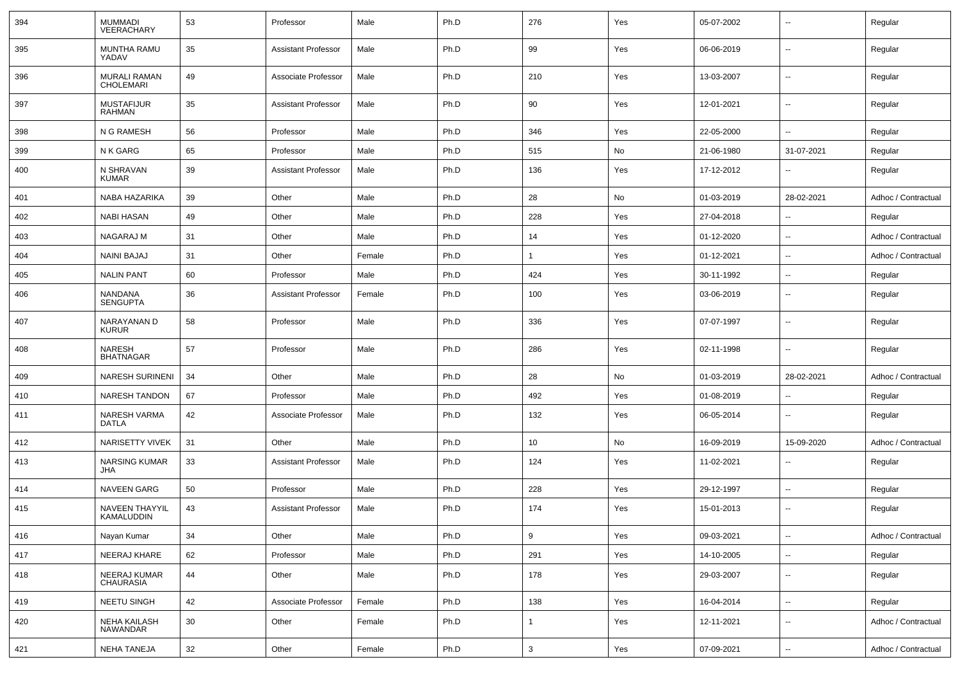| 394 | <b>MUMMADI</b><br>VEERACHARY            | 53 | Professor                  | Male   | Ph.D | 276          | Yes | 05-07-2002 | −−                       | Regular             |
|-----|-----------------------------------------|----|----------------------------|--------|------|--------------|-----|------------|--------------------------|---------------------|
| 395 | <b>MUNTHA RAMU</b><br>YADAV             | 35 | <b>Assistant Professor</b> | Male   | Ph.D | 99           | Yes | 06-06-2019 | ⊶.                       | Regular             |
| 396 | <b>MURALI RAMAN</b><br><b>CHOLEMARI</b> | 49 | Associate Professor        | Male   | Ph.D | 210          | Yes | 13-03-2007 | ⊷.                       | Regular             |
| 397 | <b>MUSTAFIJUR</b><br>RAHMAN             | 35 | <b>Assistant Professor</b> | Male   | Ph.D | 90           | Yes | 12-01-2021 | ⊶.                       | Regular             |
| 398 | N G RAMESH                              | 56 | Professor                  | Male   | Ph.D | 346          | Yes | 22-05-2000 | $\overline{\phantom{a}}$ | Regular             |
| 399 | N K GARG                                | 65 | Professor                  | Male   | Ph.D | 515          | No  | 21-06-1980 | 31-07-2021               | Regular             |
| 400 | N SHRAVAN<br><b>KUMAR</b>               | 39 | <b>Assistant Professor</b> | Male   | Ph.D | 136          | Yes | 17-12-2012 | Ξ.                       | Regular             |
| 401 | NABA HAZARIKA                           | 39 | Other                      | Male   | Ph.D | 28           | No  | 01-03-2019 | 28-02-2021               | Adhoc / Contractual |
| 402 | <b>NABI HASAN</b>                       | 49 | Other                      | Male   | Ph.D | 228          | Yes | 27-04-2018 | $\overline{\phantom{a}}$ | Regular             |
| 403 | NAGARAJ M                               | 31 | Other                      | Male   | Ph.D | 14           | Yes | 01-12-2020 |                          | Adhoc / Contractual |
| 404 | <b>NAINI BAJAJ</b>                      | 31 | Other                      | Female | Ph.D | -1           | Yes | 01-12-2021 | ⊷.                       | Adhoc / Contractual |
| 405 | <b>NALIN PANT</b>                       | 60 | Professor                  | Male   | Ph.D | 424          | Yes | 30-11-1992 | $\overline{\phantom{a}}$ | Regular             |
| 406 | <b>NANDANA</b><br><b>SENGUPTA</b>       | 36 | <b>Assistant Professor</b> | Female | Ph.D | 100          | Yes | 03-06-2019 | -−                       | Regular             |
| 407 | NARAYANAN D<br><b>KURUR</b>             | 58 | Professor                  | Male   | Ph.D | 336          | Yes | 07-07-1997 | -−                       | Regular             |
| 408 | NARESH<br><b>BHATNAGAR</b>              | 57 | Professor                  | Male   | Ph.D | 286          | Yes | 02-11-1998 | Ξ.                       | Regular             |
| 409 | <b>NARESH SURINENI</b>                  | 34 | Other                      | Male   | Ph.D | 28           | No  | 01-03-2019 | 28-02-2021               | Adhoc / Contractual |
| 410 | <b>NARESH TANDON</b>                    | 67 | Professor                  | Male   | Ph.D | 492          | Yes | 01-08-2019 | ⊷.                       | Regular             |
| 411 | NARESH VARMA<br>DATLA                   | 42 | Associate Professor        | Male   | Ph.D | 132          | Yes | 06-05-2014 | -−                       | Regular             |
| 412 | <b>NARISETTY VIVEK</b>                  | 31 | Other                      | Male   | Ph.D | 10           | No  | 16-09-2019 | 15-09-2020               | Adhoc / Contractual |
| 413 | <b>NARSING KUMAR</b><br>JHA             | 33 | <b>Assistant Professor</b> | Male   | Ph.D | 124          | Yes | 11-02-2021 |                          | Regular             |
| 414 | <b>NAVEEN GARG</b>                      | 50 | Professor                  | Male   | Ph.D | 228          | Yes | 29-12-1997 | --                       | Regular             |
| 415 | NAVEEN THAYYIL<br>KAMALUDDIN            | 43 | <b>Assistant Professor</b> | Male   | Ph.D | 174          | Yes | 15-01-2013 | ⊷.                       | Regular             |
| 416 | Nayan Kumar                             | 34 | Other                      | Male   | Ph.D | 9            | Yes | 09-03-2021 | $\overline{\phantom{a}}$ | Adhoc / Contractual |
| 417 | NEERAJ KHARE                            | 62 | Professor                  | Male   | Ph.D | 291          | Yes | 14-10-2005 | $\overline{\phantom{a}}$ | Regular             |
| 418 | NEERAJ KUMAR<br><b>CHAURASIA</b>        | 44 | Other                      | Male   | Ph.D | 178          | Yes | 29-03-2007 | ⊶.                       | Regular             |
| 419 | <b>NEETU SINGH</b>                      | 42 | Associate Professor        | Female | Ph.D | 138          | Yes | 16-04-2014 | $\overline{\phantom{a}}$ | Regular             |
| 420 | <b>NEHA KAILASH</b><br>NAWANDAR         | 30 | Other                      | Female | Ph.D | $\mathbf{1}$ | Yes | 12-11-2021 | $\overline{\phantom{a}}$ | Adhoc / Contractual |
| 421 | NEHA TANEJA                             | 32 | Other                      | Female | Ph.D | 3            | Yes | 07-09-2021 | $\overline{\phantom{a}}$ | Adhoc / Contractual |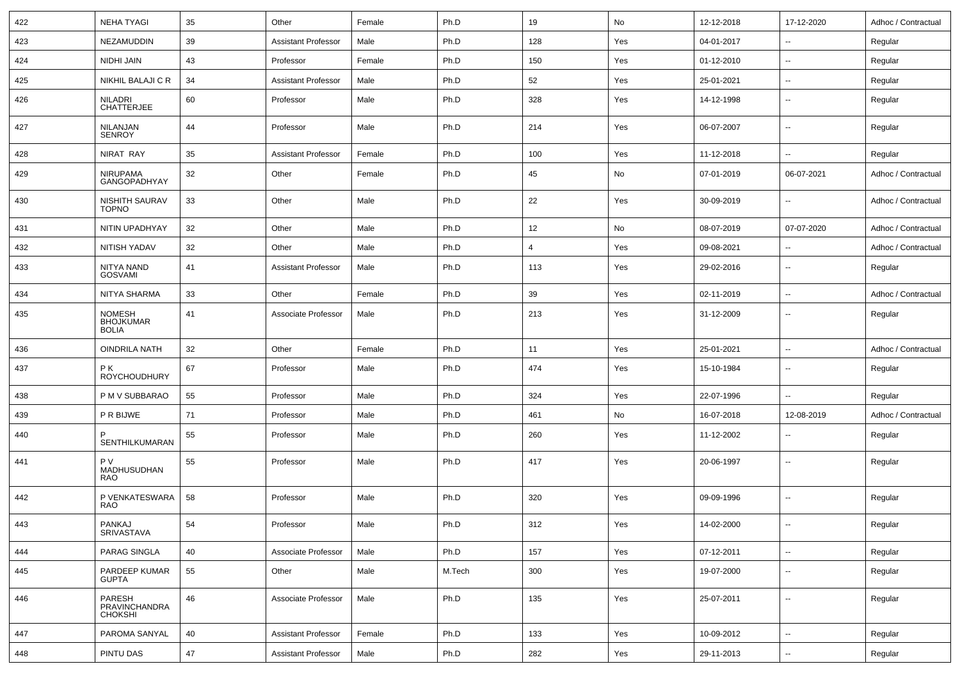| 422 | <b>NEHA TYAGI</b>                          | 35         | Other                      | Female | Ph.D   | 19             | No  | 12-12-2018 | 17-12-2020               | Adhoc / Contractual |
|-----|--------------------------------------------|------------|----------------------------|--------|--------|----------------|-----|------------|--------------------------|---------------------|
| 423 | NEZAMUDDIN                                 | 39         | <b>Assistant Professor</b> | Male   | Ph.D   | 128            | Yes | 04-01-2017 | $\sim$                   | Regular             |
| 424 | NIDHI JAIN                                 | 43         | Professor                  | Female | Ph.D   | 150            | Yes | 01-12-2010 | $\sim$                   | Regular             |
| 425 | NIKHIL BALAJI C R                          | 34         | <b>Assistant Professor</b> | Male   | Ph.D   | 52             | Yes | 25-01-2021 | $\overline{\phantom{a}}$ | Regular             |
| 426 | NILADRI<br><b>CHATTERJEE</b>               | 60         | Professor                  | Male   | Ph.D   | 328            | Yes | 14-12-1998 | $\overline{\phantom{a}}$ | Regular             |
| 427 | NILANJAN<br><b>SENROY</b>                  | 44         | Professor                  | Male   | Ph.D   | 214            | Yes | 06-07-2007 | $\mathbf{u}$             | Regular             |
| 428 | NIRAT RAY                                  | 35         | <b>Assistant Professor</b> | Female | Ph.D   | 100            | Yes | 11-12-2018 | $\overline{\phantom{a}}$ | Regular             |
| 429 | <b>NIRUPAMA</b><br>GANGOPADHYAY            | 32         | Other                      | Female | Ph.D   | 45             | No  | 07-01-2019 | 06-07-2021               | Adhoc / Contractual |
| 430 | NISHITH SAURAV<br><b>TOPNO</b>             | 33         | Other                      | Male   | Ph.D   | 22             | Yes | 30-09-2019 | $\sim$                   | Adhoc / Contractual |
| 431 | NITIN UPADHYAY                             | 32         | Other                      | Male   | Ph.D   | 12             | No  | 08-07-2019 | 07-07-2020               | Adhoc / Contractual |
| 432 | NITISH YADAV                               | 32         | Other                      | Male   | Ph.D   | $\overline{4}$ | Yes | 09-08-2021 | $\sim$                   | Adhoc / Contractual |
| 433 | NITYA NAND<br><b>GOSVAMI</b>               | 41         | <b>Assistant Professor</b> | Male   | Ph.D   | 113            | Yes | 29-02-2016 | $\sim$                   | Regular             |
| 434 | NITYA SHARMA                               | 33         | Other                      | Female | Ph.D   | 39             | Yes | 02-11-2019 | $\sim$                   | Adhoc / Contractual |
| 435 | NOMESH<br><b>BHOJKUMAR</b><br><b>BOLIA</b> | 41         | Associate Professor        | Male   | Ph.D   | 213            | Yes | 31-12-2009 | $\overline{\phantom{a}}$ | Regular             |
| 436 | <b>OINDRILA NATH</b>                       | 32         | Other                      | Female | Ph.D   | 11             | Yes | 25-01-2021 | $\sim$                   | Adhoc / Contractual |
| 437 | P K<br><b>ROYCHOUDHURY</b>                 | 67         | Professor                  | Male   | Ph.D   | 474            | Yes | 15-10-1984 | $\overline{\phantom{a}}$ | Regular             |
| 438 | P M V SUBBARAO                             | 55         | Professor                  | Male   | Ph.D   | 324            | Yes | 22-07-1996 | $\overline{\phantom{a}}$ | Regular             |
| 439 | P R BIJWE                                  | 71         | Professor                  | Male   | Ph.D   | 461            | No  | 16-07-2018 | 12-08-2019               | Adhoc / Contractual |
| 440 | SENTHILKUMARAN                             | 55         | Professor                  | Male   | Ph.D   | 260            | Yes | 11-12-2002 | $\overline{\phantom{a}}$ | Regular             |
| 441 | P V<br>MADHUSUDHAN<br><b>RAO</b>           | 55         | Professor                  | Male   | Ph.D   | 417            | Yes | 20-06-1997 | $\overline{\phantom{a}}$ | Regular             |
| 442 | P VENKATESWARA<br><b>RAO</b>               | 58         | Professor                  | Male   | Ph.D   | 320            | Yes | 09-09-1996 | $\overline{\phantom{a}}$ | Regular             |
| 443 | PANKAJ<br>SRIVASTAVA                       | 54         | Professor                  | Male   | Ph.D   | 312            | Yes | 14-02-2000 | $\sim$                   | Regular             |
| 444 | PARAG SINGLA                               | 40         | Associate Professor        | Male   | Ph.D   | 157            | Yes | 07-12-2011 | $\sim$                   | Regular             |
| 445 | PARDEEP KUMAR<br><b>GUPTA</b>              | 55         | Other                      | Male   | M.Tech | 300            | Yes | 19-07-2000 | $\sim$                   | Regular             |
| 446 | PARESH<br>PRAVINCHANDRA<br>CHOKSHI         | ${\bf 46}$ | Associate Professor        | Male   | Ph.D   | 135            | Yes | 25-07-2011 | $\overline{\phantom{a}}$ | Regular             |
| 447 | PAROMA SANYAL                              | 40         | <b>Assistant Professor</b> | Female | Ph.D   | 133            | Yes | 10-09-2012 | $\sim$                   | Regular             |
| 448 | PINTU DAS                                  | $47\,$     | <b>Assistant Professor</b> | Male   | Ph.D   | 282            | Yes | 29-11-2013 | $\overline{\phantom{a}}$ | Regular             |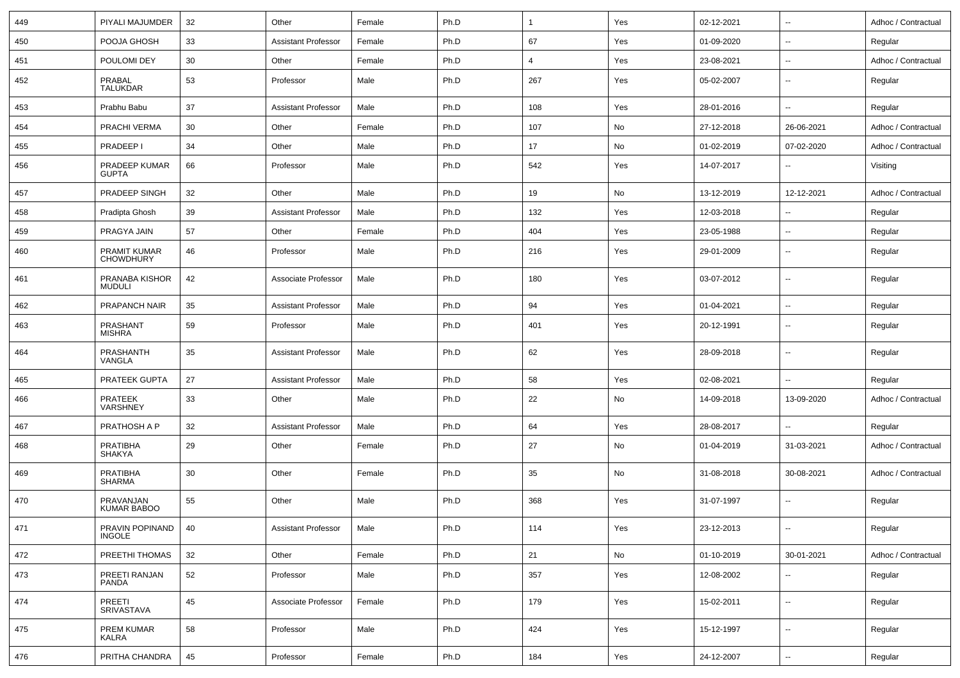| 449 | PIYALI MAJUMDER                  | 32       | Other                      | Female | Ph.D | -1             | Yes | 02-12-2021 | $\overline{\phantom{a}}$ | Adhoc / Contractual |
|-----|----------------------------------|----------|----------------------------|--------|------|----------------|-----|------------|--------------------------|---------------------|
| 450 | POOJA GHOSH                      | 33       | <b>Assistant Professor</b> | Female | Ph.D | 67             | Yes | 01-09-2020 | $\sim$                   | Regular             |
| 451 | POULOMI DEY                      | 30       | Other                      | Female | Ph.D | $\overline{4}$ | Yes | 23-08-2021 | $\overline{\phantom{a}}$ | Adhoc / Contractual |
| 452 | PRABAL<br><b>TALUKDAR</b>        | 53       | Professor                  | Male   | Ph.D | 267            | Yes | 05-02-2007 | $\mathbf{u}$             | Regular             |
| 453 | Prabhu Babu                      | 37       | <b>Assistant Professor</b> | Male   | Ph.D | 108            | Yes | 28-01-2016 | $\mathbf{u}$             | Regular             |
| 454 | PRACHI VERMA                     | 30       | Other                      | Female | Ph.D | 107            | No  | 27-12-2018 | 26-06-2021               | Adhoc / Contractual |
| 455 | PRADEEP I                        | 34       | Other                      | Male   | Ph.D | 17             | No  | 01-02-2019 | 07-02-2020               | Adhoc / Contractual |
| 456 | PRADEEP KUMAR<br><b>GUPTA</b>    | 66       | Professor                  | Male   | Ph.D | 542            | Yes | 14-07-2017 | $\mathbf{u}$             | Visiting            |
| 457 | PRADEEP SINGH                    | 32       | Other                      | Male   | Ph.D | 19             | No  | 13-12-2019 | 12-12-2021               | Adhoc / Contractual |
| 458 | Pradipta Ghosh                   | 39       | <b>Assistant Professor</b> | Male   | Ph.D | 132            | Yes | 12-03-2018 | $\overline{\phantom{a}}$ | Regular             |
| 459 | PRAGYA JAIN                      | 57       | Other                      | Female | Ph.D | 404            | Yes | 23-05-1988 | $\overline{\phantom{a}}$ | Regular             |
| 460 | PRAMIT KUMAR<br><b>CHOWDHURY</b> | 46       | Professor                  | Male   | Ph.D | 216            | Yes | 29-01-2009 | $\overline{\phantom{a}}$ | Regular             |
| 461 | PRANABA KISHOR<br><b>MUDULI</b>  | 42       | Associate Professor        | Male   | Ph.D | 180            | Yes | 03-07-2012 | $\overline{\phantom{a}}$ | Regular             |
| 462 | PRAPANCH NAIR                    | 35       | <b>Assistant Professor</b> | Male   | Ph.D | 94             | Yes | 01-04-2021 | $\mathbf{u}$             | Regular             |
| 463 | PRASHANT<br><b>MISHRA</b>        | 59       | Professor                  | Male   | Ph.D | 401            | Yes | 20-12-1991 | $\overline{\phantom{a}}$ | Regular             |
| 464 | PRASHANTH<br>VANGLA              | 35       | <b>Assistant Professor</b> | Male   | Ph.D | 62             | Yes | 28-09-2018 | $\overline{\phantom{a}}$ | Regular             |
| 465 | PRATEEK GUPTA                    | 27       | <b>Assistant Professor</b> | Male   | Ph.D | 58             | Yes | 02-08-2021 | $\overline{\phantom{a}}$ | Regular             |
| 466 | PRATEEK<br>VARSHNEY              | 33       | Other                      | Male   | Ph.D | 22             | No  | 14-09-2018 | 13-09-2020               | Adhoc / Contractual |
| 467 | PRATHOSH A P                     | 32       | <b>Assistant Professor</b> | Male   | Ph.D | 64             | Yes | 28-08-2017 | $\overline{\phantom{a}}$ | Regular             |
| 468 | <b>PRATIBHA</b><br><b>SHAKYA</b> | 29       | Other                      | Female | Ph.D | 27             | No  | 01-04-2019 | 31-03-2021               | Adhoc / Contractual |
| 469 | <b>PRATIBHA</b><br><b>SHARMA</b> | 30       | Other                      | Female | Ph.D | 35             | No  | 31-08-2018 | 30-08-2021               | Adhoc / Contractual |
| 470 | PRAVANJAN<br><b>KUMAR BABOO</b>  | 55       | Other                      | Male   | Ph.D | 368            | Yes | 31-07-1997 | $\mathbf{u}$             | Regular             |
| 471 | PRAVIN POPINAND<br><b>INGOLE</b> | 40       | Assistant Professor        | Male   | Ph.D | 114            | Yes | 23-12-2013 | $\sim$                   | Regular             |
| 472 | PREETHI THOMAS                   | 32       | Other                      | Female | Ph.D | 21             | No  | 01-10-2019 | 30-01-2021               | Adhoc / Contractual |
| 473 | PREETI RANJAN<br>PANDA           | 52       | Professor                  | Male   | Ph.D | 357            | Yes | 12-08-2002 | $\overline{\phantom{a}}$ | Regular             |
| 474 | PREETI<br>SRIVASTAVA             | 45       | Associate Professor        | Female | Ph.D | 179            | Yes | 15-02-2011 | $\sim$                   | Regular             |
| 475 | PREM KUMAR<br>KALRA              | 58       | Professor                  | Male   | Ph.D | 424            | Yes | 15-12-1997 | $\sim$                   | Regular             |
| 476 | PRITHA CHANDRA                   | $\bf 45$ | Professor                  | Female | Ph.D | 184            | Yes | 24-12-2007 | $\overline{\phantom{a}}$ | Regular             |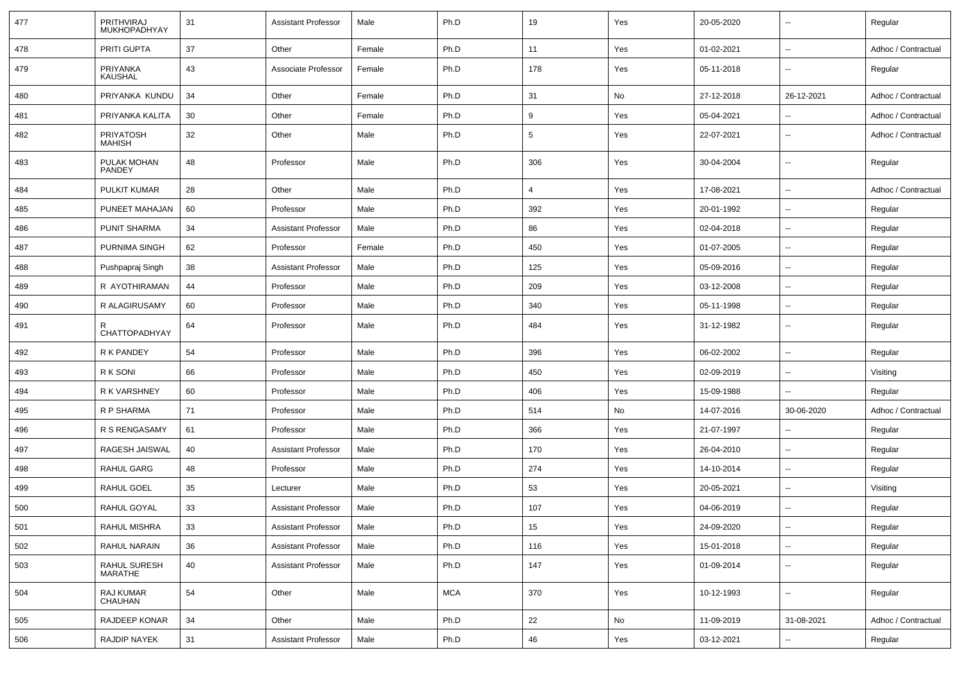| 477 | PRITHVIRAJ<br>MUKHOPADHYAY        | 31 | <b>Assistant Professor</b> | Male   | Ph.D       | 19              | Yes | 20-05-2020 | $\sim$                   | Regular             |
|-----|-----------------------------------|----|----------------------------|--------|------------|-----------------|-----|------------|--------------------------|---------------------|
| 478 | PRITI GUPTA                       | 37 | Other                      | Female | Ph.D       | 11              | Yes | 01-02-2021 | $\overline{\phantom{a}}$ | Adhoc / Contractual |
| 479 | PRIYANKA<br><b>KAUSHAL</b>        | 43 | Associate Professor        | Female | Ph.D       | 178             | Yes | 05-11-2018 | $\sim$                   | Regular             |
| 480 | PRIYANKA KUNDU                    | 34 | Other                      | Female | Ph.D       | 31              | No  | 27-12-2018 | 26-12-2021               | Adhoc / Contractual |
| 481 | PRIYANKA KALITA                   | 30 | Other                      | Female | Ph.D       | 9               | Yes | 05-04-2021 | $\overline{\phantom{a}}$ | Adhoc / Contractual |
| 482 | <b>PRIYATOSH</b><br><b>MAHISH</b> | 32 | Other                      | Male   | Ph.D       | $5\phantom{.0}$ | Yes | 22-07-2021 | $\overline{\phantom{a}}$ | Adhoc / Contractual |
| 483 | PULAK MOHAN<br>PANDEY             | 48 | Professor                  | Male   | Ph.D       | 306             | Yes | 30-04-2004 | $\overline{\phantom{a}}$ | Regular             |
| 484 | PULKIT KUMAR                      | 28 | Other                      | Male   | Ph.D       | $\overline{4}$  | Yes | 17-08-2021 | $\overline{\phantom{a}}$ | Adhoc / Contractual |
| 485 | PUNEET MAHAJAN                    | 60 | Professor                  | Male   | Ph.D       | 392             | Yes | 20-01-1992 | $\sim$                   | Regular             |
| 486 | <b>PUNIT SHARMA</b>               | 34 | <b>Assistant Professor</b> | Male   | Ph.D       | 86              | Yes | 02-04-2018 | $\sim$                   | Regular             |
| 487 | <b>PURNIMA SINGH</b>              | 62 | Professor                  | Female | Ph.D       | 450             | Yes | 01-07-2005 | $\overline{\phantom{a}}$ | Regular             |
| 488 | Pushpapraj Singh                  | 38 | <b>Assistant Professor</b> | Male   | Ph.D       | 125             | Yes | 05-09-2016 | $\sim$                   | Regular             |
| 489 | R AYOTHIRAMAN                     | 44 | Professor                  | Male   | Ph.D       | 209             | Yes | 03-12-2008 | $\overline{\phantom{a}}$ | Regular             |
| 490 | R ALAGIRUSAMY                     | 60 | Professor                  | Male   | Ph.D       | 340             | Yes | 05-11-1998 | $\sim$                   | Regular             |
| 491 | R<br>CHATTOPADHYAY                | 64 | Professor                  | Male   | Ph.D       | 484             | Yes | 31-12-1982 | $\sim$                   | Regular             |
| 492 | R K PANDEY                        | 54 | Professor                  | Male   | Ph.D       | 396             | Yes | 06-02-2002 | $\overline{\phantom{a}}$ | Regular             |
| 493 | R K SONI                          | 66 | Professor                  | Male   | Ph.D       | 450             | Yes | 02-09-2019 | $\overline{\phantom{a}}$ | Visiting            |
| 494 | R K VARSHNEY                      | 60 | Professor                  | Male   | Ph.D       | 406             | Yes | 15-09-1988 | $\overline{\phantom{a}}$ | Regular             |
| 495 | R P SHARMA                        | 71 | Professor                  | Male   | Ph.D       | 514             | No  | 14-07-2016 | 30-06-2020               | Adhoc / Contractual |
| 496 | R S RENGASAMY                     | 61 | Professor                  | Male   | Ph.D       | 366             | Yes | 21-07-1997 | $\overline{\phantom{a}}$ | Regular             |
| 497 | RAGESH JAISWAL                    | 40 | <b>Assistant Professor</b> | Male   | Ph.D       | 170             | Yes | 26-04-2010 | $\overline{\phantom{a}}$ | Regular             |
| 498 | <b>RAHUL GARG</b>                 | 48 | Professor                  | Male   | Ph.D       | 274             | Yes | 14-10-2014 | $\sim$                   | Regular             |
| 499 | RAHUL GOEL                        | 35 | Lecturer                   | Male   | Ph.D       | 53              | Yes | 20-05-2021 | $\sim$                   | Visiting            |
| 500 | RAHUL GOYAL                       | 33 | <b>Assistant Professor</b> | Male   | Ph.D       | 107             | Yes | 04-06-2019 | $\overline{\phantom{a}}$ | Regular             |
| 501 | RAHUL MISHRA                      | 33 | Assistant Professor        | Male   | Ph.D       | 15              | Yes | 24-09-2020 | $\overline{\phantom{a}}$ | Regular             |
| 502 | RAHUL NARAIN                      | 36 | <b>Assistant Professor</b> | Male   | Ph.D       | 116             | Yes | 15-01-2018 | $\overline{\phantom{a}}$ | Regular             |
| 503 | RAHUL SURESH<br>MARATHE           | 40 | <b>Assistant Professor</b> | Male   | Ph.D       | 147             | Yes | 01-09-2014 | $\sim$                   | Regular             |
| 504 | RAJ KUMAR<br>CHAUHAN              | 54 | Other                      | Male   | <b>MCA</b> | 370             | Yes | 10-12-1993 | $\overline{\phantom{a}}$ | Regular             |
| 505 | RAJDEEP KONAR                     | 34 | Other                      | Male   | Ph.D       | 22              | No  | 11-09-2019 | 31-08-2021               | Adhoc / Contractual |
| 506 | RAJDIP NAYEK                      | 31 | <b>Assistant Professor</b> | Male   | Ph.D       | 46              | Yes | 03-12-2021 | $\overline{a}$           | Regular             |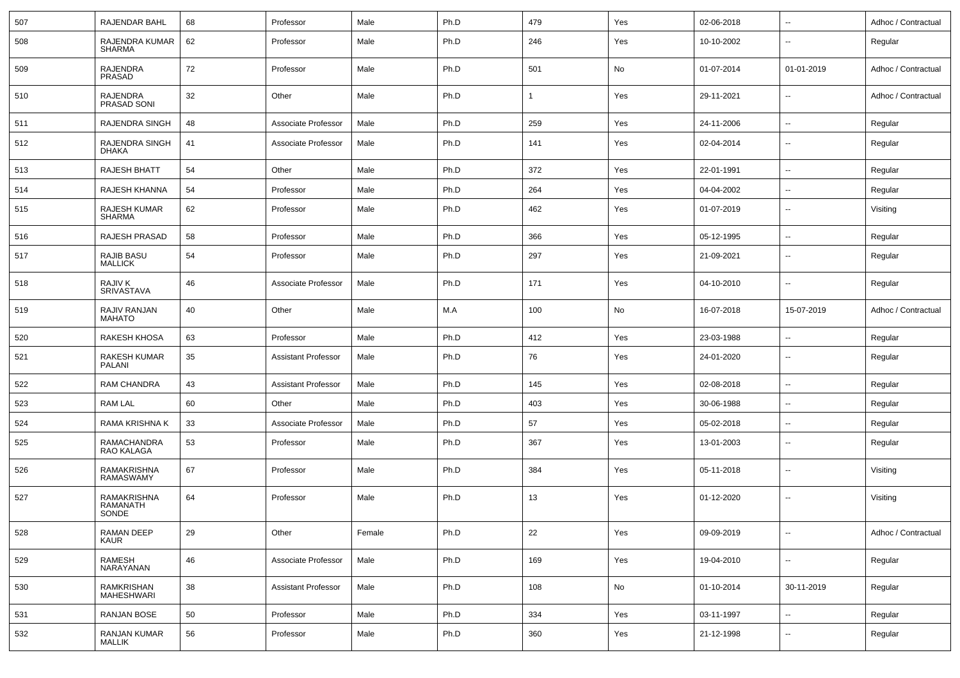| 507 | RAJENDAR BAHL                       | 68 | Professor                  | Male   | Ph.D | 479          | Yes | 02-06-2018 | $\sim$                   | Adhoc / Contractual |
|-----|-------------------------------------|----|----------------------------|--------|------|--------------|-----|------------|--------------------------|---------------------|
| 508 | RAJENDRA KUMAR<br><b>SHARMA</b>     | 62 | Professor                  | Male   | Ph.D | 246          | Yes | 10-10-2002 | $\overline{\phantom{a}}$ | Regular             |
| 509 | <b>RAJENDRA</b><br>PRASAD           | 72 | Professor                  | Male   | Ph.D | 501          | No  | 01-07-2014 | 01-01-2019               | Adhoc / Contractual |
| 510 | <b>RAJENDRA</b><br>PRASAD SONI      | 32 | Other                      | Male   | Ph.D | $\mathbf{1}$ | Yes | 29-11-2021 | $\overline{\phantom{a}}$ | Adhoc / Contractual |
| 511 | RAJENDRA SINGH                      | 48 | Associate Professor        | Male   | Ph.D | 259          | Yes | 24-11-2006 | $\sim$                   | Regular             |
| 512 | RAJENDRA SINGH<br><b>DHAKA</b>      | 41 | Associate Professor        | Male   | Ph.D | 141          | Yes | 02-04-2014 | $\overline{\phantom{a}}$ | Regular             |
| 513 | RAJESH BHATT                        | 54 | Other                      | Male   | Ph.D | 372          | Yes | 22-01-1991 | $\overline{\phantom{a}}$ | Regular             |
| 514 | RAJESH KHANNA                       | 54 | Professor                  | Male   | Ph.D | 264          | Yes | 04-04-2002 | $\overline{\phantom{a}}$ | Regular             |
| 515 | RAJESH KUMAR<br>SHARMA              | 62 | Professor                  | Male   | Ph.D | 462          | Yes | 01-07-2019 | $\overline{\phantom{a}}$ | Visiting            |
| 516 | RAJESH PRASAD                       | 58 | Professor                  | Male   | Ph.D | 366          | Yes | 05-12-1995 | $\overline{\phantom{a}}$ | Regular             |
| 517 | <b>RAJIB BASU</b><br><b>MALLICK</b> | 54 | Professor                  | Male   | Ph.D | 297          | Yes | 21-09-2021 | $\overline{\phantom{a}}$ | Regular             |
| 518 | <b>RAJIV K</b><br>SRIVASTAVA        | 46 | Associate Professor        | Male   | Ph.D | 171          | Yes | 04-10-2010 | $\mathbf{u}$             | Regular             |
| 519 | RAJIV RANJAN<br><b>MAHATO</b>       | 40 | Other                      | Male   | M.A  | 100          | No  | 16-07-2018 | 15-07-2019               | Adhoc / Contractual |
| 520 | <b>RAKESH KHOSA</b>                 | 63 | Professor                  | Male   | Ph.D | 412          | Yes | 23-03-1988 | $\mathbf{u}$             | Regular             |
| 521 | RAKESH KUMAR<br>PALANI              | 35 | <b>Assistant Professor</b> | Male   | Ph.D | 76           | Yes | 24-01-2020 | $\overline{\phantom{a}}$ | Regular             |
| 522 | RAM CHANDRA                         | 43 | <b>Assistant Professor</b> | Male   | Ph.D | 145          | Yes | 02-08-2018 | $\sim$                   | Regular             |
| 523 | <b>RAM LAL</b>                      | 60 | Other                      | Male   | Ph.D | 403          | Yes | 30-06-1988 | $\overline{\phantom{a}}$ | Regular             |
| 524 | RAMA KRISHNA K                      | 33 | Associate Professor        | Male   | Ph.D | 57           | Yes | 05-02-2018 | $\overline{\phantom{a}}$ | Regular             |
| 525 | RAMACHANDRA<br>RAO KALAGA           | 53 | Professor                  | Male   | Ph.D | 367          | Yes | 13-01-2003 | $\overline{\phantom{a}}$ | Regular             |
| 526 | RAMAKRISHNA<br>RAMASWAMY            | 67 | Professor                  | Male   | Ph.D | 384          | Yes | 05-11-2018 | $\overline{\phantom{a}}$ | Visiting            |
| 527 | RAMAKRISHNA<br>RAMANATH<br>SONDE    | 64 | Professor                  | Male   | Ph.D | 13           | Yes | 01-12-2020 | $\overline{\phantom{a}}$ | Visiting            |
| 528 | RAMAN DEEP<br><b>KAUR</b>           | 29 | Other                      | Female | Ph.D | 22           | Yes | 09-09-2019 | $\overline{\phantom{a}}$ | Adhoc / Contractual |
| 529 | RAMESH<br>NARAYANAN                 | 46 | Associate Professor        | Male   | Ph.D | 169          | Yes | 19-04-2010 | $\sim$                   | Regular             |
| 530 | RAMKRISHAN<br>MAHESHWARI            | 38 | <b>Assistant Professor</b> | Male   | Ph.D | 108          | No  | 01-10-2014 | 30-11-2019               | Regular             |
| 531 | RANJAN BOSE                         | 50 | Professor                  | Male   | Ph.D | 334          | Yes | 03-11-1997 | $\sim$                   | Regular             |
| 532 | RANJAN KUMAR<br><b>MALLIK</b>       | 56 | Professor                  | Male   | Ph.D | 360          | Yes | 21-12-1998 | $\overline{\phantom{a}}$ | Regular             |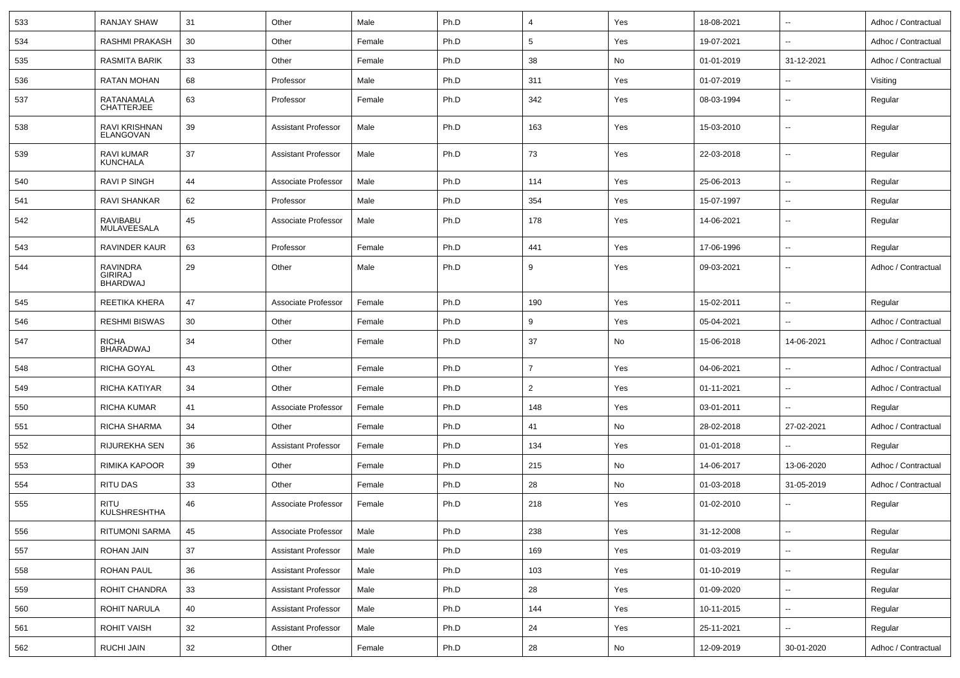| 533 | <b>RANJAY SHAW</b>                            | 31 | Other                      | Male   | Ph.D | $\overline{4}$ | Yes | 18-08-2021 | $\overline{\phantom{a}}$ | Adhoc / Contractual |
|-----|-----------------------------------------------|----|----------------------------|--------|------|----------------|-----|------------|--------------------------|---------------------|
| 534 | RASHMI PRAKASH                                | 30 | Other                      | Female | Ph.D | 5              | Yes | 19-07-2021 | $\overline{\phantom{a}}$ | Adhoc / Contractual |
| 535 | RASMITA BARIK                                 | 33 | Other                      | Female | Ph.D | 38             | No  | 01-01-2019 | 31-12-2021               | Adhoc / Contractual |
| 536 | <b>RATAN MOHAN</b>                            | 68 | Professor                  | Male   | Ph.D | 311            | Yes | 01-07-2019 | $\overline{\phantom{a}}$ | Visiting            |
| 537 | RATANAMALA<br><b>CHATTERJEE</b>               | 63 | Professor                  | Female | Ph.D | 342            | Yes | 08-03-1994 | $\overline{\phantom{a}}$ | Regular             |
| 538 | RAVI KRISHNAN<br>ELANGOVAN                    | 39 | <b>Assistant Professor</b> | Male   | Ph.D | 163            | Yes | 15-03-2010 | $\overline{\phantom{a}}$ | Regular             |
| 539 | <b>RAVI KUMAR</b><br><b>KUNCHALA</b>          | 37 | <b>Assistant Professor</b> | Male   | Ph.D | 73             | Yes | 22-03-2018 | $\overline{\phantom{a}}$ | Regular             |
| 540 | <b>RAVI P SINGH</b>                           | 44 | Associate Professor        | Male   | Ph.D | 114            | Yes | 25-06-2013 | $\overline{\phantom{a}}$ | Regular             |
| 541 | RAVI SHANKAR                                  | 62 | Professor                  | Male   | Ph.D | 354            | Yes | 15-07-1997 | $\overline{\phantom{a}}$ | Regular             |
| 542 | RAVIBABU<br>MULAVEESALA                       | 45 | Associate Professor        | Male   | Ph.D | 178            | Yes | 14-06-2021 | $\overline{\phantom{a}}$ | Regular             |
| 543 | RAVINDER KAUR                                 | 63 | Professor                  | Female | Ph.D | 441            | Yes | 17-06-1996 | $\overline{\phantom{a}}$ | Regular             |
| 544 | <b>RAVINDRA</b><br>GIRIRAJ<br><b>BHARDWAJ</b> | 29 | Other                      | Male   | Ph.D | 9              | Yes | 09-03-2021 | $\overline{\phantom{a}}$ | Adhoc / Contractual |
| 545 | REETIKA KHERA                                 | 47 | Associate Professor        | Female | Ph.D | 190            | Yes | 15-02-2011 | $\overline{\phantom{a}}$ | Regular             |
| 546 | <b>RESHMI BISWAS</b>                          | 30 | Other                      | Female | Ph.D | 9              | Yes | 05-04-2021 | --                       | Adhoc / Contractual |
| 547 | <b>RICHA</b><br><b>BHARADWAJ</b>              | 34 | Other                      | Female | Ph.D | 37             | No  | 15-06-2018 | 14-06-2021               | Adhoc / Contractual |
| 548 | RICHA GOYAL                                   | 43 | Other                      | Female | Ph.D | $\overline{7}$ | Yes | 04-06-2021 | $\overline{\phantom{a}}$ | Adhoc / Contractual |
| 549 | RICHA KATIYAR                                 | 34 | Other                      | Female | Ph.D | $\overline{2}$ | Yes | 01-11-2021 | --                       | Adhoc / Contractual |
| 550 | RICHA KUMAR                                   | 41 | Associate Professor        | Female | Ph.D | 148            | Yes | 03-01-2011 | --                       | Regular             |
| 551 | RICHA SHARMA                                  | 34 | Other                      | Female | Ph.D | 41             | No  | 28-02-2018 | 27-02-2021               | Adhoc / Contractual |
| 552 | <b>RIJUREKHA SEN</b>                          | 36 | <b>Assistant Professor</b> | Female | Ph.D | 134            | Yes | 01-01-2018 |                          | Regular             |
| 553 | <b>RIMIKA KAPOOR</b>                          | 39 | Other                      | Female | Ph.D | 215            | No  | 14-06-2017 | 13-06-2020               | Adhoc / Contractual |
| 554 | RITU DAS                                      | 33 | Other                      | Female | Ph.D | 28             | No  | 01-03-2018 | 31-05-2019               | Adhoc / Contractual |
| 555 | RITU<br><b>KULSHRESHTHA</b>                   | 46 | Associate Professor        | Female | Ph.D | 218            | Yes | 01-02-2010 | $\overline{\phantom{a}}$ | Regular             |
| 556 | RITUMONI SARMA                                | 45 | Associate Professor        | Male   | Ph.D | 238            | Yes | 31-12-2008 | $\ddot{\phantom{a}}$     | Regular             |
| 557 | ROHAN JAIN                                    | 37 | <b>Assistant Professor</b> | Male   | Ph.D | 169            | Yes | 01-03-2019 | $\overline{\phantom{a}}$ | Regular             |
| 558 | ROHAN PAUL                                    | 36 | <b>Assistant Professor</b> | Male   | Ph.D | 103            | Yes | 01-10-2019 | $\overline{\phantom{a}}$ | Regular             |
| 559 | ROHIT CHANDRA                                 | 33 | <b>Assistant Professor</b> | Male   | Ph.D | 28             | Yes | 01-09-2020 | $\overline{\phantom{a}}$ | Regular             |
| 560 | ROHIT NARULA                                  | 40 | <b>Assistant Professor</b> | Male   | Ph.D | 144            | Yes | 10-11-2015 | $\overline{\phantom{a}}$ | Regular             |
| 561 | <b>ROHIT VAISH</b>                            | 32 | <b>Assistant Professor</b> | Male   | Ph.D | 24             | Yes | 25-11-2021 | $\overline{\phantom{a}}$ | Regular             |
| 562 | RUCHI JAIN                                    | 32 | Other                      | Female | Ph.D | 28             | No  | 12-09-2019 | 30-01-2020               | Adhoc / Contractual |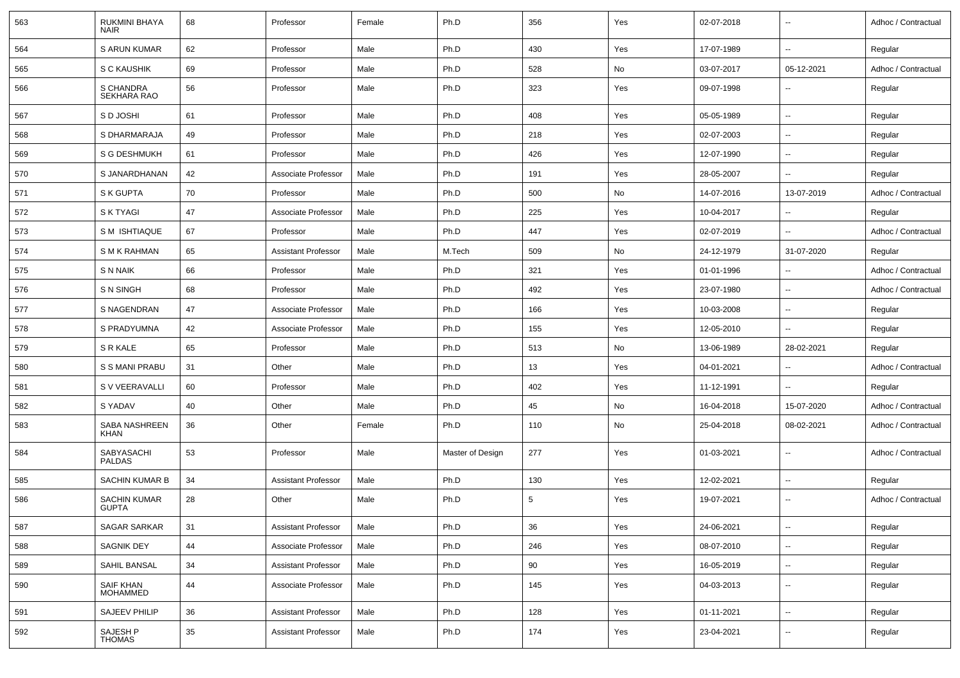| 563 | <b>RUKMINI BHAYA</b><br><b>NAIR</b> | 68 | Professor                  | Female | Ph.D             | 356             | Yes | 02-07-2018 | $\overline{\phantom{a}}$ | Adhoc / Contractual |
|-----|-------------------------------------|----|----------------------------|--------|------------------|-----------------|-----|------------|--------------------------|---------------------|
| 564 | <b>S ARUN KUMAR</b>                 | 62 | Professor                  | Male   | Ph.D             | 430             | Yes | 17-07-1989 | $\overline{\phantom{a}}$ | Regular             |
| 565 | S C KAUSHIK                         | 69 | Professor                  | Male   | Ph.D             | 528             | No  | 03-07-2017 | 05-12-2021               | Adhoc / Contractual |
| 566 | S CHANDRA<br>SEKHARA RAO            | 56 | Professor                  | Male   | Ph.D             | 323             | Yes | 09-07-1998 | $\sim$                   | Regular             |
| 567 | S D JOSHI                           | 61 | Professor                  | Male   | Ph.D             | 408             | Yes | 05-05-1989 | $\sim$                   | Regular             |
| 568 | S DHARMARAJA                        | 49 | Professor                  | Male   | Ph.D             | 218             | Yes | 02-07-2003 | $\sim$                   | Regular             |
| 569 | S G DESHMUKH                        | 61 | Professor                  | Male   | Ph.D             | 426             | Yes | 12-07-1990 | $\sim$                   | Regular             |
| 570 | S JANARDHANAN                       | 42 | Associate Professor        | Male   | Ph.D             | 191             | Yes | 28-05-2007 | $\sim$                   | Regular             |
| 571 | S K GUPTA                           | 70 | Professor                  | Male   | Ph.D             | 500             | No  | 14-07-2016 | 13-07-2019               | Adhoc / Contractual |
| 572 | <b>SK TYAGI</b>                     | 47 | Associate Professor        | Male   | Ph.D             | 225             | Yes | 10-04-2017 | $\overline{\phantom{a}}$ | Regular             |
| 573 | S M ISHTIAQUE                       | 67 | Professor                  | Male   | Ph.D             | 447             | Yes | 02-07-2019 | $\sim$                   | Adhoc / Contractual |
| 574 | S M K RAHMAN                        | 65 | <b>Assistant Professor</b> | Male   | M.Tech           | 509             | No  | 24-12-1979 | 31-07-2020               | Regular             |
| 575 | <b>SNNAIK</b>                       | 66 | Professor                  | Male   | Ph.D             | 321             | Yes | 01-01-1996 | $\sim$                   | Adhoc / Contractual |
| 576 | <b>SN SINGH</b>                     | 68 | Professor                  | Male   | Ph.D             | 492             | Yes | 23-07-1980 | $\overline{\phantom{a}}$ | Adhoc / Contractual |
| 577 | S NAGENDRAN                         | 47 | Associate Professor        | Male   | Ph.D             | 166             | Yes | 10-03-2008 | $\overline{\phantom{a}}$ | Regular             |
| 578 | S PRADYUMNA                         | 42 | Associate Professor        | Male   | Ph.D             | 155             | Yes | 12-05-2010 | $\sim$                   | Regular             |
| 579 | S R KALE                            | 65 | Professor                  | Male   | Ph.D             | 513             | No  | 13-06-1989 | 28-02-2021               | Regular             |
| 580 | S S MANI PRABU                      | 31 | Other                      | Male   | Ph.D             | 13              | Yes | 04-01-2021 | $\sim$                   | Adhoc / Contractual |
| 581 | S V VEERAVALLI                      | 60 | Professor                  | Male   | Ph.D             | 402             | Yes | 11-12-1991 | $\overline{\phantom{a}}$ | Regular             |
| 582 | S YADAV                             | 40 | Other                      | Male   | Ph.D             | 45              | No  | 16-04-2018 | 15-07-2020               | Adhoc / Contractual |
| 583 | SABA NASHREEN<br>KHAN               | 36 | Other                      | Female | Ph.D             | 110             | No  | 25-04-2018 | 08-02-2021               | Adhoc / Contractual |
| 584 | SABYASACHI<br><b>PALDAS</b>         | 53 | Professor                  | Male   | Master of Design | 277             | Yes | 01-03-2021 | $\overline{\phantom{a}}$ | Adhoc / Contractual |
| 585 | <b>SACHIN KUMAR B</b>               | 34 | <b>Assistant Professor</b> | Male   | Ph.D             | 130             | Yes | 12-02-2021 | $\sim$                   | Regular             |
| 586 | <b>SACHIN KUMAR</b><br><b>GUPTA</b> | 28 | Other                      | Male   | Ph.D             | $5\phantom{.0}$ | Yes | 19-07-2021 | $\sim$                   | Adhoc / Contractual |
| 587 | SAGAR SARKAR                        | 31 | <b>Assistant Professor</b> | Male   | Ph.D             | 36              | Yes | 24-06-2021 | $\overline{\phantom{a}}$ | Regular             |
| 588 | SAGNIK DEY                          | 44 | Associate Professor        | Male   | Ph.D             | 246             | Yes | 08-07-2010 | $\sim$                   | Regular             |
| 589 | SAHIL BANSAL                        | 34 | <b>Assistant Professor</b> | Male   | Ph.D             | 90              | Yes | 16-05-2019 | $\sim$                   | Regular             |
| 590 | SAIF KHAN<br>MOHAMMED               | 44 | Associate Professor        | Male   | Ph.D             | 145             | Yes | 04-03-2013 | $\sim$                   | Regular             |
| 591 | <b>SAJEEV PHILIP</b>                | 36 | <b>Assistant Professor</b> | Male   | Ph.D             | 128             | Yes | 01-11-2021 | $\overline{\phantom{a}}$ | Regular             |
| 592 | SAJESH P<br><b>THOMAS</b>           | 35 | <b>Assistant Professor</b> | Male   | Ph.D             | 174             | Yes | 23-04-2021 | $\overline{\phantom{a}}$ | Regular             |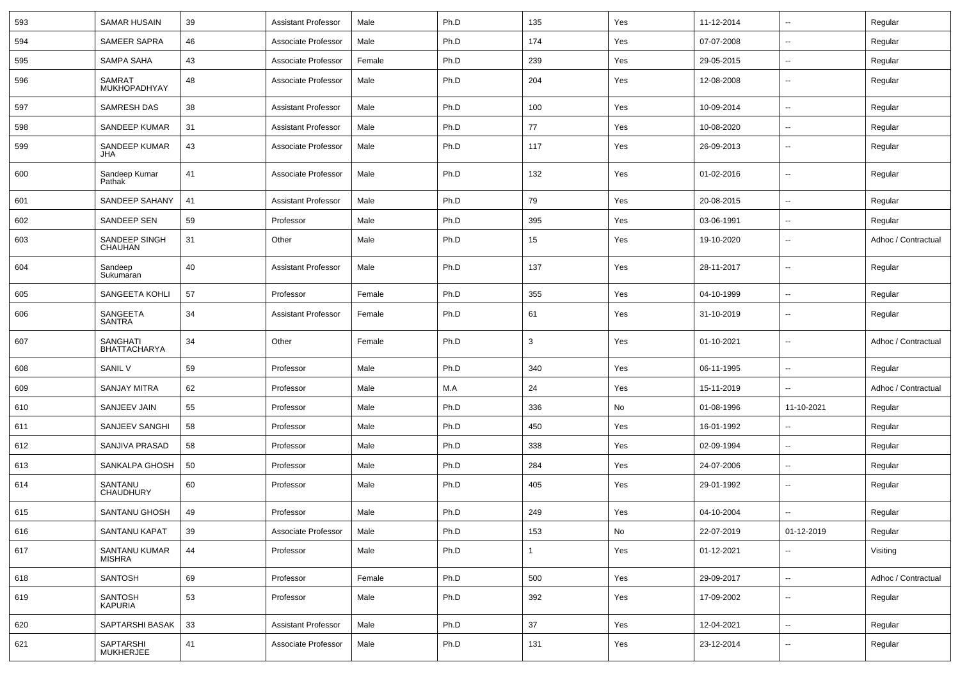| 593 | <b>SAMAR HUSAIN</b>           | 39 | <b>Assistant Professor</b> | Male   | Ph.D | 135 | Yes | 11-12-2014 | $\sim$                   | Regular             |
|-----|-------------------------------|----|----------------------------|--------|------|-----|-----|------------|--------------------------|---------------------|
| 594 | <b>SAMEER SAPRA</b>           | 46 | Associate Professor        | Male   | Ph.D | 174 | Yes | 07-07-2008 | ۰.                       | Regular             |
| 595 | SAMPA SAHA                    | 43 | Associate Professor        | Female | Ph.D | 239 | Yes | 29-05-2015 | $\sim$                   | Regular             |
| 596 | <b>SAMRAT</b><br>MUKHOPADHYAY | 48 | Associate Professor        | Male   | Ph.D | 204 | Yes | 12-08-2008 | --                       | Regular             |
| 597 | <b>SAMRESH DAS</b>            | 38 | <b>Assistant Professor</b> | Male   | Ph.D | 100 | Yes | 10-09-2014 | $\overline{\phantom{a}}$ | Regular             |
| 598 | <b>SANDEEP KUMAR</b>          | 31 | <b>Assistant Professor</b> | Male   | Ph.D | 77  | Yes | 10-08-2020 | ۰.                       | Regular             |
| 599 | SANDEEP KUMAR<br>JHA          | 43 | Associate Professor        | Male   | Ph.D | 117 | Yes | 26-09-2013 | $\sim$                   | Regular             |
| 600 | Sandeep Kumar<br>Pathak       | 41 | Associate Professor        | Male   | Ph.D | 132 | Yes | 01-02-2016 | $\sim$                   | Regular             |
| 601 | SANDEEP SAHANY                | 41 | <b>Assistant Professor</b> | Male   | Ph.D | 79  | Yes | 20-08-2015 | $\mathbf{u}$             | Regular             |
| 602 | SANDEEP SEN                   | 59 | Professor                  | Male   | Ph.D | 395 | Yes | 03-06-1991 | $\sim$                   | Regular             |
| 603 | SANDEEP SINGH<br>CHAUHAN      | 31 | Other                      | Male   | Ph.D | 15  | Yes | 19-10-2020 | $\overline{\phantom{a}}$ | Adhoc / Contractual |
| 604 | Sandeep<br>Sukumaran          | 40 | <b>Assistant Professor</b> | Male   | Ph.D | 137 | Yes | 28-11-2017 | $\sim$                   | Regular             |
| 605 | SANGEETA KOHLI                | 57 | Professor                  | Female | Ph.D | 355 | Yes | 04-10-1999 | $\sim$                   | Regular             |
| 606 | SANGEETA<br>SANTRA            | 34 | <b>Assistant Professor</b> | Female | Ph.D | 61  | Yes | 31-10-2019 | --                       | Regular             |
| 607 | SANGHATI<br>BHATTACHARYA      | 34 | Other                      | Female | Ph.D | 3   | Yes | 01-10-2021 | --                       | Adhoc / Contractual |
| 608 | SANIL V                       | 59 | Professor                  | Male   | Ph.D | 340 | Yes | 06-11-1995 | $\overline{a}$           | Regular             |
| 609 | <b>SANJAY MITRA</b>           | 62 | Professor                  | Male   | M.A  | 24  | Yes | 15-11-2019 | --                       | Adhoc / Contractual |
| 610 | SANJEEV JAIN                  | 55 | Professor                  | Male   | Ph.D | 336 | No  | 01-08-1996 | 11-10-2021               | Regular             |
| 611 | SANJEEV SANGHI                | 58 | Professor                  | Male   | Ph.D | 450 | Yes | 16-01-1992 | $\sim$                   | Regular             |
| 612 | SANJIVA PRASAD                | 58 | Professor                  | Male   | Ph.D | 338 | Yes | 02-09-1994 | $\overline{\phantom{a}}$ | Regular             |
| 613 | SANKALPA GHOSH                | 50 | Professor                  | Male   | Ph.D | 284 | Yes | 24-07-2006 | −−                       | Regular             |
| 614 | SANTANU<br><b>CHAUDHURY</b>   | 60 | Professor                  | Male   | Ph.D | 405 | Yes | 29-01-1992 | $\overline{\phantom{a}}$ | Regular             |
| 615 | SANTANU GHOSH                 | 49 | Professor                  | Male   | Ph.D | 249 | Yes | 04-10-2004 |                          | Regular             |
| 616 | SANTANU KAPAT                 | 39 | Associate Professor        | Male   | Ph.D | 153 | No  | 22-07-2019 | 01-12-2019               | Regular             |
| 617 | SANTANU KUMAR<br>MISHRA       | 44 | Professor                  | Male   | Ph.D |     | Yes | 01-12-2021 | $\overline{a}$           | Visiting            |
| 618 | SANTOSH                       | 69 | Professor                  | Female | Ph.D | 500 | Yes | 29-09-2017 | $\overline{\phantom{a}}$ | Adhoc / Contractual |
| 619 | SANTOSH<br>KAPURIA            | 53 | Professor                  | Male   | Ph.D | 392 | Yes | 17-09-2002 | $\overline{\phantom{a}}$ | Regular             |
| 620 | SAPTARSHI BASAK               | 33 | <b>Assistant Professor</b> | Male   | Ph.D | 37  | Yes | 12-04-2021 | $\overline{\phantom{a}}$ | Regular             |
| 621 | SAPTARSHI<br>MUKHERJEE        | 41 | Associate Professor        | Male   | Ph.D | 131 | Yes | 23-12-2014 | --                       | Regular             |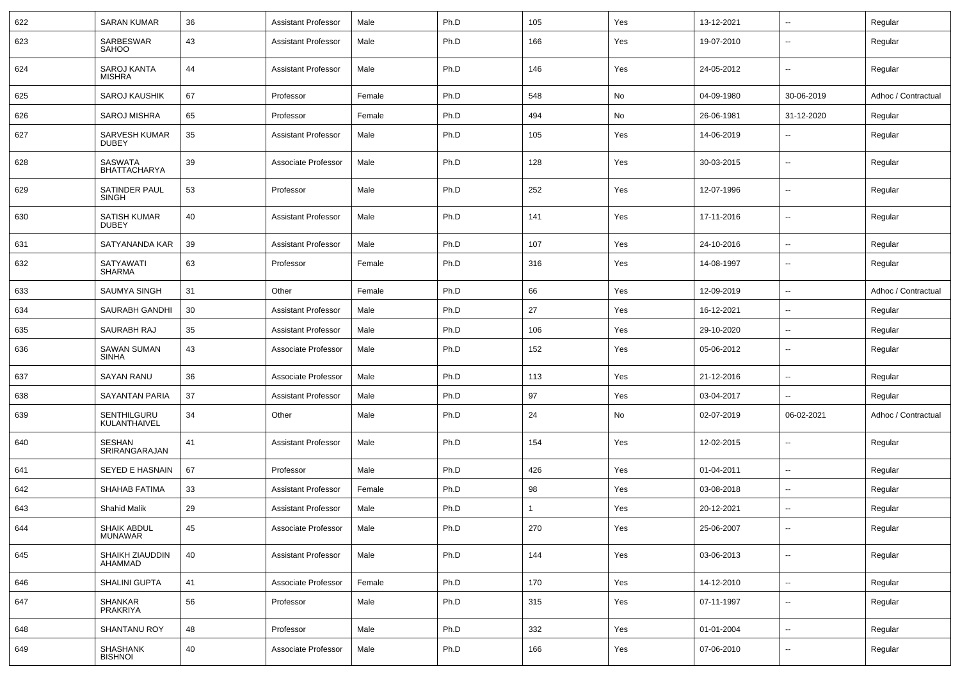| 622 | <b>SARAN KUMAR</b>                  | 36 | <b>Assistant Professor</b> | Male   | Ph.D | 105 | Yes | 13-12-2021 | $\sim$                   | Regular             |
|-----|-------------------------------------|----|----------------------------|--------|------|-----|-----|------------|--------------------------|---------------------|
| 623 | SARBESWAR<br><b>SAHOO</b>           | 43 | <b>Assistant Professor</b> | Male   | Ph.D | 166 | Yes | 19-07-2010 | ۰.                       | Regular             |
| 624 | <b>SAROJ KANTA</b><br>MISHRA        | 44 | <b>Assistant Professor</b> | Male   | Ph.D | 146 | Yes | 24-05-2012 | $\overline{a}$           | Regular             |
| 625 | <b>SAROJ KAUSHIK</b>                | 67 | Professor                  | Female | Ph.D | 548 | No  | 04-09-1980 | 30-06-2019               | Adhoc / Contractual |
| 626 | <b>SAROJ MISHRA</b>                 | 65 | Professor                  | Female | Ph.D | 494 | No  | 26-06-1981 | 31-12-2020               | Regular             |
| 627 | SARVESH KUMAR<br><b>DUBEY</b>       | 35 | <b>Assistant Professor</b> | Male   | Ph.D | 105 | Yes | 14-06-2019 | --                       | Regular             |
| 628 | <b>SASWATA</b><br>BHATTACHARYA      | 39 | Associate Professor        | Male   | Ph.D | 128 | Yes | 30-03-2015 | --                       | Regular             |
| 629 | SATINDER PAUL<br>SINGH              | 53 | Professor                  | Male   | Ph.D | 252 | Yes | 12-07-1996 | $\overline{a}$           | Regular             |
| 630 | <b>SATISH KUMAR</b><br><b>DUBEY</b> | 40 | <b>Assistant Professor</b> | Male   | Ph.D | 141 | Yes | 17-11-2016 | --                       | Regular             |
| 631 | SATYANANDA KAR                      | 39 | <b>Assistant Professor</b> | Male   | Ph.D | 107 | Yes | 24-10-2016 | ۰.                       | Regular             |
| 632 | <b>SATYAWATI</b><br>SHARMA          | 63 | Professor                  | Female | Ph.D | 316 | Yes | 14-08-1997 | ۰.                       | Regular             |
| 633 | <b>SAUMYA SINGH</b>                 | 31 | Other                      | Female | Ph.D | 66  | Yes | 12-09-2019 | ۰.                       | Adhoc / Contractual |
| 634 | SAURABH GANDHI                      | 30 | <b>Assistant Professor</b> | Male   | Ph.D | 27  | Yes | 16-12-2021 | $\sim$                   | Regular             |
| 635 | SAURABH RAJ                         | 35 | <b>Assistant Professor</b> | Male   | Ph.D | 106 | Yes | 29-10-2020 | $\sim$                   | Regular             |
| 636 | <b>SAWAN SUMAN</b><br>SINHA         | 43 | Associate Professor        | Male   | Ph.D | 152 | Yes | 05-06-2012 | $\overline{a}$           | Regular             |
| 637 | <b>SAYAN RANU</b>                   | 36 | Associate Professor        | Male   | Ph.D | 113 | Yes | 21-12-2016 | $\sim$                   | Regular             |
| 638 | <b>SAYANTAN PARIA</b>               | 37 | <b>Assistant Professor</b> | Male   | Ph.D | 97  | Yes | 03-04-2017 | $\sim$                   | Regular             |
| 639 | SENTHILGURU<br>KULANTHAIVEL         | 34 | Other                      | Male   | Ph.D | 24  | No  | 02-07-2019 | 06-02-2021               | Adhoc / Contractual |
| 640 | <b>SESHAN</b><br>SRIRANGARAJAN      | 41 | <b>Assistant Professor</b> | Male   | Ph.D | 154 | Yes | 12-02-2015 | $\overline{\phantom{a}}$ | Regular             |
| 641 | SEYED E HASNAIN                     | 67 | Professor                  | Male   | Ph.D | 426 | Yes | 01-04-2011 | ۰.                       | Regular             |
| 642 | <b>SHAHAB FATIMA</b>                | 33 | <b>Assistant Professor</b> | Female | Ph.D | 98  | Yes | 03-08-2018 | ۰.                       | Regular             |
| 643 | <b>Shahid Malik</b>                 | 29 | <b>Assistant Professor</b> | Male   | Ph.D |     | Yes | 20-12-2021 | $\sim$                   | Regular             |
| 644 | SHAIK ABDUL<br>MUNAWAR              | 45 | Associate Professor        | Male   | Ph.D | 270 | Yes | 25-06-2007 | $\sim$                   | Regular             |
| 645 | SHAIKH ZIAUDDIN<br>AHAMMAD          | 40 | <b>Assistant Professor</b> | Male   | Ph.D | 144 | Yes | 03-06-2013 | $\sim$                   | Regular             |
| 646 | <b>SHALINI GUPTA</b>                | 41 | Associate Professor        | Female | Ph.D | 170 | Yes | 14-12-2010 | $\sim$                   | Regular             |
| 647 | SHANKAR<br>PRAKRIYA                 | 56 | Professor                  | Male   | Ph.D | 315 | Yes | 07-11-1997 | $\sim$                   | Regular             |
| 648 | <b>SHANTANU ROY</b>                 | 48 | Professor                  | Male   | Ph.D | 332 | Yes | 01-01-2004 | $\sim$                   | Regular             |
| 649 | SHASHANK<br>BISHNOI                 | 40 | Associate Professor        | Male   | Ph.D | 166 | Yes | 07-06-2010 | --                       | Regular             |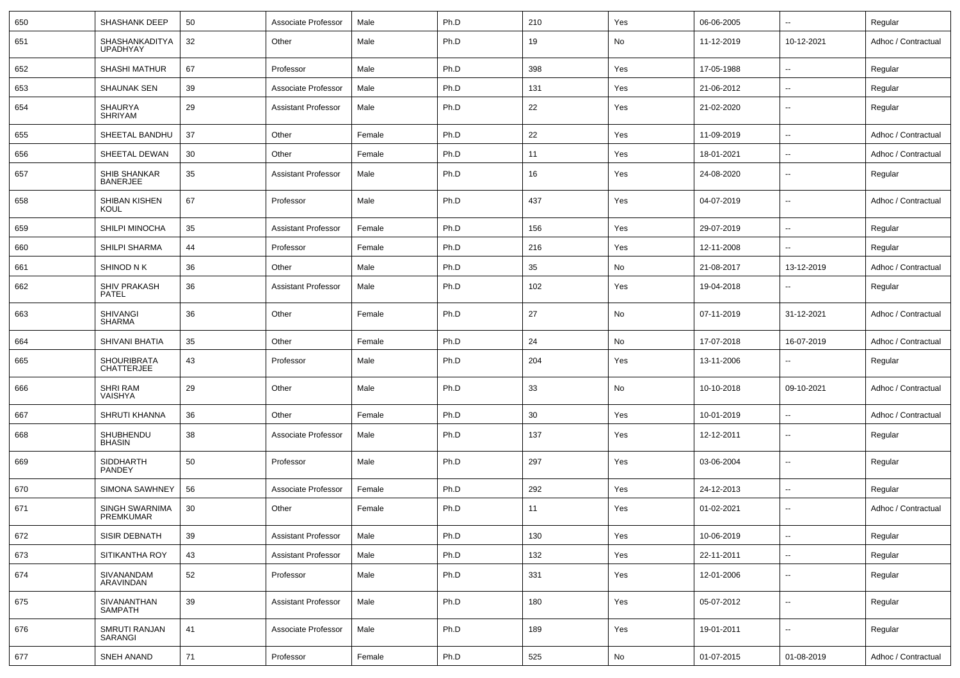| 650 | SHASHANK DEEP                           | 50 | Associate Professor        | Male   | Ph.D | 210 | Yes | 06-06-2005 | $\mathbf{u}$             | Regular             |
|-----|-----------------------------------------|----|----------------------------|--------|------|-----|-----|------------|--------------------------|---------------------|
| 651 | SHASHANKADITYA<br><b>UPADHYAY</b>       | 32 | Other                      | Male   | Ph.D | 19  | No  | 11-12-2019 | 10-12-2021               | Adhoc / Contractual |
| 652 | <b>SHASHI MATHUR</b>                    | 67 | Professor                  | Male   | Ph.D | 398 | Yes | 17-05-1988 | $\overline{\phantom{a}}$ | Regular             |
| 653 | <b>SHAUNAK SEN</b>                      | 39 | Associate Professor        | Male   | Ph.D | 131 | Yes | 21-06-2012 | $\overline{\phantom{a}}$ | Regular             |
| 654 | <b>SHAURYA</b><br><b>SHRIYAM</b>        | 29 | <b>Assistant Professor</b> | Male   | Ph.D | 22  | Yes | 21-02-2020 | $\overline{\phantom{a}}$ | Regular             |
| 655 | SHEETAL BANDHU                          | 37 | Other                      | Female | Ph.D | 22  | Yes | 11-09-2019 | $\mathbf{u}$             | Adhoc / Contractual |
| 656 | SHEETAL DEWAN                           | 30 | Other                      | Female | Ph.D | 11  | Yes | 18-01-2021 | $\overline{\phantom{a}}$ | Adhoc / Contractual |
| 657 | SHIB SHANKAR<br><b>BANERJEE</b>         | 35 | <b>Assistant Professor</b> | Male   | Ph.D | 16  | Yes | 24-08-2020 | $\mathbf{u}$             | Regular             |
| 658 | SHIBAN KISHEN<br>KOUL                   | 67 | Professor                  | Male   | Ph.D | 437 | Yes | 04-07-2019 | $\mathbf{u}$             | Adhoc / Contractual |
| 659 | SHILPI MINOCHA                          | 35 | <b>Assistant Professor</b> | Female | Ph.D | 156 | Yes | 29-07-2019 | $\mathbf{u}$             | Regular             |
| 660 | SHILPI SHARMA                           | 44 | Professor                  | Female | Ph.D | 216 | Yes | 12-11-2008 | $\mathbf{u}$             | Regular             |
| 661 | SHINOD N K                              | 36 | Other                      | Male   | Ph.D | 35  | No  | 21-08-2017 | 13-12-2019               | Adhoc / Contractual |
| 662 | SHIV PRAKASH<br><b>PATEL</b>            | 36 | <b>Assistant Professor</b> | Male   | Ph.D | 102 | Yes | 19-04-2018 | $\overline{\phantom{a}}$ | Regular             |
| 663 | <b>SHIVANGI</b><br><b>SHARMA</b>        | 36 | Other                      | Female | Ph.D | 27  | No  | 07-11-2019 | 31-12-2021               | Adhoc / Contractual |
| 664 | SHIVANI BHATIA                          | 35 | Other                      | Female | Ph.D | 24  | No  | 17-07-2018 | 16-07-2019               | Adhoc / Contractual |
| 665 | <b>SHOURIBRATA</b><br><b>CHATTERJEE</b> | 43 | Professor                  | Male   | Ph.D | 204 | Yes | 13-11-2006 | $\overline{\phantom{a}}$ | Regular             |
| 666 | <b>SHRI RAM</b><br>VAISHYA              | 29 | Other                      | Male   | Ph.D | 33  | No  | 10-10-2018 | 09-10-2021               | Adhoc / Contractual |
| 667 | SHRUTI KHANNA                           | 36 | Other                      | Female | Ph.D | 30  | Yes | 10-01-2019 | $\overline{\phantom{a}}$ | Adhoc / Contractual |
| 668 | SHUBHENDU<br><b>BHASIN</b>              | 38 | Associate Professor        | Male   | Ph.D | 137 | Yes | 12-12-2011 | $\overline{\phantom{a}}$ | Regular             |
| 669 | <b>SIDDHARTH</b><br>PANDEY              | 50 | Professor                  | Male   | Ph.D | 297 | Yes | 03-06-2004 | $\overline{\phantom{a}}$ | Regular             |
| 670 | <b>SIMONA SAWHNEY</b>                   | 56 | Associate Professor        | Female | Ph.D | 292 | Yes | 24-12-2013 | $\overline{\phantom{a}}$ | Regular             |
| 671 | SINGH SWARNIMA<br>PREMKUMAR             | 30 | Other                      | Female | Ph.D | 11  | Yes | 01-02-2021 | $\overline{\phantom{a}}$ | Adhoc / Contractual |
| 672 | <b>SISIR DEBNATH</b>                    | 39 | <b>Assistant Professor</b> | Male   | Ph.D | 130 | Yes | 10-06-2019 | $\overline{\phantom{a}}$ | Regular             |
| 673 | SITIKANTHA ROY                          | 43 | <b>Assistant Professor</b> | Male   | Ph.D | 132 | Yes | 22-11-2011 | $\overline{\phantom{a}}$ | Regular             |
| 674 | SIVANANDAM<br>ARAVINDAN                 | 52 | Professor                  | Male   | Ph.D | 331 | Yes | 12-01-2006 | $\overline{\phantom{a}}$ | Regular             |
| 675 | SIVANANTHAN<br><b>SAMPATH</b>           | 39 | <b>Assistant Professor</b> | Male   | Ph.D | 180 | Yes | 05-07-2012 | ۰.                       | Regular             |
| 676 | SMRUTI RANJAN<br>SARANGI                | 41 | Associate Professor        | Male   | Ph.D | 189 | Yes | 19-01-2011 | ۰.                       | Regular             |
| 677 | SNEH ANAND                              | 71 | Professor                  | Female | Ph.D | 525 | No  | 01-07-2015 | 01-08-2019               | Adhoc / Contractual |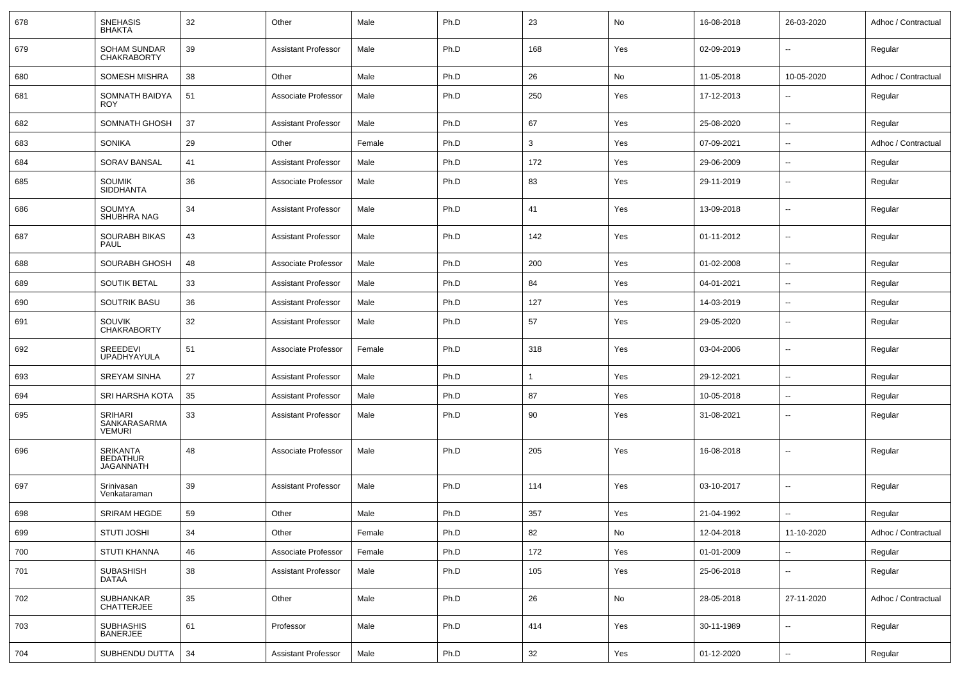| 678 | <b>SNEHASIS</b><br><b>BHAKTA</b>                | 32 | Other                      | Male   | Ph.D | 23           | No  | 16-08-2018 | 26-03-2020               | Adhoc / Contractual |
|-----|-------------------------------------------------|----|----------------------------|--------|------|--------------|-----|------------|--------------------------|---------------------|
| 679 | <b>SOHAM SUNDAR</b><br><b>CHAKRABORTY</b>       | 39 | <b>Assistant Professor</b> | Male   | Ph.D | 168          | Yes | 02-09-2019 | $\sim$                   | Regular             |
| 680 | <b>SOMESH MISHRA</b>                            | 38 | Other                      | Male   | Ph.D | 26           | No  | 11-05-2018 | 10-05-2020               | Adhoc / Contractual |
| 681 | SOMNATH BAIDYA<br><b>ROY</b>                    | 51 | Associate Professor        | Male   | Ph.D | 250          | Yes | 17-12-2013 | Ξ.                       | Regular             |
| 682 | SOMNATH GHOSH                                   | 37 | <b>Assistant Professor</b> | Male   | Ph.D | 67           | Yes | 25-08-2020 | $\sim$                   | Regular             |
| 683 | SONIKA                                          | 29 | Other                      | Female | Ph.D | 3            | Yes | 07-09-2021 | $\sim$                   | Adhoc / Contractual |
| 684 | <b>SORAV BANSAL</b>                             | 41 | <b>Assistant Professor</b> | Male   | Ph.D | 172          | Yes | 29-06-2009 | Ξ.                       | Regular             |
| 685 | <b>SOUMIK</b><br><b>SIDDHANTA</b>               | 36 | Associate Professor        | Male   | Ph.D | 83           | Yes | 29-11-2019 | $- -$                    | Regular             |
| 686 | <b>SOUMYA</b><br>SHUBHRA NAG                    | 34 | <b>Assistant Professor</b> | Male   | Ph.D | 41           | Yes | 13-09-2018 | ۰.                       | Regular             |
| 687 | <b>SOURABH BIKAS</b><br>PAUL                    | 43 | <b>Assistant Professor</b> | Male   | Ph.D | 142          | Yes | 01-11-2012 | ۰.                       | Regular             |
| 688 | <b>SOURABH GHOSH</b>                            | 48 | Associate Professor        | Male   | Ph.D | 200          | Yes | 01-02-2008 | Ξ.                       | Regular             |
| 689 | <b>SOUTIK BETAL</b>                             | 33 | <b>Assistant Professor</b> | Male   | Ph.D | 84           | Yes | 04-01-2021 | $\sim$                   | Regular             |
| 690 | <b>SOUTRIK BASU</b>                             | 36 | <b>Assistant Professor</b> | Male   | Ph.D | 127          | Yes | 14-03-2019 | $\overline{\phantom{a}}$ | Regular             |
| 691 | SOUVIK<br><b>CHAKRABORTY</b>                    | 32 | <b>Assistant Professor</b> | Male   | Ph.D | 57           | Yes | 29-05-2020 | $\sim$                   | Regular             |
| 692 | SREEDEVI<br><b>UPADHYAYULA</b>                  | 51 | Associate Professor        | Female | Ph.D | 318          | Yes | 03-04-2006 | $\sim$                   | Regular             |
| 693 | <b>SREYAM SINHA</b>                             | 27 | <b>Assistant Professor</b> | Male   | Ph.D | $\mathbf{1}$ | Yes | 29-12-2021 | $\sim$                   | Regular             |
| 694 | SRI HARSHA KOTA                                 | 35 | Assistant Professor        | Male   | Ph.D | 87           | Yes | 10-05-2018 | Ξ.                       | Regular             |
| 695 | <b>SRIHARI</b><br>SANKARASARMA<br><b>VEMURI</b> | 33 | <b>Assistant Professor</b> | Male   | Ph.D | 90           | Yes | 31-08-2021 | ۰.                       | Regular             |
| 696 | SRIKANTA<br><b>BEDATHUR</b><br><b>JAGANNATH</b> | 48 | Associate Professor        | Male   | Ph.D | 205          | Yes | 16-08-2018 | -−                       | Regular             |
| 697 | Srinivasan<br>Venkataraman                      | 39 | <b>Assistant Professor</b> | Male   | Ph.D | 114          | Yes | 03-10-2017 | Ξ.                       | Regular             |
| 698 | <b>SRIRAM HEGDE</b>                             | 59 | Other                      | Male   | Ph.D | 357          | Yes | 21-04-1992 | Ξ.                       | Regular             |
| 699 | STUTI JOSHI                                     | 34 | Other                      | Female | Ph.D | 82           | No  | 12-04-2018 | 11-10-2020               | Adhoc / Contractual |
| 700 | <b>STUTI KHANNA</b>                             | 46 | Associate Professor        | Female | Ph.D | 172          | Yes | 01-01-2009 | $\overline{\phantom{a}}$ | Regular             |
| 701 | SUBASHISH<br>DATAA                              | 38 | <b>Assistant Professor</b> | Male   | Ph.D | 105          | Yes | 25-06-2018 | --                       | Regular             |
| 702 | SUBHANKAR<br><b>CHATTERJEE</b>                  | 35 | Other                      | Male   | Ph.D | 26           | No  | 28-05-2018 | 27-11-2020               | Adhoc / Contractual |
| 703 | <b>SUBHASHIS</b><br><b>BANERJEE</b>             | 61 | Professor                  | Male   | Ph.D | 414          | Yes | 30-11-1989 | $\overline{\phantom{a}}$ | Regular             |
| 704 | SUBHENDU DUTTA                                  | 34 | Assistant Professor        | Male   | Ph.D | $32\,$       | Yes | 01-12-2020 | Ξ.                       | Regular             |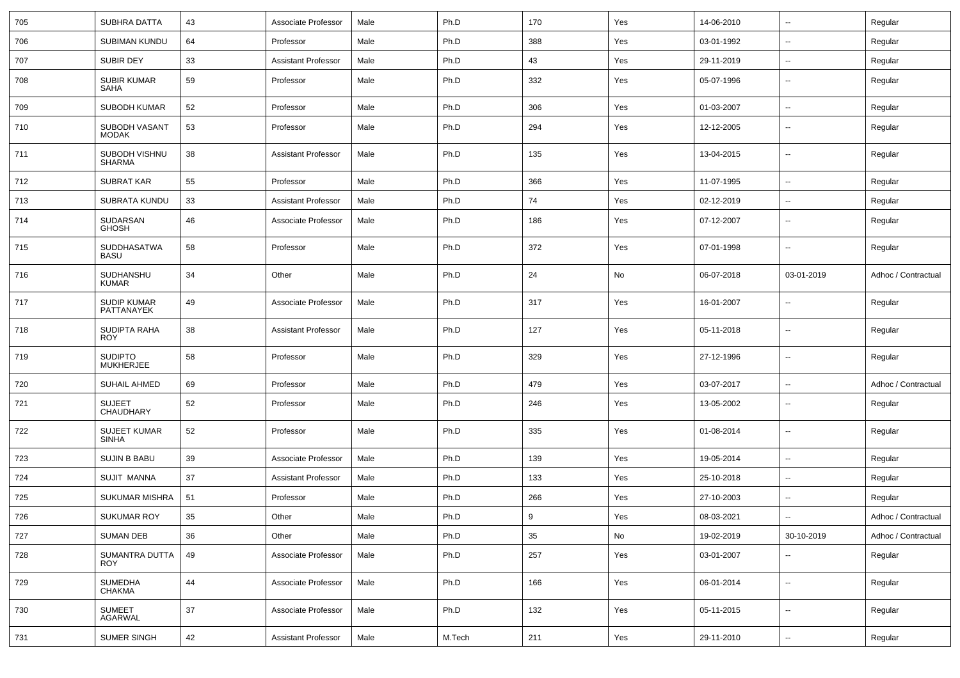| 705 | SUBHRA DATTA                        | 43 | Associate Professor        | Male | Ph.D   | 170 | Yes | 14-06-2010 | $\overline{\phantom{a}}$ | Regular             |
|-----|-------------------------------------|----|----------------------------|------|--------|-----|-----|------------|--------------------------|---------------------|
| 706 | <b>SUBIMAN KUNDU</b>                | 64 | Professor                  | Male | Ph.D   | 388 | Yes | 03-01-1992 | -−                       | Regular             |
| 707 | SUBIR DEY                           | 33 | <b>Assistant Professor</b> | Male | Ph.D   | 43  | Yes | 29-11-2019 | ⊷                        | Regular             |
| 708 | <b>SUBIR KUMAR</b><br><b>SAHA</b>   | 59 | Professor                  | Male | Ph.D   | 332 | Yes | 05-07-1996 | -−                       | Regular             |
| 709 | SUBODH KUMAR                        | 52 | Professor                  | Male | Ph.D   | 306 | Yes | 01-03-2007 | $\overline{\phantom{a}}$ | Regular             |
| 710 | SUBODH VASANT<br><b>MODAK</b>       | 53 | Professor                  | Male | Ph.D   | 294 | Yes | 12-12-2005 | ⊷.                       | Regular             |
| 711 | SUBODH VISHNU<br><b>SHARMA</b>      | 38 | <b>Assistant Professor</b> | Male | Ph.D   | 135 | Yes | 13-04-2015 | $\overline{\phantom{a}}$ | Regular             |
| 712 | <b>SUBRAT KAR</b>                   | 55 | Professor                  | Male | Ph.D   | 366 | Yes | 11-07-1995 | ⊷.                       | Regular             |
| 713 | SUBRATA KUNDU                       | 33 | Assistant Professor        | Male | Ph.D   | 74  | Yes | 02-12-2019 | ⊷.                       | Regular             |
| 714 | SUDARSAN<br><b>GHOSH</b>            | 46 | Associate Professor        | Male | Ph.D   | 186 | Yes | 07-12-2007 | --                       | Regular             |
| 715 | SUDDHASATWA<br><b>BASU</b>          | 58 | Professor                  | Male | Ph.D   | 372 | Yes | 07-01-1998 | --                       | Regular             |
| 716 | SUDHANSHU<br><b>KUMAR</b>           | 34 | Other                      | Male | Ph.D   | 24  | No  | 06-07-2018 | 03-01-2019               | Adhoc / Contractual |
| 717 | SUDIP KUMAR<br>PATTANAYEK           | 49 | Associate Professor        | Male | Ph.D   | 317 | Yes | 16-01-2007 | $\overline{\phantom{a}}$ | Regular             |
| 718 | SUDIPTA RAHA<br><b>ROY</b>          | 38 | <b>Assistant Professor</b> | Male | Ph.D   | 127 | Yes | 05-11-2018 | --                       | Regular             |
| 719 | <b>SUDIPTO</b><br><b>MUKHERJEE</b>  | 58 | Professor                  | Male | Ph.D   | 329 | Yes | 27-12-1996 | --                       | Regular             |
| 720 | <b>SUHAIL AHMED</b>                 | 69 | Professor                  | Male | Ph.D   | 479 | Yes | 03-07-2017 | $\overline{\phantom{a}}$ | Adhoc / Contractual |
| 721 | <b>SUJEET</b><br>CHAUDHARY          | 52 | Professor                  | Male | Ph.D   | 246 | Yes | 13-05-2002 | ⊷.                       | Regular             |
| 722 | <b>SUJEET KUMAR</b><br><b>SINHA</b> | 52 | Professor                  | Male | Ph.D   | 335 | Yes | 01-08-2014 | $\overline{\phantom{a}}$ | Regular             |
| 723 | <b>SUJIN B BABU</b>                 | 39 | Associate Professor        | Male | Ph.D   | 139 | Yes | 19-05-2014 | ⊶.                       | Regular             |
| 724 | SUJIT MANNA                         | 37 | <b>Assistant Professor</b> | Male | Ph.D   | 133 | Yes | 25-10-2018 | $\overline{\phantom{a}}$ | Regular             |
| 725 | <b>SUKUMAR MISHRA</b>               | 51 | Professor                  | Male | Ph.D   | 266 | Yes | 27-10-2003 | Ш.                       | Regular             |
| 726 | <b>SUKUMAR ROY</b>                  | 35 | Other                      | Male | Ph.D   | 9   | Yes | 08-03-2021 | $\overline{\phantom{a}}$ | Adhoc / Contractual |
| 727 | <b>SUMAN DEB</b>                    | 36 | Other                      | Male | Ph.D   | 35  | No  | 19-02-2019 | 30-10-2019               | Adhoc / Contractual |
| 728 | SUMANTRA DUTTA<br><b>ROY</b>        | 49 | Associate Professor        | Male | Ph.D   | 257 | Yes | 03-01-2007 | $\overline{\phantom{a}}$ | Regular             |
| 729 | <b>SUMEDHA</b><br><b>CHAKMA</b>     | 44 | Associate Professor        | Male | Ph.D   | 166 | Yes | 06-01-2014 | Щ,                       | Regular             |
| 730 | <b>SUMEET</b><br><b>AGARWAL</b>     | 37 | Associate Professor        | Male | Ph.D   | 132 | Yes | 05-11-2015 | Щ,                       | Regular             |
| 731 | SUMER SINGH                         | 42 | <b>Assistant Professor</b> | Male | M.Tech | 211 | Yes | 29-11-2010 | Щ,                       | Regular             |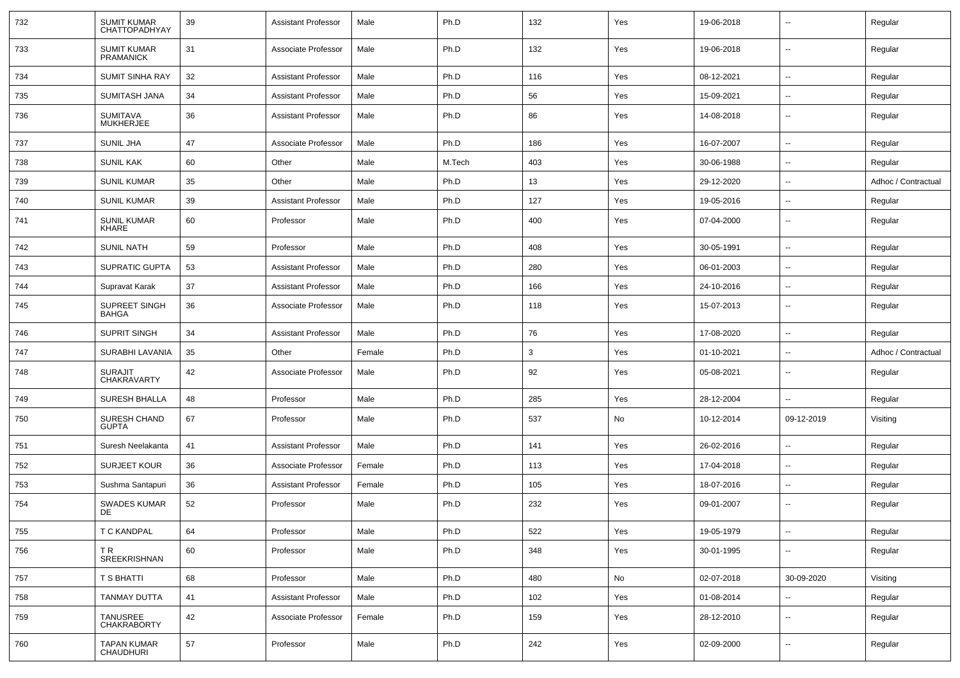| 732 | SUMIT KUMAR<br>CHATTOPADHYAY           | 39 | <b>Assistant Professor</b> | Male   | Ph.D   | 132 | Yes           | 19-06-2018 | $\overline{\phantom{a}}$ | Regular             |
|-----|----------------------------------------|----|----------------------------|--------|--------|-----|---------------|------------|--------------------------|---------------------|
| 733 | <b>SUMIT KUMAR</b><br><b>PRAMANICK</b> | 31 | Associate Professor        | Male   | Ph.D   | 132 | Yes           | 19-06-2018 | $\sim$                   | Regular             |
| 734 | <b>SUMIT SINHA RAY</b>                 | 32 | <b>Assistant Professor</b> | Male   | Ph.D   | 116 | Yes           | 08-12-2021 | $\sim$                   | Regular             |
| 735 | <b>SUMITASH JANA</b>                   | 34 | <b>Assistant Professor</b> | Male   | Ph.D   | 56  | Yes           | 15-09-2021 | $\overline{\phantom{a}}$ | Regular             |
| 736 | SUMITAVA<br><b>MUKHERJEE</b>           | 36 | <b>Assistant Professor</b> | Male   | Ph.D   | 86  | Yes           | 14-08-2018 | $\overline{\phantom{a}}$ | Regular             |
| 737 | SUNIL JHA                              | 47 | Associate Professor        | Male   | Ph.D   | 186 | Yes           | 16-07-2007 | $\overline{a}$           | Regular             |
| 738 | <b>SUNIL KAK</b>                       | 60 | Other                      | Male   | M.Tech | 403 | Yes           | 30-06-1988 | $\overline{\phantom{a}}$ | Regular             |
| 739 | <b>SUNIL KUMAR</b>                     | 35 | Other                      | Male   | Ph.D   | 13  | Yes           | 29-12-2020 | --                       | Adhoc / Contractual |
| 740 | <b>SUNIL KUMAR</b>                     | 39 | <b>Assistant Professor</b> | Male   | Ph.D   | 127 | Yes           | 19-05-2016 | $\overline{\phantom{a}}$ | Regular             |
| 741 | <b>SUNIL KUMAR</b><br>KHARE            | 60 | Professor                  | Male   | Ph.D   | 400 | Yes           | 07-04-2000 | $\sim$                   | Regular             |
| 742 | <b>SUNIL NATH</b>                      | 59 | Professor                  | Male   | Ph.D   | 408 | Yes           | 30-05-1991 | $\sim$                   | Regular             |
| 743 | <b>SUPRATIC GUPTA</b>                  | 53 | <b>Assistant Professor</b> | Male   | Ph.D   | 280 | Yes           | 06-01-2003 | $\overline{\phantom{a}}$ | Regular             |
| 744 | Supravat Karak                         | 37 | <b>Assistant Professor</b> | Male   | Ph.D   | 166 | Yes           | 24-10-2016 | $\overline{\phantom{a}}$ | Regular             |
| 745 | SUPREET SINGH<br>BAHGA                 | 36 | Associate Professor        | Male   | Ph.D   | 118 | Yes           | 15-07-2013 | $\overline{\phantom{a}}$ | Regular             |
| 746 | <b>SUPRIT SINGH</b>                    | 34 | <b>Assistant Professor</b> | Male   | Ph.D   | 76  | Yes           | 17-08-2020 | $\overline{\phantom{a}}$ | Regular             |
| 747 | SURABHI LAVANIA                        | 35 | Other                      | Female | Ph.D   | 3   | Yes           | 01-10-2021 | --                       | Adhoc / Contractual |
| 748 | <b>SURAJIT</b><br><b>CHAKRAVARTY</b>   | 42 | Associate Professor        | Male   | Ph.D   | 92  | Yes           | 05-08-2021 | $\overline{\phantom{a}}$ | Regular             |
| 749 | <b>SURESH BHALLA</b>                   | 48 | Professor                  | Male   | Ph.D   | 285 | Yes           | 28-12-2004 |                          | Regular             |
| 750 | SURESH CHAND<br><b>GUPTA</b>           | 67 | Professor                  | Male   | Ph.D   | 537 | No            | 10-12-2014 | 09-12-2019               | Visiting            |
| 751 | Suresh Neelakanta                      | 41 | <b>Assistant Professor</b> | Male   | Ph.D   | 141 | Yes           | 26-02-2016 | $\overline{\phantom{a}}$ | Regular             |
| 752 | <b>SURJEET KOUR</b>                    | 36 | Associate Professor        | Female | Ph.D   | 113 | Yes           | 17-04-2018 | $\overline{\phantom{a}}$ | Regular             |
| 753 | Sushma Santapuri                       | 36 | Assistant Professor        | Female | Ph.D   | 105 | Yes           | 18-07-2016 | $\overline{\phantom{a}}$ | Regular             |
| 754 | <b>SWADES KUMAR</b><br>DE              | 52 | Professor                  | Male   | Ph.D   | 232 | Yes           | 09-01-2007 | $\overline{\phantom{a}}$ | Regular             |
| 755 | T C KANDPAL                            | 64 | Professor                  | Male   | Ph.D   | 522 | Yes           | 19-05-1979 | $\sim$                   | Regular             |
| 756 | TR<br>SREEKRISHNAN                     | 60 | Professor                  | Male   | Ph.D   | 348 | Yes           | 30-01-1995 | $\mathbf{u}$             | Regular             |
| 757 | T S BHATTI                             | 68 | Professor                  | Male   | Ph.D   | 480 | $\mathsf{No}$ | 02-07-2018 | 30-09-2020               | Visiting            |
| 758 | <b>TANMAY DUTTA</b>                    | 41 | <b>Assistant Professor</b> | Male   | Ph.D   | 102 | Yes           | 01-08-2014 |                          | Regular             |
| 759 | TANUSREE<br>CHAKRABORTY                | 42 | Associate Professor        | Female | Ph.D   | 159 | Yes           | 28-12-2010 | $\sim$                   | Regular             |
| 760 | <b>TAPAN KUMAR</b><br>CHAUDHURI        | 57 | Professor                  | Male   | Ph.D   | 242 | Yes           | 02-09-2000 | $\sim$                   | Regular             |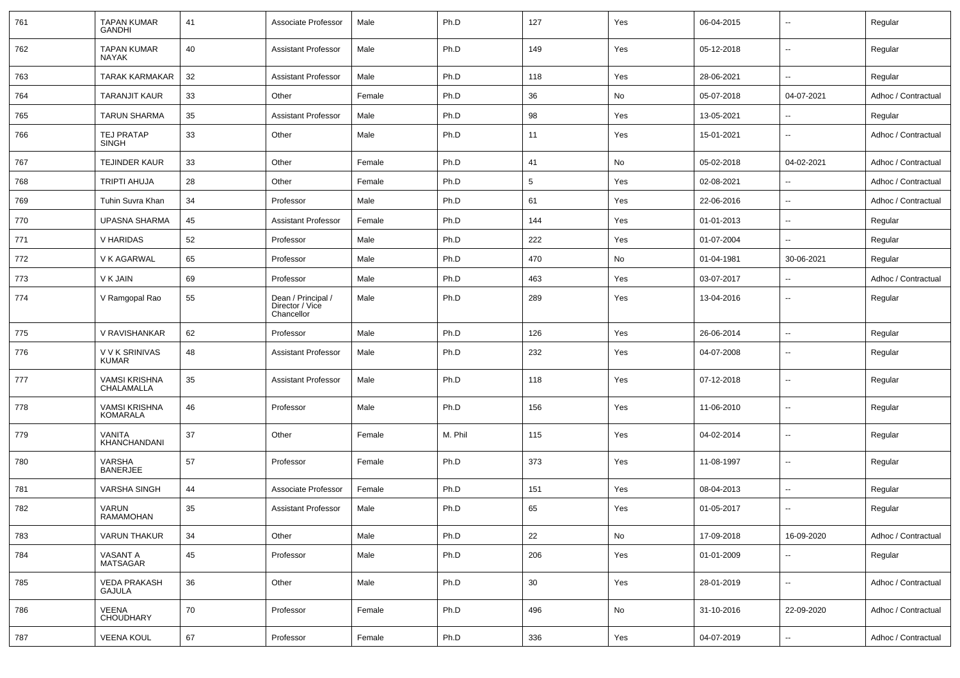| 761 | <b>TAPAN KUMAR</b><br><b>GANDHI</b>     | 41 | Associate Professor                                 | Male   | Ph.D    | 127 | Yes | 06-04-2015 | $\overline{\phantom{a}}$ | Regular             |
|-----|-----------------------------------------|----|-----------------------------------------------------|--------|---------|-----|-----|------------|--------------------------|---------------------|
| 762 | <b>TAPAN KUMAR</b><br><b>NAYAK</b>      | 40 | <b>Assistant Professor</b>                          | Male   | Ph.D    | 149 | Yes | 05-12-2018 | $\overline{\phantom{a}}$ | Regular             |
| 763 | <b>TARAK KARMAKAR</b>                   | 32 | <b>Assistant Professor</b>                          | Male   | Ph.D    | 118 | Yes | 28-06-2021 | $\overline{\phantom{a}}$ | Regular             |
| 764 | <b>TARANJIT KAUR</b>                    | 33 | Other                                               | Female | Ph.D    | 36  | No  | 05-07-2018 | 04-07-2021               | Adhoc / Contractual |
| 765 | <b>TARUN SHARMA</b>                     | 35 | <b>Assistant Professor</b>                          | Male   | Ph.D    | 98  | Yes | 13-05-2021 | $\overline{\phantom{a}}$ | Regular             |
| 766 | <b>TEJ PRATAP</b><br><b>SINGH</b>       | 33 | Other                                               | Male   | Ph.D    | 11  | Yes | 15-01-2021 | $\overline{\phantom{a}}$ | Adhoc / Contractual |
| 767 | <b>TEJINDER KAUR</b>                    | 33 | Other                                               | Female | Ph.D    | 41  | No  | 05-02-2018 | 04-02-2021               | Adhoc / Contractual |
| 768 | <b>TRIPTI AHUJA</b>                     | 28 | Other                                               | Female | Ph.D    | 5   | Yes | 02-08-2021 | $\mathbf{u}$             | Adhoc / Contractual |
| 769 | Tuhin Suvra Khan                        | 34 | Professor                                           | Male   | Ph.D    | 61  | Yes | 22-06-2016 | $\overline{\phantom{a}}$ | Adhoc / Contractual |
| 770 | UPASNA SHARMA                           | 45 | <b>Assistant Professor</b>                          | Female | Ph.D    | 144 | Yes | 01-01-2013 | $\overline{\phantom{a}}$ | Regular             |
| 771 | V HARIDAS                               | 52 | Professor                                           | Male   | Ph.D    | 222 | Yes | 01-07-2004 | $\mathbf{u}$             | Regular             |
| 772 | V K AGARWAL                             | 65 | Professor                                           | Male   | Ph.D    | 470 | No  | 01-04-1981 | 30-06-2021               | Regular             |
| 773 | V K JAIN                                | 69 | Professor                                           | Male   | Ph.D    | 463 | Yes | 03-07-2017 | $\overline{\phantom{a}}$ | Adhoc / Contractual |
| 774 | V Ramgopal Rao                          | 55 | Dean / Principal /<br>Director / Vice<br>Chancellor | Male   | Ph.D    | 289 | Yes | 13-04-2016 | $\mathbf{u}$             | Regular             |
| 775 | V RAVISHANKAR                           | 62 | Professor                                           | Male   | Ph.D    | 126 | Yes | 26-06-2014 | $\overline{\phantom{a}}$ | Regular             |
| 776 | V V K SRINIVAS<br><b>KUMAR</b>          | 48 | <b>Assistant Professor</b>                          | Male   | Ph.D    | 232 | Yes | 04-07-2008 | $\mathbf{u}$             | Regular             |
| 777 | <b>VAMSI KRISHNA</b><br>CHALAMALLA      | 35 | <b>Assistant Professor</b>                          | Male   | Ph.D    | 118 | Yes | 07-12-2018 | $\mathbf{u}$             | Regular             |
| 778 | <b>VAMSI KRISHNA</b><br><b>KOMARALA</b> | 46 | Professor                                           | Male   | Ph.D    | 156 | Yes | 11-06-2010 | $\mathbf{u}$             | Regular             |
| 779 | <b>VANITA</b><br>KHANCHANDANI           | 37 | Other                                               | Female | M. Phil | 115 | Yes | 04-02-2014 | $\mathbf{u}$             | Regular             |
| 780 | VARSHA<br><b>BANERJEE</b>               | 57 | Professor                                           | Female | Ph.D    | 373 | Yes | 11-08-1997 | $\mathbf{u}$             | Regular             |
| 781 | <b>VARSHA SINGH</b>                     | 44 | Associate Professor                                 | Female | Ph.D    | 151 | Yes | 08-04-2013 | $\mathbf{u}$             | Regular             |
| 782 | VARUN<br><b>RAMAMOHAN</b>               | 35 | <b>Assistant Professor</b>                          | Male   | Ph.D    | 65  | Yes | 01-05-2017 | $\overline{\phantom{a}}$ | Regular             |
| 783 | <b>VARUN THAKUR</b>                     | 34 | Other                                               | Male   | Ph.D    | 22  | No  | 17-09-2018 | 16-09-2020               | Adhoc / Contractual |
| 784 | VASANT A<br>MATSAGAR                    | 45 | Professor                                           | Male   | Ph.D    | 206 | Yes | 01-01-2009 | $\overline{\phantom{a}}$ | Regular             |
| 785 | <b>VEDA PRAKASH</b><br><b>GAJULA</b>    | 36 | Other                                               | Male   | Ph.D    | 30  | Yes | 28-01-2019 | ۰.                       | Adhoc / Contractual |
| 786 | VEENA<br>CHOUDHARY                      | 70 | Professor                                           | Female | Ph.D    | 496 | No  | 31-10-2016 | 22-09-2020               | Adhoc / Contractual |
| 787 | <b>VEENA KOUL</b>                       | 67 | Professor                                           | Female | Ph.D    | 336 | Yes | 04-07-2019 | ۰.                       | Adhoc / Contractual |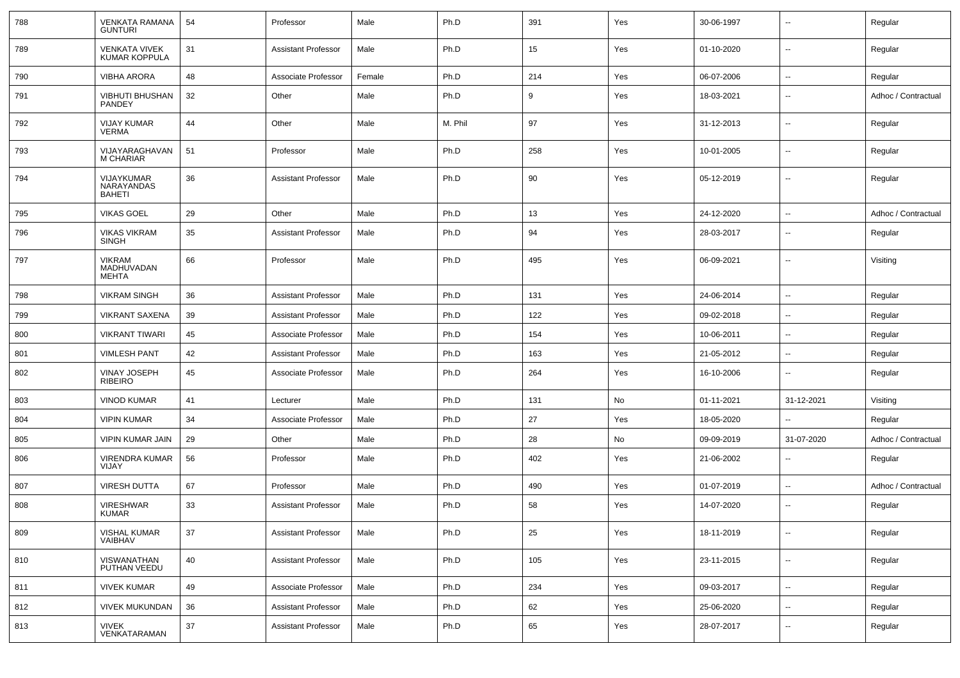| 788 | <b>VENKATA RAMANA</b><br><b>GUNTURI</b>   | 54 | Professor                  | Male   | Ph.D    | 391 | Yes | 30-06-1997 | $\overline{\phantom{a}}$ | Regular             |
|-----|-------------------------------------------|----|----------------------------|--------|---------|-----|-----|------------|--------------------------|---------------------|
| 789 | VENKATA VIVEK<br><b>KUMAR KOPPULA</b>     | 31 | <b>Assistant Professor</b> | Male   | Ph.D    | 15  | Yes | 01-10-2020 | ⊷.                       | Regular             |
| 790 | <b>VIBHA ARORA</b>                        | 48 | Associate Professor        | Female | Ph.D    | 214 | Yes | 06-07-2006 | ⊷.                       | Regular             |
| 791 | <b>VIBHUTI BHUSHAN</b><br>PANDEY          | 32 | Other                      | Male   | Ph.D    | 9   | Yes | 18-03-2021 | $\overline{\phantom{a}}$ | Adhoc / Contractual |
| 792 | <b>VIJAY KUMAR</b><br><b>VERMA</b>        | 44 | Other                      | Male   | M. Phil | 97  | Yes | 31-12-2013 | $\overline{\phantom{a}}$ | Regular             |
| 793 | VIJAYARAGHAVAN<br><b>M CHARIAR</b>        | 51 | Professor                  | Male   | Ph.D    | 258 | Yes | 10-01-2005 | ⊷.                       | Regular             |
| 794 | VIJAYKUMAR<br>NARAYANDAS<br><b>BAHETI</b> | 36 | Assistant Professor        | Male   | Ph.D    | 90  | Yes | 05-12-2019 | $\overline{\phantom{a}}$ | Regular             |
| 795 | <b>VIKAS GOEL</b>                         | 29 | Other                      | Male   | Ph.D    | 13  | Yes | 24-12-2020 | $\overline{\phantom{a}}$ | Adhoc / Contractual |
| 796 | <b>VIKAS VIKRAM</b><br><b>SINGH</b>       | 35 | <b>Assistant Professor</b> | Male   | Ph.D    | 94  | Yes | 28-03-2017 | $\overline{\phantom{a}}$ | Regular             |
| 797 | <b>VIKRAM</b><br>MADHUVADAN<br>MEHTA      | 66 | Professor                  | Male   | Ph.D    | 495 | Yes | 06-09-2021 | $\overline{\phantom{a}}$ | Visiting            |
| 798 | <b>VIKRAM SINGH</b>                       | 36 | <b>Assistant Professor</b> | Male   | Ph.D    | 131 | Yes | 24-06-2014 | Ξ.                       | Regular             |
| 799 | <b>VIKRANT SAXENA</b>                     | 39 | <b>Assistant Professor</b> | Male   | Ph.D    | 122 | Yes | 09-02-2018 | ⊷.                       | Regular             |
| 800 | <b>VIKRANT TIWARI</b>                     | 45 | Associate Professor        | Male   | Ph.D    | 154 | Yes | 10-06-2011 | --                       | Regular             |
| 801 | <b>VIMLESH PANT</b>                       | 42 | <b>Assistant Professor</b> | Male   | Ph.D    | 163 | Yes | 21-05-2012 | Ξ.                       | Regular             |
| 802 | <b>VINAY JOSEPH</b><br>RIBEIRO            | 45 | Associate Professor        | Male   | Ph.D    | 264 | Yes | 16-10-2006 | ⊷.                       | Regular             |
| 803 | <b>VINOD KUMAR</b>                        | 41 | Lecturer                   | Male   | Ph.D    | 131 | No  | 01-11-2021 | 31-12-2021               | Visiting            |
| 804 | <b>VIPIN KUMAR</b>                        | 34 | Associate Professor        | Male   | Ph.D    | 27  | Yes | 18-05-2020 | -−                       | Regular             |
| 805 | VIPIN KUMAR JAIN                          | 29 | Other                      | Male   | Ph.D    | 28  | No  | 09-09-2019 | 31-07-2020               | Adhoc / Contractual |
| 806 | VIRENDRA KUMAR<br><b>VIJAY</b>            | 56 | Professor                  | Male   | Ph.D    | 402 | Yes | 21-06-2002 | ⊷.                       | Regular             |
| 807 | VIRESH DUTTA                              | 67 | Professor                  | Male   | Ph.D    | 490 | Yes | 01-07-2019 | ⊷.                       | Adhoc / Contractual |
| 808 | <b>VIRESHWAR</b><br><b>KUMAR</b>          | 33 | <b>Assistant Professor</b> | Male   | Ph.D    | 58  | Yes | 14-07-2020 | --                       | Regular             |
| 809 | VISHAL KUMAR<br>VAIBHAV                   | 37 | <b>Assistant Professor</b> | Male   | Ph.D    | 25  | Yes | 18-11-2019 | ⊶.                       | Regular             |
| 810 | VISWANATHAN<br>PUTHAN VEEDU               | 40 | <b>Assistant Professor</b> | Male   | Ph.D    | 105 | Yes | 23-11-2015 | $\overline{\phantom{a}}$ | Regular             |
| 811 | <b>VIVEK KUMAR</b>                        | 49 | Associate Professor        | Male   | Ph.D    | 234 | Yes | 09-03-2017 | $\overline{\phantom{a}}$ | Regular             |
| 812 | <b>VIVEK MUKUNDAN</b>                     | 36 | <b>Assistant Professor</b> | Male   | Ph.D    | 62  | Yes | 25-06-2020 | $\sim$                   | Regular             |
| 813 | VIVEK<br>VENKATARAMAN                     | 37 | <b>Assistant Professor</b> | Male   | Ph.D    | 65  | Yes | 28-07-2017 | $\overline{\phantom{a}}$ | Regular             |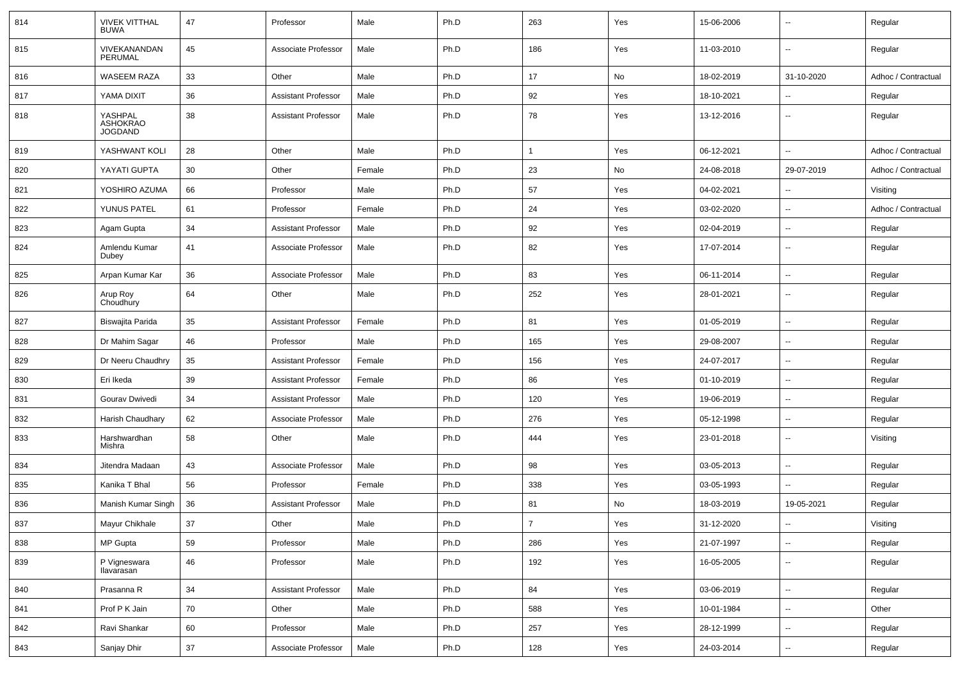| 814 | <b>VIVEK VITTHAL</b><br><b>BUWA</b>          | 47     | Professor                  | Male   | Ph.D | 263                     | Yes | 15-06-2006 | ۰.                       | Regular             |
|-----|----------------------------------------------|--------|----------------------------|--------|------|-------------------------|-----|------------|--------------------------|---------------------|
| 815 | VIVEKANANDAN<br><b>PERUMAL</b>               | 45     | Associate Professor        | Male   | Ph.D | 186                     | Yes | 11-03-2010 | $\overline{a}$           | Regular             |
| 816 | WASEEM RAZA                                  | 33     | Other                      | Male   | Ph.D | 17                      | No  | 18-02-2019 | 31-10-2020               | Adhoc / Contractual |
| 817 | YAMA DIXIT                                   | 36     | <b>Assistant Professor</b> | Male   | Ph.D | 92                      | Yes | 18-10-2021 | --                       | Regular             |
| 818 | YASHPAL<br><b>ASHOKRAO</b><br><b>JOGDAND</b> | 38     | <b>Assistant Professor</b> | Male   | Ph.D | 78                      | Yes | 13-12-2016 | ۰.                       | Regular             |
| 819 | YASHWANT KOLI                                | 28     | Other                      | Male   | Ph.D | $\overline{1}$          | Yes | 06-12-2021 | $\overline{a}$           | Adhoc / Contractual |
| 820 | YAYATI GUPTA                                 | 30     | Other                      | Female | Ph.D | 23                      | No  | 24-08-2018 | 29-07-2019               | Adhoc / Contractual |
| 821 | YOSHIRO AZUMA                                | 66     | Professor                  | Male   | Ph.D | 57                      | Yes | 04-02-2021 | --                       | Visiting            |
| 822 | YUNUS PATEL                                  | 61     | Professor                  | Female | Ph.D | 24                      | Yes | 03-02-2020 | $\overline{a}$           | Adhoc / Contractual |
| 823 | Agam Gupta                                   | 34     | <b>Assistant Professor</b> | Male   | Ph.D | 92                      | Yes | 02-04-2019 | $\overline{a}$           | Regular             |
| 824 | Amlendu Kumar<br>Dubey                       | 41     | Associate Professor        | Male   | Ph.D | 82                      | Yes | 17-07-2014 | ۰.                       | Regular             |
| 825 | Arpan Kumar Kar                              | 36     | Associate Professor        | Male   | Ph.D | 83                      | Yes | 06-11-2014 | u.                       | Regular             |
| 826 | Arup Roy<br>Choudhury                        | 64     | Other                      | Male   | Ph.D | 252                     | Yes | 28-01-2021 | ۰.                       | Regular             |
| 827 | Biswajita Parida                             | 35     | <b>Assistant Professor</b> | Female | Ph.D | 81                      | Yes | 01-05-2019 | --                       | Regular             |
| 828 | Dr Mahim Sagar                               | 46     | Professor                  | Male   | Ph.D | 165                     | Yes | 29-08-2007 | $\overline{a}$           | Regular             |
| 829 | Dr Neeru Chaudhry                            | 35     | <b>Assistant Professor</b> | Female | Ph.D | 156                     | Yes | 24-07-2017 | ۰.                       | Regular             |
| 830 | Eri Ikeda                                    | 39     | <b>Assistant Professor</b> | Female | Ph.D | 86                      | Yes | 01-10-2019 | --                       | Regular             |
| 831 | Gourav Dwivedi                               | 34     | <b>Assistant Professor</b> | Male   | Ph.D | 120                     | Yes | 19-06-2019 | $\overline{a}$           | Regular             |
| 832 | Harish Chaudhary                             | 62     | Associate Professor        | Male   | Ph.D | 276                     | Yes | 05-12-1998 | $\overline{a}$           | Regular             |
| 833 | Harshwardhan<br>Mishra                       | 58     | Other                      | Male   | Ph.D | 444                     | Yes | 23-01-2018 | ۰.                       | Visiting            |
| 834 | Jitendra Madaan                              | 43     | Associate Professor        | Male   | Ph.D | 98                      | Yes | 03-05-2013 | Ξ.                       | Regular             |
| 835 | Kanika T Bhal                                | 56     | Professor                  | Female | Ph.D | 338                     | Yes | 03-05-1993 | $\overline{a}$           | Regular             |
| 836 | Manish Kumar Singh                           | 36     | <b>Assistant Professor</b> | Male   | Ph.D | 81                      | No  | 18-03-2019 | 19-05-2021               | Regular             |
| 837 | Mayur Chikhale                               | 37     | Other                      | Male   | Ph.D | $\overline{\mathbf{7}}$ | Yes | 31-12-2020 |                          | Visiting            |
| 838 | MP Gupta                                     | 59     | Professor                  | Male   | Ph.D | 286                     | Yes | 21-07-1997 | $\overline{\phantom{a}}$ | Regular             |
| 839 | P Vigneswara<br>Ilavarasan                   | 46     | Professor                  | Male   | Ph.D | 192                     | Yes | 16-05-2005 | $\sim$                   | Regular             |
| 840 | Prasanna R                                   | 34     | <b>Assistant Professor</b> | Male   | Ph.D | 84                      | Yes | 03-06-2019 | $\overline{\phantom{a}}$ | Regular             |
| 841 | Prof P K Jain                                | 70     | Other                      | Male   | Ph.D | 588                     | Yes | 10-01-1984 | $\sim$                   | Other               |
| 842 | Ravi Shankar                                 | 60     | Professor                  | Male   | Ph.D | 257                     | Yes | 28-12-1999 | $\overline{\phantom{a}}$ | Regular             |
| 843 | Sanjay Dhir                                  | $37\,$ | Associate Professor        | Male   | Ph.D | 128                     | Yes | 24-03-2014 | н,                       | Regular             |